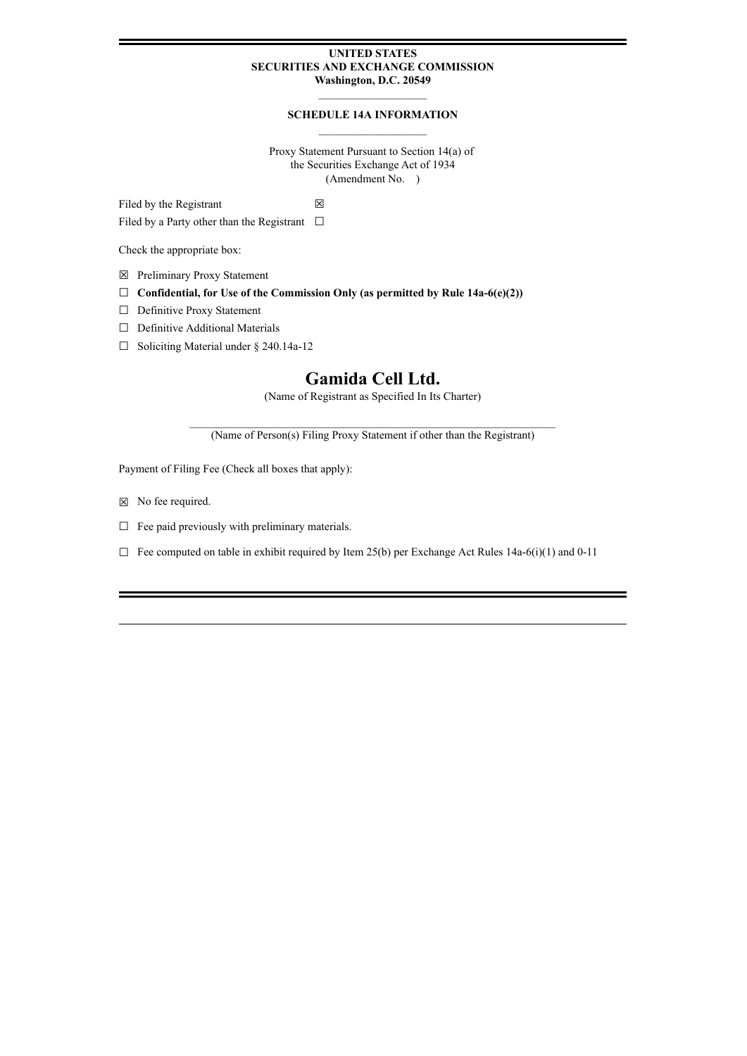## **UNITED STATES SECURITIES AND EXCHANGE COMMISSION Washington, D.C. 20549**

# **SCHEDULE 14A INFORMATION**

Proxy Statement Pursuant to Section 14(a) of the Securities Exchange Act of 1934 (Amendment No. )

Filed by the Registrant  $\boxtimes$ 

Filed by a Party other than the Registrant  $\Box$ 

Check the appropriate box:

- ☒ Preliminary Proxy Statement
- ☐ **Confidential, for Use of the Commission Only (as permitted by Rule 14a-6(e)(2))**
- ☐ Definitive Proxy Statement
- ☐ Definitive Additional Materials
- ☐ Soliciting Material under § 240.14a-12

# **Gamida Cell Ltd.**

(Name of Registrant as Specified In Its Charter)

**\_\_\_\_\_\_\_\_\_\_\_\_\_\_\_\_\_\_\_\_\_\_\_\_\_\_\_\_\_\_\_\_\_\_\_\_\_\_\_\_\_\_\_\_\_\_\_\_\_\_\_\_\_\_\_\_\_\_\_\_\_\_\_\_\_\_\_\_\_\_\_\_\_\_\_\_\_\_\_\_\_\_\_\_\_\_\_\_\_\_\_\_\_\_\_\_\_\_\_\_\_\_\_\_\_\_\_\_** (Name of Person(s) Filing Proxy Statement if other than the Registrant)

Payment of Filing Fee (Check all boxes that apply):

- $\boxtimes$  No fee required.
- $\Box$  Fee paid previously with preliminary materials.
- $\Box$  Fee computed on table in exhibit required by Item 25(b) per Exchange Act Rules 14a-6(i)(1) and 0-11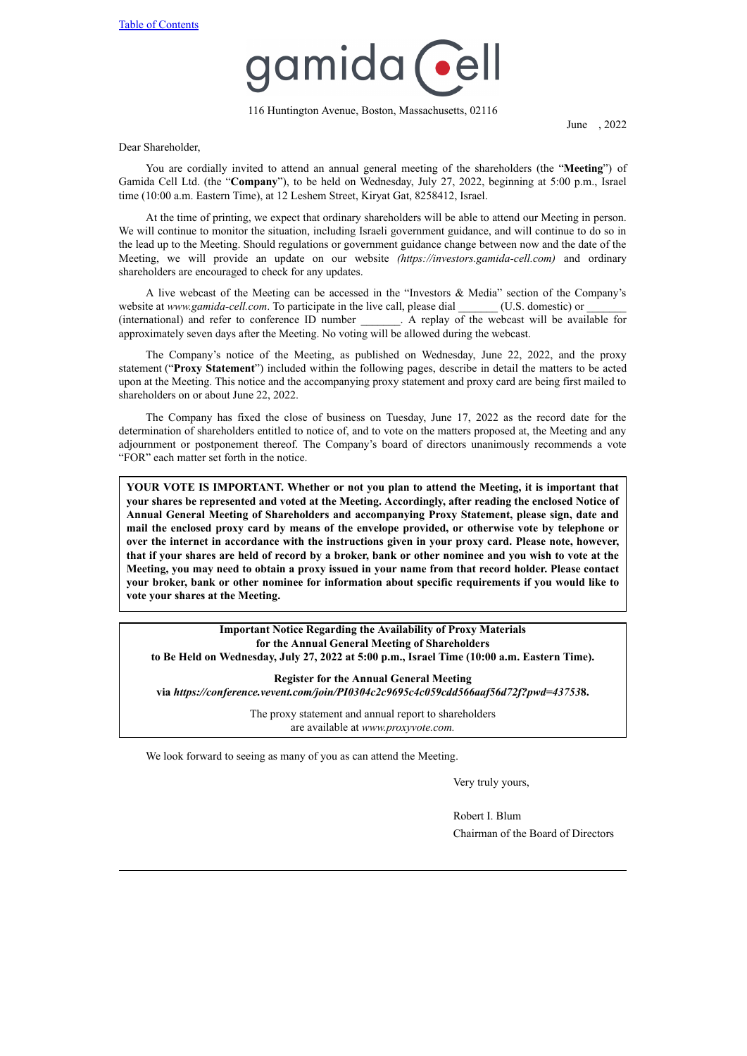

116 Huntington Avenue, Boston, Massachusetts, 02116

June , 2022

Dear Shareholder,

You are cordially invited to attend an annual general meeting of the shareholders (the "**Meeting**") of Gamida Cell Ltd. (the "**Company**"), to be held on Wednesday, July 27, 2022, beginning at 5:00 p.m., Israel time (10:00 a.m. Eastern Time), at 12 Leshem Street, Kiryat Gat, 8258412, Israel.

At the time of printing, we expect that ordinary shareholders will be able to attend our Meeting in person. We will continue to monitor the situation, including Israeli government guidance, and will continue to do so in the lead up to the Meeting. Should regulations or government guidance change between now and the date of the Meeting, we will provide an update on our website *(https://investors.gamida-cell.com)* and ordinary shareholders are encouraged to check for any updates.

A live webcast of the Meeting can be accessed in the "Investors & Media" section of the Company's website at *www.gamida-cell.com*. To participate in the live call, please dial \_\_\_\_\_\_\_ (U.S. domestic) or (international) and refer to conference ID number \_\_\_\_\_\_\_. A replay of the webcast will be available for approximately seven days after the Meeting. No voting will be allowed during the webcast.

The Company's notice of the Meeting, as published on Wednesday, June 22, 2022, and the proxy statement ("**Proxy Statement**") included within the following pages, describe in detail the matters to be acted upon at the Meeting. This notice and the accompanying proxy statement and proxy card are being first mailed to shareholders on or about June 22, 2022.

The Company has fixed the close of business on Tuesday, June 17, 2022 as the record date for the determination of shareholders entitled to notice of, and to vote on the matters proposed at, the Meeting and any adjournment or postponement thereof. The Company's board of directors unanimously recommends a vote "FOR" each matter set forth in the notice.

**YOUR VOTE IS IMPORTANT. Whether or not you plan to attend the Meeting, it is important that your shares be represented and voted at the Meeting. Accordingly, after reading the enclosed Notice of Annual General Meeting of Shareholders and accompanying Proxy Statement, please sign, date and mail the enclosed proxy card by means of the envelope provided, or otherwise vote by telephone or over the internet in accordance with the instructions given in your proxy card. Please note, however,** that if your shares are held of record by a broker, bank or other nominee and you wish to vote at the Meeting, you may need to obtain a proxy issued in your name from that record holder. Please contact **your broker, bank or other nominee for information about specific requirements if you would like to vote your shares at the Meeting.**

**Important Notice Regarding the Availability of Proxy Materials for the Annual General Meeting of Shareholders to Be Held on Wednesday, July 27, 2022 at 5:00 p.m., Israel Time (10:00 a.m. Eastern Time).**

**Register for the Annual General Meeting via** *https://conference.vevent.com/join/PI0304c2c9695c4c059cdd566aaf56d72f?pwd=43753***8.**

> The proxy statement and annual report to shareholders are available at *www.proxyvote.com.*

We look forward to seeing as many of you as can attend the Meeting.

Very truly yours,

Robert I. Blum Chairman of the Board of Directors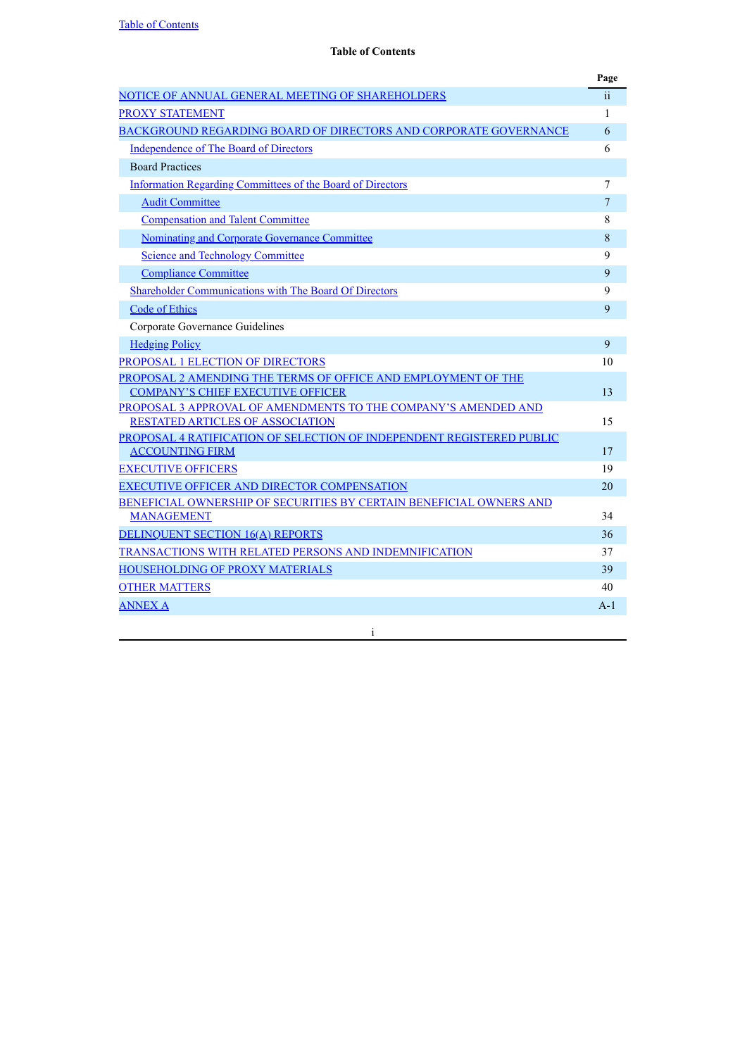<span id="page-2-0"></span>

|                                                                                                           | Page                    |
|-----------------------------------------------------------------------------------------------------------|-------------------------|
| NOTICE OF ANNUAL GENERAL MEETING OF SHAREHOLDERS                                                          | $\overline{\mathbf{u}}$ |
| <b>PROXY STATEMENT</b>                                                                                    | 1                       |
| BACKGROUND REGARDING BOARD OF DIRECTORS AND CORPORATE GOVERNANCE                                          | 6                       |
| Independence of The Board of Directors                                                                    | 6                       |
| <b>Board Practices</b>                                                                                    |                         |
| <b>Information Regarding Committees of the Board of Directors</b>                                         | 7                       |
| <b>Audit Committee</b>                                                                                    | 7                       |
| <b>Compensation and Talent Committee</b>                                                                  | 8                       |
| Nominating and Corporate Governance Committee                                                             | 8                       |
| <b>Science and Technology Committee</b>                                                                   | 9                       |
| <b>Compliance Committee</b>                                                                               | 9                       |
| Shareholder Communications with The Board Of Directors                                                    | 9                       |
| Code of Ethics                                                                                            | 9                       |
| Corporate Governance Guidelines                                                                           |                         |
| <b>Hedging Policy</b>                                                                                     | 9                       |
| PROPOSAL 1 ELECTION OF DIRECTORS                                                                          | 10                      |
| PROPOSAL 2 AMENDING THE TERMS OF OFFICE AND EMPLOYMENT OF THE                                             |                         |
| <b>COMPANY'S CHIEF EXECUTIVE OFFICER</b>                                                                  | 13                      |
| PROPOSAL 3 APPROVAL OF AMENDMENTS TO THE COMPANY'S AMENDED AND<br><b>RESTATED ARTICLES OF ASSOCIATION</b> | 15                      |
| PROPOSAL 4 RATIFICATION OF SELECTION OF INDEPENDENT REGISTERED PUBLIC                                     |                         |
| <b>ACCOUNTING FIRM</b>                                                                                    | 17                      |
| <b>EXECUTIVE OFFICERS</b>                                                                                 | 19                      |
| EXECUTIVE OFFICER AND DIRECTOR COMPENSATION                                                               | 20                      |
| BENEFICIAL OWNERSHIP OF SECURITIES BY CERTAIN BENEFICIAL OWNERS AND                                       |                         |
| <b>MANAGEMENT</b>                                                                                         | 34                      |
| <b>DELINQUENT SECTION 16(A) REPORTS</b>                                                                   | 36                      |
| <b>TRANSACTIONS WITH RELATED PERSONS AND INDEMNIFICATION</b>                                              | 37                      |
| <b>HOUSEHOLDING OF PROXY MATERIALS</b>                                                                    | 39                      |
| <b>OTHER MATTERS</b>                                                                                      | 40                      |
| <b>ANNEX A</b>                                                                                            | $A-1$                   |

i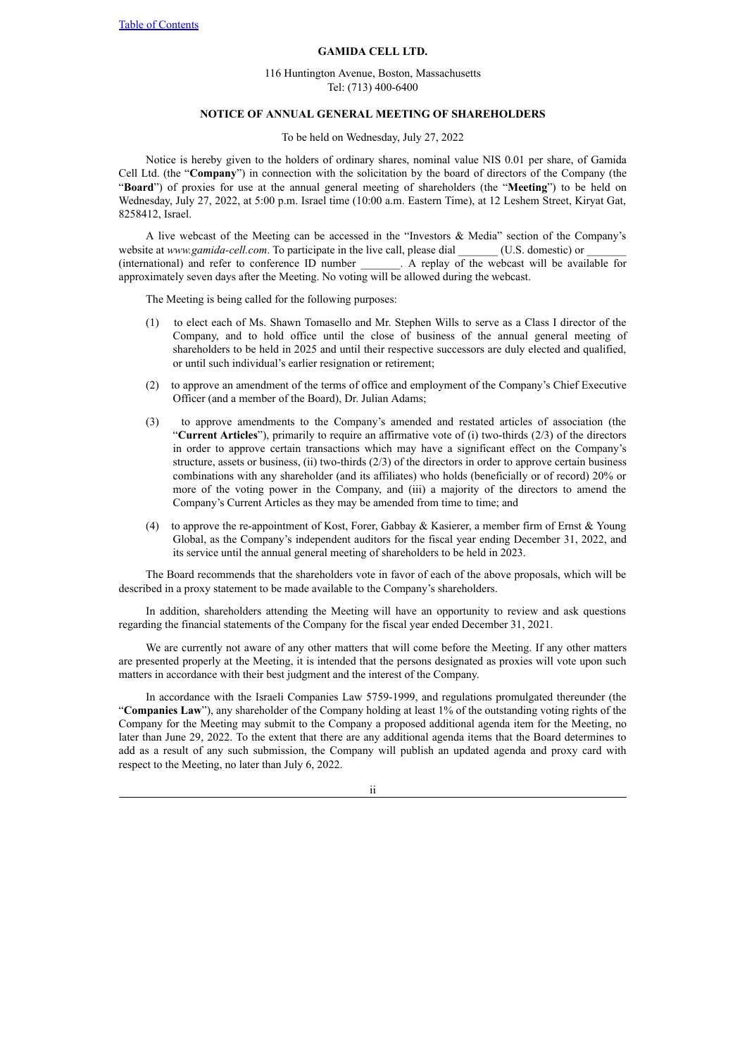#### **GAMIDA CELL LTD.**

116 Huntington Avenue, Boston, Massachusetts Tel: (713) 400-6400

# **NOTICE OF ANNUAL GENERAL MEETING OF SHAREHOLDERS**

### To be held on Wednesday, July 27, 2022

<span id="page-3-0"></span>Notice is hereby given to the holders of ordinary shares, nominal value NIS 0.01 per share, of Gamida Cell Ltd. (the "**Company**") in connection with the solicitation by the board of directors of the Company (the "**Board**") of proxies for use at the annual general meeting of shareholders (the "**Meeting**") to be held on Wednesday, July 27, 2022, at 5:00 p.m. Israel time (10:00 a.m. Eastern Time), at 12 Leshem Street, Kiryat Gat, 8258412, Israel.

A live webcast of the Meeting can be accessed in the "Investors & Media" section of the Company's website at *www.gamida-cell.com*. To participate in the live call, please dial \_\_\_\_\_\_\_ (U.S. domestic) or (international) and refer to conference ID number \_\_\_\_\_\_\_. A replay of the webcast will be available for approximately seven days after the Meeting. No voting will be allowed during the webcast.

The Meeting is being called for the following purposes:

- (1) to elect each of Ms. Shawn Tomasello and Mr. Stephen Wills to serve as a Class I director of the Company, and to hold office until the close of business of the annual general meeting of shareholders to be held in 2025 and until their respective successors are duly elected and qualified, or until such individual's earlier resignation or retirement;
- (2) to approve an amendment of the terms of office and employment of the Company's Chief Executive Officer (and a member of the Board), Dr. Julian Adams;
- (3) to approve amendments to the Company's amended and restated articles of association (the "**Current Articles**"), primarily to require an affirmative vote of (i) two-thirds (2/3) of the directors in order to approve certain transactions which may have a significant effect on the Company's structure, assets or business, (ii) two-thirds (2/3) of the directors in order to approve certain business combinations with any shareholder (and its affiliates) who holds (beneficially or of record) 20% or more of the voting power in the Company, and (iii) a majority of the directors to amend the Company's Current Articles as they may be amended from time to time; and
- (4) to approve the re-appointment of Kost, Forer, Gabbay & Kasierer, a member firm of Ernst & Young Global, as the Company's independent auditors for the fiscal year ending December 31, 2022, and its service until the annual general meeting of shareholders to be held in 2023.

The Board recommends that the shareholders vote in favor of each of the above proposals, which will be described in a proxy statement to be made available to the Company's shareholders.

In addition, shareholders attending the Meeting will have an opportunity to review and ask questions regarding the financial statements of the Company for the fiscal year ended December 31, 2021.

We are currently not aware of any other matters that will come before the Meeting. If any other matters are presented properly at the Meeting, it is intended that the persons designated as proxies will vote upon such matters in accordance with their best judgment and the interest of the Company.

In accordance with the Israeli Companies Law 5759-1999, and regulations promulgated thereunder (the "**Companies Law**"), any shareholder of the Company holding at least 1% of the outstanding voting rights of the Company for the Meeting may submit to the Company a proposed additional agenda item for the Meeting, no later than June 29, 2022. To the extent that there are any additional agenda items that the Board determines to add as a result of any such submission, the Company will publish an updated agenda and proxy card with respect to the Meeting, no later than July 6, 2022.

ii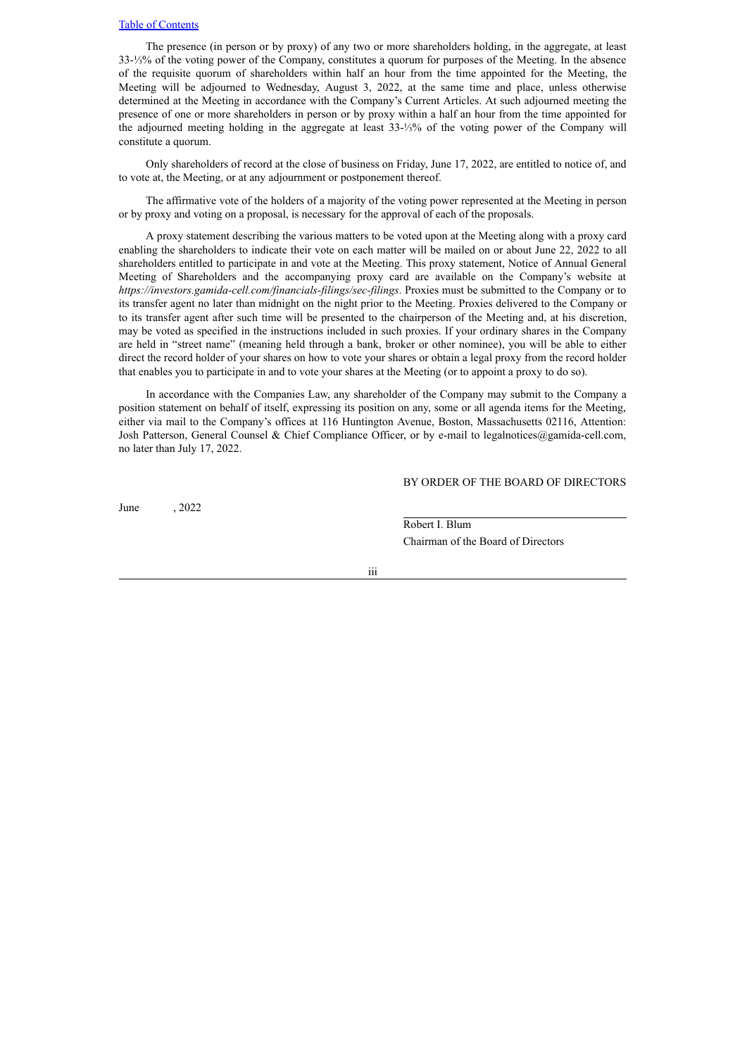The presence (in person or by proxy) of any two or more shareholders holding, in the aggregate, at least 33-⅓% of the voting power of the Company, constitutes a quorum for purposes of the Meeting. In the absence of the requisite quorum of shareholders within half an hour from the time appointed for the Meeting, the Meeting will be adjourned to Wednesday, August 3, 2022, at the same time and place, unless otherwise determined at the Meeting in accordance with the Company's Current Articles. At such adjourned meeting the presence of one or more shareholders in person or by proxy within a half an hour from the time appointed for the adjourned meeting holding in the aggregate at least 33-⅓% of the voting power of the Company will constitute a quorum.

Only shareholders of record at the close of business on Friday, June 17, 2022, are entitled to notice of, and to vote at, the Meeting, or at any adjournment or postponement thereof.

The affirmative vote of the holders of a majority of the voting power represented at the Meeting in person or by proxy and voting on a proposal, is necessary for the approval of each of the proposals.

A proxy statement describing the various matters to be voted upon at the Meeting along with a proxy card enabling the shareholders to indicate their vote on each matter will be mailed on or about June 22, 2022 to all shareholders entitled to participate in and vote at the Meeting. This proxy statement, Notice of Annual General Meeting of Shareholders and the accompanying proxy card are available on the Company's website at *https://investors.gamida-cell.com/financials-filings/sec-filings*. Proxies must be submitted to the Company or to its transfer agent no later than midnight on the night prior to the Meeting. Proxies delivered to the Company or to its transfer agent after such time will be presented to the chairperson of the Meeting and, at his discretion, may be voted as specified in the instructions included in such proxies. If your ordinary shares in the Company are held in "street name" (meaning held through a bank, broker or other nominee), you will be able to either direct the record holder of your shares on how to vote your shares or obtain a legal proxy from the record holder that enables you to participate in and to vote your shares at the Meeting (or to appoint a proxy to do so).

In accordance with the Companies Law, any shareholder of the Company may submit to the Company a position statement on behalf of itself, expressing its position on any, some or all agenda items for the Meeting, either via mail to the Company's offices at 116 Huntington Avenue, Boston, Massachusetts 02116, Attention: Josh Patterson, General Counsel & Chief Compliance Officer, or by e-mail to legalnotices@gamida-cell.com, no later than July 17, 2022.

BY ORDER OF THE BOARD OF DIRECTORS

June , 2022

Robert I. Blum Chairman of the Board of Directors

iii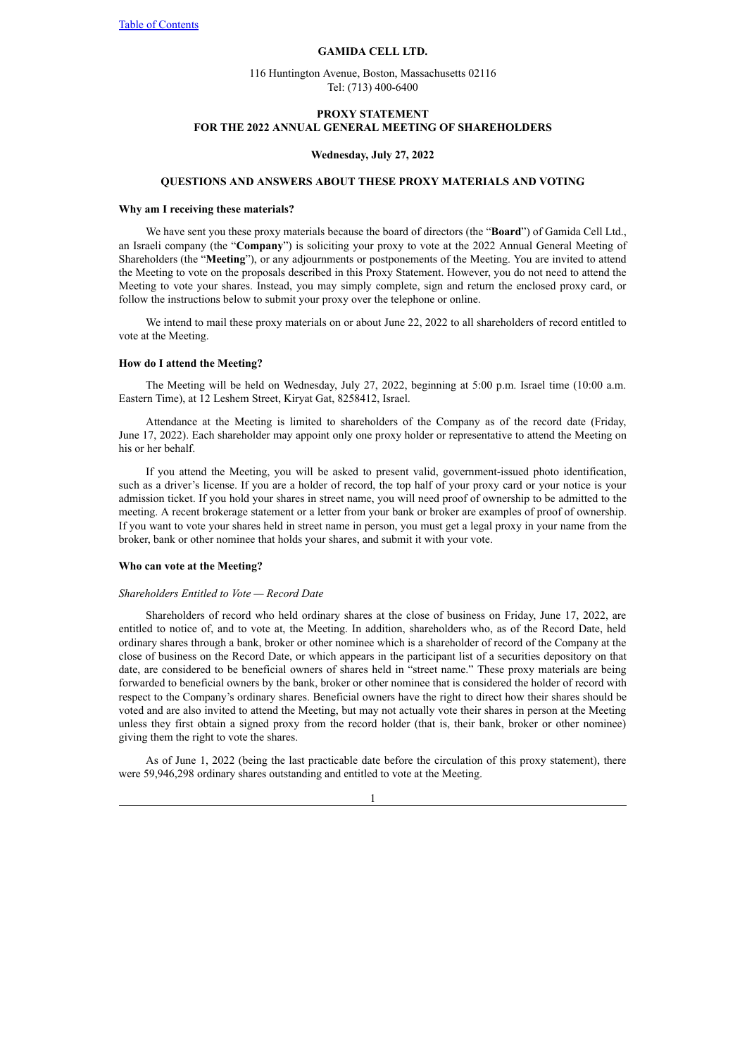#### **GAMIDA CELL LTD.**

116 Huntington Avenue, Boston, Massachusetts 02116 Tel: (713) 400-6400

# <span id="page-5-0"></span>**PROXY STATEMENT FOR THE 2022 ANNUAL GENERAL MEETING OF SHAREHOLDERS**

#### **Wednesday, July 27, 2022**

#### **QUESTIONS AND ANSWERS ABOUT THESE PROXY MATERIALS AND VOTING**

## **Why am I receiving these materials?**

We have sent you these proxy materials because the board of directors (the "**Board**") of Gamida Cell Ltd., an Israeli company (the "**Company**") is soliciting your proxy to vote at the 2022 Annual General Meeting of Shareholders (the "**Meeting**"), or any adjournments or postponements of the Meeting. You are invited to attend the Meeting to vote on the proposals described in this Proxy Statement. However, you do not need to attend the Meeting to vote your shares. Instead, you may simply complete, sign and return the enclosed proxy card, or follow the instructions below to submit your proxy over the telephone or online.

We intend to mail these proxy materials on or about June 22, 2022 to all shareholders of record entitled to vote at the Meeting.

## **How do I attend the Meeting?**

The Meeting will be held on Wednesday, July 27, 2022, beginning at 5:00 p.m. Israel time (10:00 a.m. Eastern Time), at 12 Leshem Street, Kiryat Gat, 8258412, Israel.

Attendance at the Meeting is limited to shareholders of the Company as of the record date (Friday, June 17, 2022). Each shareholder may appoint only one proxy holder or representative to attend the Meeting on his or her behalf.

If you attend the Meeting, you will be asked to present valid, government-issued photo identification, such as a driver's license. If you are a holder of record, the top half of your proxy card or your notice is your admission ticket. If you hold your shares in street name, you will need proof of ownership to be admitted to the meeting. A recent brokerage statement or a letter from your bank or broker are examples of proof of ownership. If you want to vote your shares held in street name in person, you must get a legal proxy in your name from the broker, bank or other nominee that holds your shares, and submit it with your vote.

#### **Who can vote at the Meeting?**

#### *Shareholders Entitled to Vote — Record Date*

Shareholders of record who held ordinary shares at the close of business on Friday, June 17, 2022, are entitled to notice of, and to vote at, the Meeting. In addition, shareholders who, as of the Record Date, held ordinary shares through a bank, broker or other nominee which is a shareholder of record of the Company at the close of business on the Record Date, or which appears in the participant list of a securities depository on that date, are considered to be beneficial owners of shares held in "street name." These proxy materials are being forwarded to beneficial owners by the bank, broker or other nominee that is considered the holder of record with respect to the Company's ordinary shares. Beneficial owners have the right to direct how their shares should be voted and are also invited to attend the Meeting, but may not actually vote their shares in person at the Meeting unless they first obtain a signed proxy from the record holder (that is, their bank, broker or other nominee) giving them the right to vote the shares.

As of June 1, 2022 (being the last practicable date before the circulation of this proxy statement), there were 59,946,298 ordinary shares outstanding and entitled to vote at the Meeting.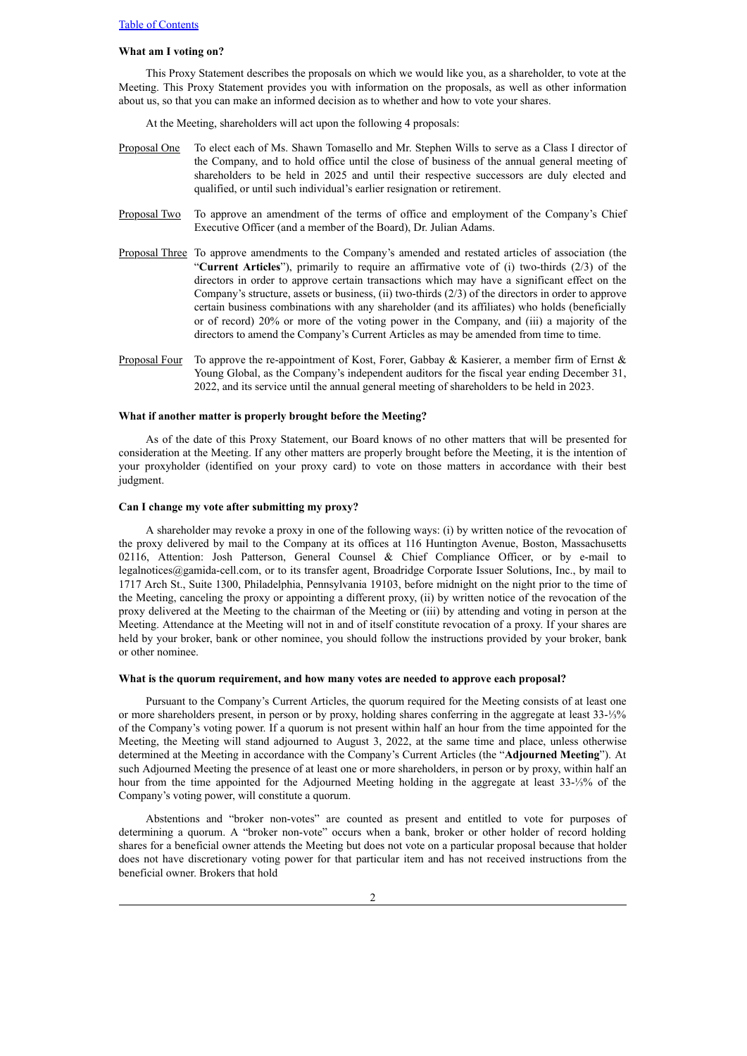### **What am I voting on?**

This Proxy Statement describes the proposals on which we would like you, as a shareholder, to vote at the Meeting. This Proxy Statement provides you with information on the proposals, as well as other information about us, so that you can make an informed decision as to whether and how to vote your shares.

At the Meeting, shareholders will act upon the following 4 proposals:

- Proposal One To elect each of Ms. Shawn Tomasello and Mr. Stephen Wills to serve as a Class I director of the Company, and to hold office until the close of business of the annual general meeting of shareholders to be held in 2025 and until their respective successors are duly elected and qualified, or until such individual's earlier resignation or retirement.
- Proposal Two To approve an amendment of the terms of office and employment of the Company's Chief Executive Officer (and a member of the Board), Dr. Julian Adams.
- Proposal Three To approve amendments to the Company's amended and restated articles of association (the "**Current Articles**"), primarily to require an affirmative vote of (i) two-thirds (2/3) of the directors in order to approve certain transactions which may have a significant effect on the Company's structure, assets or business, (ii) two-thirds (2/3) of the directors in order to approve certain business combinations with any shareholder (and its affiliates) who holds (beneficially or of record) 20% or more of the voting power in the Company, and (iii) a majority of the directors to amend the Company's Current Articles as may be amended from time to time.
- Proposal Four To approve the re-appointment of Kost, Forer, Gabbay & Kasierer, a member firm of Ernst & Young Global, as the Company's independent auditors for the fiscal year ending December 31, 2022, and its service until the annual general meeting of shareholders to be held in 2023.

## **What if another matter is properly brought before the Meeting?**

As of the date of this Proxy Statement, our Board knows of no other matters that will be presented for consideration at the Meeting. If any other matters are properly brought before the Meeting, it is the intention of your proxyholder (identified on your proxy card) to vote on those matters in accordance with their best judgment.

## **Can I change my vote after submitting my proxy?**

A shareholder may revoke a proxy in one of the following ways: (i) by written notice of the revocation of the proxy delivered by mail to the Company at its offices at 116 Huntington Avenue, Boston, Massachusetts 02116, Attention: Josh Patterson, General Counsel & Chief Compliance Officer, or by e-mail to legalnotices@gamida-cell.com, or to its transfer agent, Broadridge Corporate Issuer Solutions, Inc., by mail to 1717 Arch St., Suite 1300, Philadelphia, Pennsylvania 19103, before midnight on the night prior to the time of the Meeting, canceling the proxy or appointing a different proxy, (ii) by written notice of the revocation of the proxy delivered at the Meeting to the chairman of the Meeting or (iii) by attending and voting in person at the Meeting. Attendance at the Meeting will not in and of itself constitute revocation of a proxy. If your shares are held by your broker, bank or other nominee, you should follow the instructions provided by your broker, bank or other nominee.

## **What is the quorum requirement, and how many votes are needed to approve each proposal?**

Pursuant to the Company's Current Articles, the quorum required for the Meeting consists of at least one or more shareholders present, in person or by proxy, holding shares conferring in the aggregate at least 33-⅓% of the Company's voting power. If a quorum is not present within half an hour from the time appointed for the Meeting, the Meeting will stand adjourned to August 3, 2022, at the same time and place, unless otherwise determined at the Meeting in accordance with the Company's Current Articles (the "**Adjourned Meeting**"). At such Adjourned Meeting the presence of at least one or more shareholders, in person or by proxy, within half an hour from the time appointed for the Adjourned Meeting holding in the aggregate at least 33-⅓% of the Company's voting power, will constitute a quorum.

Abstentions and "broker non-votes" are counted as present and entitled to vote for purposes of determining a quorum. A "broker non-vote" occurs when a bank, broker or other holder of record holding shares for a beneficial owner attends the Meeting but does not vote on a particular proposal because that holder does not have discretionary voting power for that particular item and has not received instructions from the beneficial owner. Brokers that hold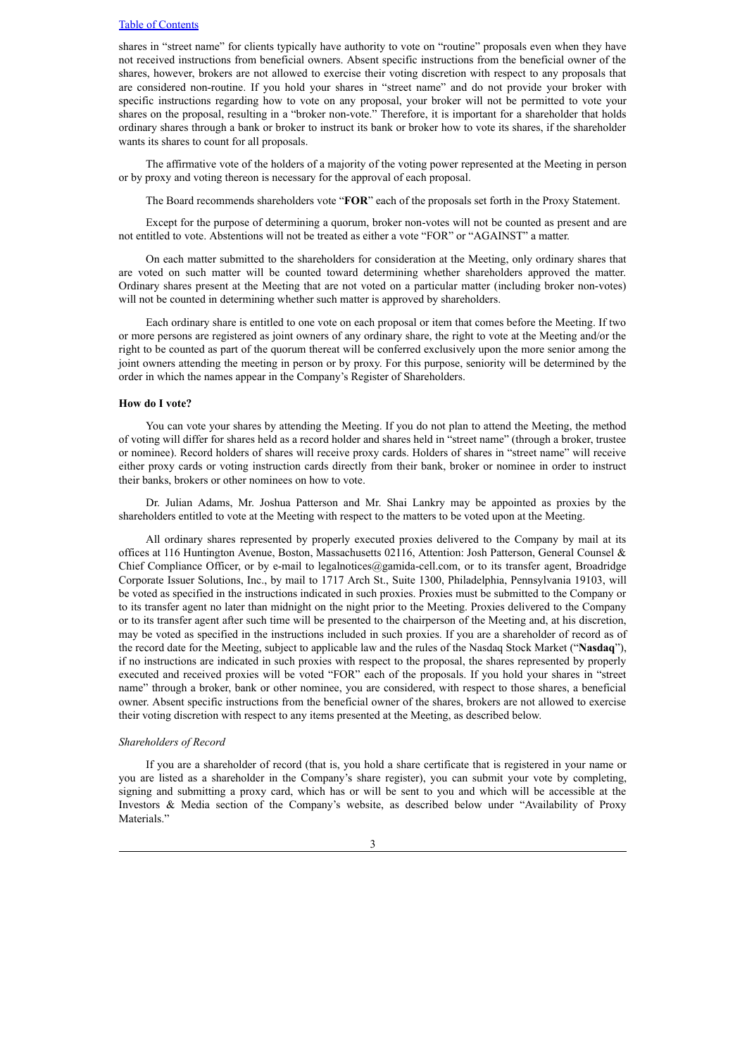shares in "street name" for clients typically have authority to vote on "routine" proposals even when they have not received instructions from beneficial owners. Absent specific instructions from the beneficial owner of the shares, however, brokers are not allowed to exercise their voting discretion with respect to any proposals that are considered non-routine. If you hold your shares in "street name" and do not provide your broker with specific instructions regarding how to vote on any proposal, your broker will not be permitted to vote your shares on the proposal, resulting in a "broker non-vote." Therefore, it is important for a shareholder that holds ordinary shares through a bank or broker to instruct its bank or broker how to vote its shares, if the shareholder wants its shares to count for all proposals.

The affirmative vote of the holders of a majority of the voting power represented at the Meeting in person or by proxy and voting thereon is necessary for the approval of each proposal.

The Board recommends shareholders vote "**FOR**" each of the proposals set forth in the Proxy Statement.

Except for the purpose of determining a quorum, broker non-votes will not be counted as present and are not entitled to vote. Abstentions will not be treated as either a vote "FOR" or "AGAINST" a matter.

On each matter submitted to the shareholders for consideration at the Meeting, only ordinary shares that are voted on such matter will be counted toward determining whether shareholders approved the matter. Ordinary shares present at the Meeting that are not voted on a particular matter (including broker non-votes) will not be counted in determining whether such matter is approved by shareholders.

Each ordinary share is entitled to one vote on each proposal or item that comes before the Meeting. If two or more persons are registered as joint owners of any ordinary share, the right to vote at the Meeting and/or the right to be counted as part of the quorum thereat will be conferred exclusively upon the more senior among the joint owners attending the meeting in person or by proxy. For this purpose, seniority will be determined by the order in which the names appear in the Company's Register of Shareholders.

#### **How do I vote?**

You can vote your shares by attending the Meeting. If you do not plan to attend the Meeting, the method of voting will differ for shares held as a record holder and shares held in "street name" (through a broker, trustee or nominee). Record holders of shares will receive proxy cards. Holders of shares in "street name" will receive either proxy cards or voting instruction cards directly from their bank, broker or nominee in order to instruct their banks, brokers or other nominees on how to vote.

Dr. Julian Adams, Mr. Joshua Patterson and Mr. Shai Lankry may be appointed as proxies by the shareholders entitled to vote at the Meeting with respect to the matters to be voted upon at the Meeting.

All ordinary shares represented by properly executed proxies delivered to the Company by mail at its offices at 116 Huntington Avenue, Boston, Massachusetts 02116, Attention: Josh Patterson, General Counsel & Chief Compliance Officer, or by e-mail to legalnotices@gamida-cell.com, or to its transfer agent, Broadridge Corporate Issuer Solutions, Inc., by mail to 1717 Arch St., Suite 1300, Philadelphia, Pennsylvania 19103, will be voted as specified in the instructions indicated in such proxies. Proxies must be submitted to the Company or to its transfer agent no later than midnight on the night prior to the Meeting. Proxies delivered to the Company or to its transfer agent after such time will be presented to the chairperson of the Meeting and, at his discretion, may be voted as specified in the instructions included in such proxies. If you are a shareholder of record as of the record date for the Meeting, subject to applicable law and the rules of the Nasdaq Stock Market ("**Nasdaq**"), if no instructions are indicated in such proxies with respect to the proposal, the shares represented by properly executed and received proxies will be voted "FOR" each of the proposals. If you hold your shares in "street name" through a broker, bank or other nominee, you are considered, with respect to those shares, a beneficial owner. Absent specific instructions from the beneficial owner of the shares, brokers are not allowed to exercise their voting discretion with respect to any items presented at the Meeting, as described below.

#### *Shareholders of Record*

If you are a shareholder of record (that is, you hold a share certificate that is registered in your name or you are listed as a shareholder in the Company's share register), you can submit your vote by completing, signing and submitting a proxy card, which has or will be sent to you and which will be accessible at the Investors & Media section of the Company's website, as described below under "Availability of Proxy Materials."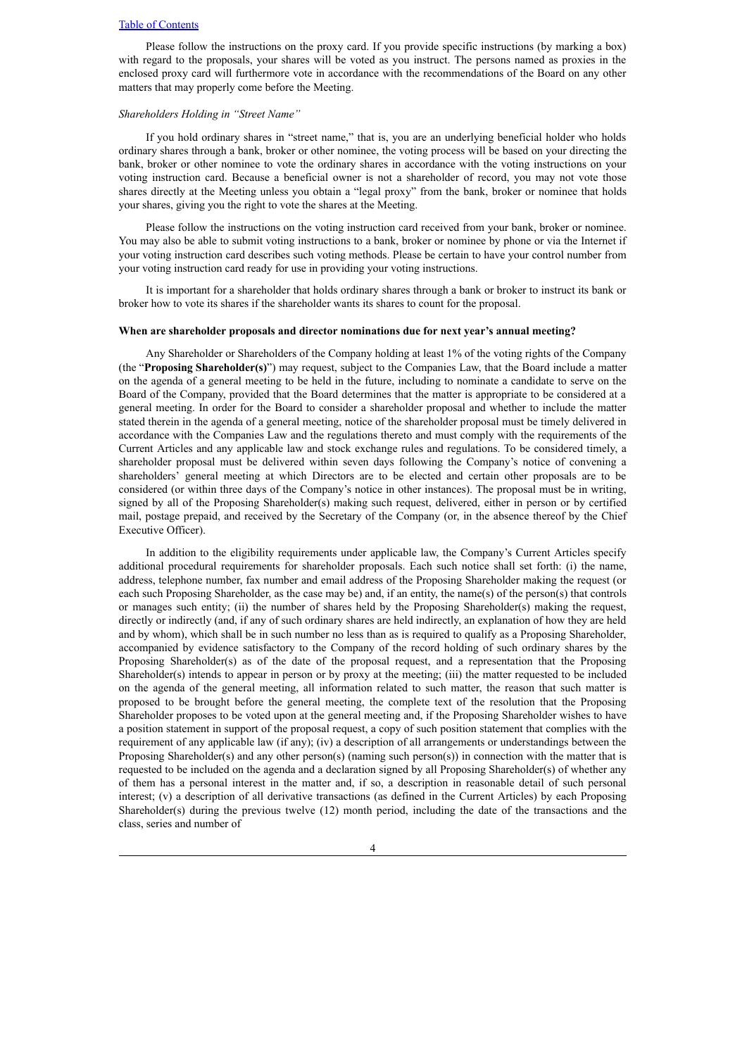Please follow the instructions on the proxy card. If you provide specific instructions (by marking a box) with regard to the proposals, your shares will be voted as you instruct. The persons named as proxies in the enclosed proxy card will furthermore vote in accordance with the recommendations of the Board on any other matters that may properly come before the Meeting.

### *Shareholders Holding in "Street Name"*

If you hold ordinary shares in "street name," that is, you are an underlying beneficial holder who holds ordinary shares through a bank, broker or other nominee, the voting process will be based on your directing the bank, broker or other nominee to vote the ordinary shares in accordance with the voting instructions on your voting instruction card. Because a beneficial owner is not a shareholder of record, you may not vote those shares directly at the Meeting unless you obtain a "legal proxy" from the bank, broker or nominee that holds your shares, giving you the right to vote the shares at the Meeting.

Please follow the instructions on the voting instruction card received from your bank, broker or nominee. You may also be able to submit voting instructions to a bank, broker or nominee by phone or via the Internet if your voting instruction card describes such voting methods. Please be certain to have your control number from your voting instruction card ready for use in providing your voting instructions.

It is important for a shareholder that holds ordinary shares through a bank or broker to instruct its bank or broker how to vote its shares if the shareholder wants its shares to count for the proposal.

#### **When are shareholder proposals and director nominations due for next year's annual meeting?**

Any Shareholder or Shareholders of the Company holding at least 1% of the voting rights of the Company (the "**Proposing Shareholder(s)**") may request, subject to the Companies Law, that the Board include a matter on the agenda of a general meeting to be held in the future, including to nominate a candidate to serve on the Board of the Company, provided that the Board determines that the matter is appropriate to be considered at a general meeting. In order for the Board to consider a shareholder proposal and whether to include the matter stated therein in the agenda of a general meeting, notice of the shareholder proposal must be timely delivered in accordance with the Companies Law and the regulations thereto and must comply with the requirements of the Current Articles and any applicable law and stock exchange rules and regulations. To be considered timely, a shareholder proposal must be delivered within seven days following the Company's notice of convening a shareholders' general meeting at which Directors are to be elected and certain other proposals are to be considered (or within three days of the Company's notice in other instances). The proposal must be in writing, signed by all of the Proposing Shareholder(s) making such request, delivered, either in person or by certified mail, postage prepaid, and received by the Secretary of the Company (or, in the absence thereof by the Chief Executive Officer).

In addition to the eligibility requirements under applicable law, the Company's Current Articles specify additional procedural requirements for shareholder proposals. Each such notice shall set forth: (i) the name, address, telephone number, fax number and email address of the Proposing Shareholder making the request (or each such Proposing Shareholder, as the case may be) and, if an entity, the name(s) of the person(s) that controls or manages such entity; (ii) the number of shares held by the Proposing Shareholder(s) making the request, directly or indirectly (and, if any of such ordinary shares are held indirectly, an explanation of how they are held and by whom), which shall be in such number no less than as is required to qualify as a Proposing Shareholder, accompanied by evidence satisfactory to the Company of the record holding of such ordinary shares by the Proposing Shareholder(s) as of the date of the proposal request, and a representation that the Proposing Shareholder(s) intends to appear in person or by proxy at the meeting; (iii) the matter requested to be included on the agenda of the general meeting, all information related to such matter, the reason that such matter is proposed to be brought before the general meeting, the complete text of the resolution that the Proposing Shareholder proposes to be voted upon at the general meeting and, if the Proposing Shareholder wishes to have a position statement in support of the proposal request, a copy of such position statement that complies with the requirement of any applicable law (if any); (iv) a description of all arrangements or understandings between the Proposing Shareholder(s) and any other person(s) (naming such person(s)) in connection with the matter that is requested to be included on the agenda and a declaration signed by all Proposing Shareholder(s) of whether any of them has a personal interest in the matter and, if so, a description in reasonable detail of such personal interest; (v) a description of all derivative transactions (as defined in the Current Articles) by each Proposing Shareholder(s) during the previous twelve (12) month period, including the date of the transactions and the class, series and number of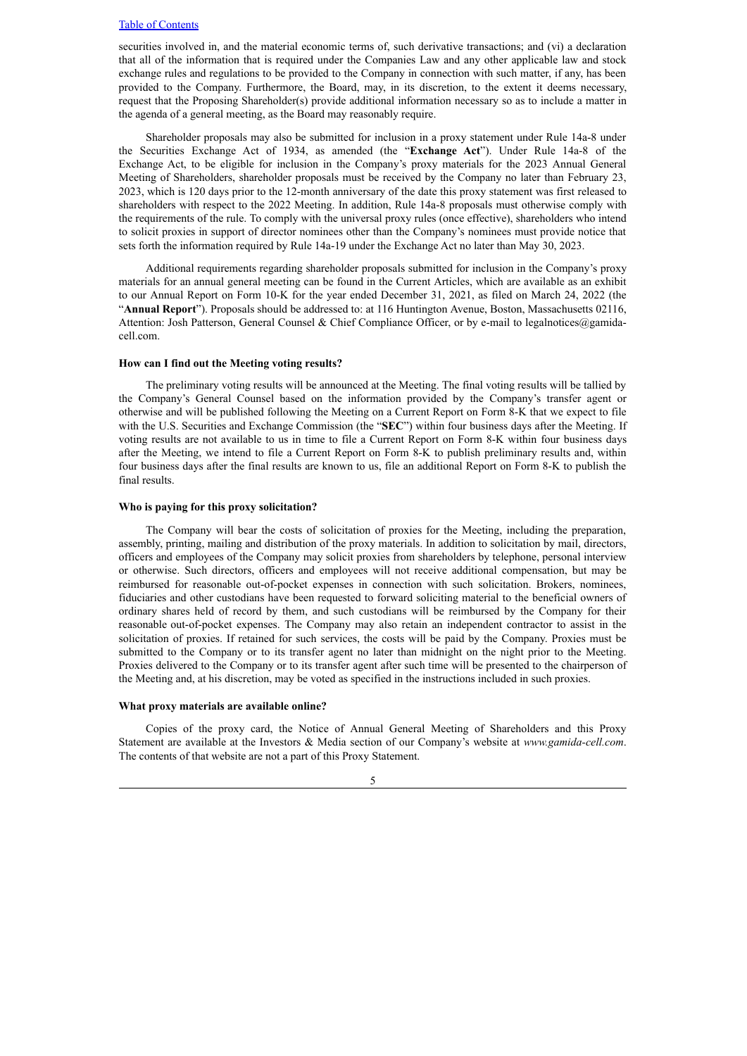securities involved in, and the material economic terms of, such derivative transactions; and (vi) a declaration that all of the information that is required under the Companies Law and any other applicable law and stock exchange rules and regulations to be provided to the Company in connection with such matter, if any, has been provided to the Company. Furthermore, the Board, may, in its discretion, to the extent it deems necessary, request that the Proposing Shareholder(s) provide additional information necessary so as to include a matter in the agenda of a general meeting, as the Board may reasonably require.

Shareholder proposals may also be submitted for inclusion in a proxy statement under Rule 14a-8 under the Securities Exchange Act of 1934, as amended (the "**Exchange Act**"). Under Rule 14a-8 of the Exchange Act, to be eligible for inclusion in the Company's proxy materials for the 2023 Annual General Meeting of Shareholders, shareholder proposals must be received by the Company no later than February 23, 2023, which is 120 days prior to the 12-month anniversary of the date this proxy statement was first released to shareholders with respect to the 2022 Meeting. In addition, Rule 14a-8 proposals must otherwise comply with the requirements of the rule. To comply with the universal proxy rules (once effective), shareholders who intend to solicit proxies in support of director nominees other than the Company's nominees must provide notice that sets forth the information required by Rule 14a-19 under the Exchange Act no later than May 30, 2023.

Additional requirements regarding shareholder proposals submitted for inclusion in the Company's proxy materials for an annual general meeting can be found in the Current Articles, which are available as an exhibit to our Annual Report on Form 10-K for the year ended December 31, 2021, as filed on March 24, 2022 (the "**Annual Report**"). Proposals should be addressed to: at 116 Huntington Avenue, Boston, Massachusetts 02116, Attention: Josh Patterson, General Counsel & Chief Compliance Officer, or by e-mail to legalnotices@gamidacell.com.

## **How can I find out the Meeting voting results?**

The preliminary voting results will be announced at the Meeting. The final voting results will be tallied by the Company's General Counsel based on the information provided by the Company's transfer agent or otherwise and will be published following the Meeting on a Current Report on Form 8-K that we expect to file with the U.S. Securities and Exchange Commission (the "**SEC**") within four business days after the Meeting. If voting results are not available to us in time to file a Current Report on Form 8-K within four business days after the Meeting, we intend to file a Current Report on Form 8-K to publish preliminary results and, within four business days after the final results are known to us, file an additional Report on Form 8-K to publish the final results.

#### **Who is paying for this proxy solicitation?**

The Company will bear the costs of solicitation of proxies for the Meeting, including the preparation, assembly, printing, mailing and distribution of the proxy materials. In addition to solicitation by mail, directors, officers and employees of the Company may solicit proxies from shareholders by telephone, personal interview or otherwise. Such directors, officers and employees will not receive additional compensation, but may be reimbursed for reasonable out-of-pocket expenses in connection with such solicitation. Brokers, nominees, fiduciaries and other custodians have been requested to forward soliciting material to the beneficial owners of ordinary shares held of record by them, and such custodians will be reimbursed by the Company for their reasonable out-of-pocket expenses. The Company may also retain an independent contractor to assist in the solicitation of proxies. If retained for such services, the costs will be paid by the Company. Proxies must be submitted to the Company or to its transfer agent no later than midnight on the night prior to the Meeting. Proxies delivered to the Company or to its transfer agent after such time will be presented to the chairperson of the Meeting and, at his discretion, may be voted as specified in the instructions included in such proxies.

#### **What proxy materials are available online?**

Copies of the proxy card, the Notice of Annual General Meeting of Shareholders and this Proxy Statement are available at the Investors & Media section of our Company's website at *www.gamida-cell.com*. The contents of that website are not a part of this Proxy Statement.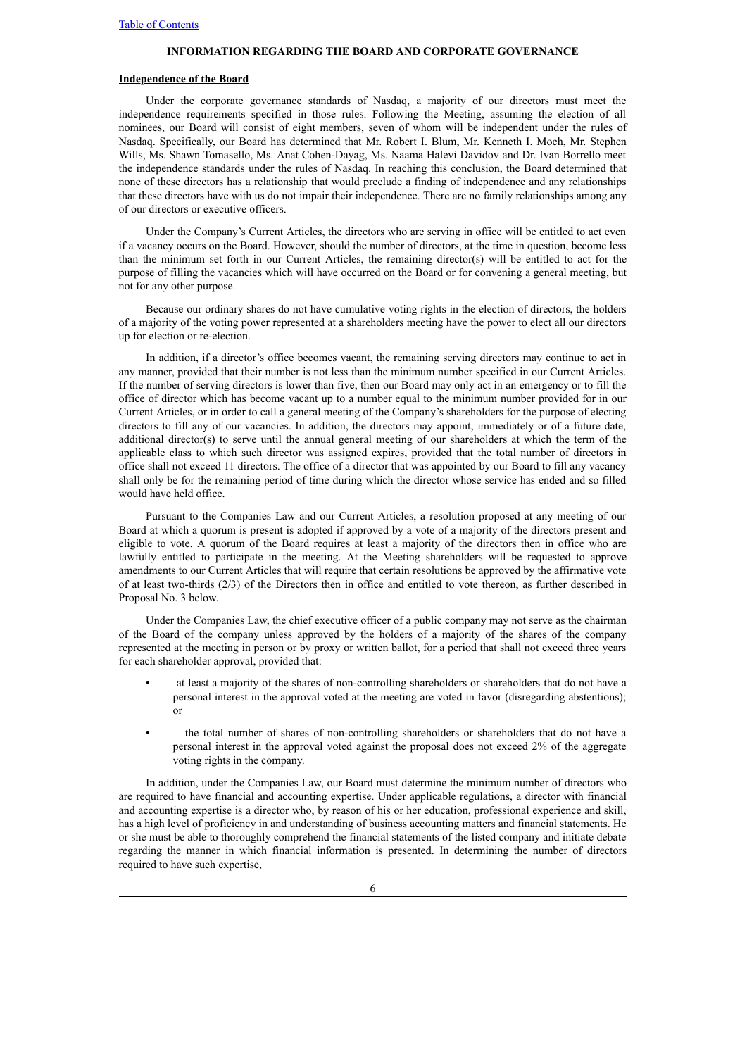### **INFORMATION REGARDING THE BOARD AND CORPORATE GOVERNANCE**

#### <span id="page-10-1"></span><span id="page-10-0"></span>**Independence of the Board**

Under the corporate governance standards of Nasdaq, a majority of our directors must meet the independence requirements specified in those rules. Following the Meeting, assuming the election of all nominees, our Board will consist of eight members, seven of whom will be independent under the rules of Nasdaq. Specifically, our Board has determined that Mr. Robert I. Blum, Mr. Kenneth I. Moch, Mr. Stephen Wills, Ms. Shawn Tomasello, Ms. Anat Cohen-Dayag, Ms. Naama Halevi Davidov and Dr. Ivan Borrello meet the independence standards under the rules of Nasdaq. In reaching this conclusion, the Board determined that none of these directors has a relationship that would preclude a finding of independence and any relationships that these directors have with us do not impair their independence. There are no family relationships among any of our directors or executive officers.

Under the Company's Current Articles, the directors who are serving in office will be entitled to act even if a vacancy occurs on the Board. However, should the number of directors, at the time in question, become less than the minimum set forth in our Current Articles, the remaining director(s) will be entitled to act for the purpose of filling the vacancies which will have occurred on the Board or for convening a general meeting, but not for any other purpose.

Because our ordinary shares do not have cumulative voting rights in the election of directors, the holders of a majority of the voting power represented at a shareholders meeting have the power to elect all our directors up for election or re-election.

In addition, if a director's office becomes vacant, the remaining serving directors may continue to act in any manner, provided that their number is not less than the minimum number specified in our Current Articles. If the number of serving directors is lower than five, then our Board may only act in an emergency or to fill the office of director which has become vacant up to a number equal to the minimum number provided for in our Current Articles, or in order to call a general meeting of the Company's shareholders for the purpose of electing directors to fill any of our vacancies. In addition, the directors may appoint, immediately or of a future date, additional director(s) to serve until the annual general meeting of our shareholders at which the term of the applicable class to which such director was assigned expires, provided that the total number of directors in office shall not exceed 11 directors. The office of a director that was appointed by our Board to fill any vacancy shall only be for the remaining period of time during which the director whose service has ended and so filled would have held office.

Pursuant to the Companies Law and our Current Articles, a resolution proposed at any meeting of our Board at which a quorum is present is adopted if approved by a vote of a majority of the directors present and eligible to vote. A quorum of the Board requires at least a majority of the directors then in office who are lawfully entitled to participate in the meeting. At the Meeting shareholders will be requested to approve amendments to our Current Articles that will require that certain resolutions be approved by the affirmative vote of at least two-thirds (2/3) of the Directors then in office and entitled to vote thereon, as further described in Proposal No. 3 below.

Under the Companies Law, the chief executive officer of a public company may not serve as the chairman of the Board of the company unless approved by the holders of a majority of the shares of the company represented at the meeting in person or by proxy or written ballot, for a period that shall not exceed three years for each shareholder approval, provided that:

- at least a majority of the shares of non-controlling shareholders or shareholders that do not have a personal interest in the approval voted at the meeting are voted in favor (disregarding abstentions); or
- the total number of shares of non-controlling shareholders or shareholders that do not have a personal interest in the approval voted against the proposal does not exceed 2% of the aggregate voting rights in the company.

In addition, under the Companies Law, our Board must determine the minimum number of directors who are required to have financial and accounting expertise. Under applicable regulations, a director with financial and accounting expertise is a director who, by reason of his or her education, professional experience and skill, has a high level of proficiency in and understanding of business accounting matters and financial statements. He or she must be able to thoroughly comprehend the financial statements of the listed company and initiate debate regarding the manner in which financial information is presented. In determining the number of directors required to have such expertise,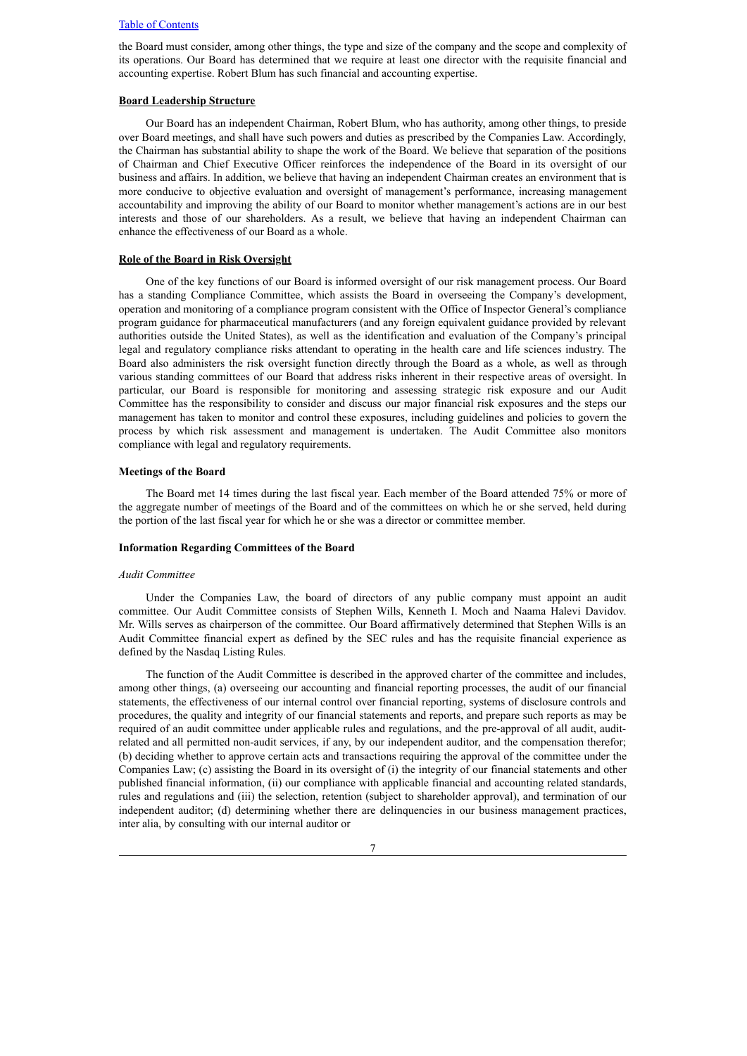the Board must consider, among other things, the type and size of the company and the scope and complexity of its operations. Our Board has determined that we require at least one director with the requisite financial and accounting expertise. Robert Blum has such financial and accounting expertise.

### **Board Leadership Structure**

Our Board has an independent Chairman, Robert Blum, who has authority, among other things, to preside over Board meetings, and shall have such powers and duties as prescribed by the Companies Law. Accordingly, the Chairman has substantial ability to shape the work of the Board. We believe that separation of the positions of Chairman and Chief Executive Officer reinforces the independence of the Board in its oversight of our business and affairs. In addition, we believe that having an independent Chairman creates an environment that is more conducive to objective evaluation and oversight of management's performance, increasing management accountability and improving the ability of our Board to monitor whether management's actions are in our best interests and those of our shareholders. As a result, we believe that having an independent Chairman can enhance the effectiveness of our Board as a whole.

## **Role of the Board in Risk Oversight**

One of the key functions of our Board is informed oversight of our risk management process. Our Board has a standing Compliance Committee, which assists the Board in overseeing the Company's development, operation and monitoring of a compliance program consistent with the Office of Inspector General's compliance program guidance for pharmaceutical manufacturers (and any foreign equivalent guidance provided by relevant authorities outside the United States), as well as the identification and evaluation of the Company's principal legal and regulatory compliance risks attendant to operating in the health care and life sciences industry. The Board also administers the risk oversight function directly through the Board as a whole, as well as through various standing committees of our Board that address risks inherent in their respective areas of oversight. In particular, our Board is responsible for monitoring and assessing strategic risk exposure and our Audit Committee has the responsibility to consider and discuss our major financial risk exposures and the steps our management has taken to monitor and control these exposures, including guidelines and policies to govern the process by which risk assessment and management is undertaken. The Audit Committee also monitors compliance with legal and regulatory requirements.

### **Meetings of the Board**

The Board met 14 times during the last fiscal year. Each member of the Board attended 75% or more of the aggregate number of meetings of the Board and of the committees on which he or she served, held during the portion of the last fiscal year for which he or she was a director or committee member.

### <span id="page-11-0"></span>**Information Regarding Committees of the Board**

#### <span id="page-11-1"></span>*Audit Committee*

Under the Companies Law, the board of directors of any public company must appoint an audit committee. Our Audit Committee consists of Stephen Wills, Kenneth I. Moch and Naama Halevi Davidov. Mr. Wills serves as chairperson of the committee. Our Board affirmatively determined that Stephen Wills is an Audit Committee financial expert as defined by the SEC rules and has the requisite financial experience as defined by the Nasdaq Listing Rules.

The function of the Audit Committee is described in the approved charter of the committee and includes, among other things, (a) overseeing our accounting and financial reporting processes, the audit of our financial statements, the effectiveness of our internal control over financial reporting, systems of disclosure controls and procedures, the quality and integrity of our financial statements and reports, and prepare such reports as may be required of an audit committee under applicable rules and regulations, and the pre-approval of all audit, auditrelated and all permitted non-audit services, if any, by our independent auditor, and the compensation therefor; (b) deciding whether to approve certain acts and transactions requiring the approval of the committee under the Companies Law; (c) assisting the Board in its oversight of (i) the integrity of our financial statements and other published financial information, (ii) our compliance with applicable financial and accounting related standards, rules and regulations and (iii) the selection, retention (subject to shareholder approval), and termination of our independent auditor; (d) determining whether there are delinquencies in our business management practices, inter alia, by consulting with our internal auditor or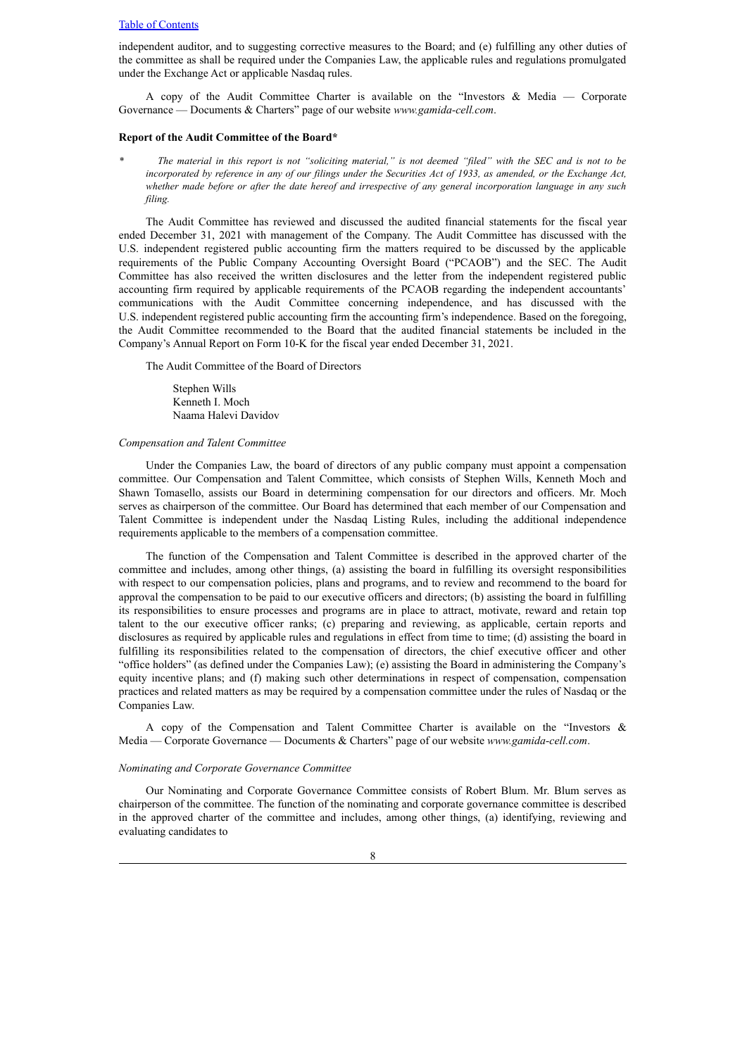independent auditor, and to suggesting corrective measures to the Board; and (e) fulfilling any other duties of the committee as shall be required under the Companies Law, the applicable rules and regulations promulgated under the Exchange Act or applicable Nasdaq rules.

A copy of the Audit Committee Charter is available on the "Investors & Media — Corporate Governance — Documents & Charters" page of our website *www.gamida-cell.com*.

#### **Report of the Audit Committee of the Board\***

*\* The material in this report is not "soliciting material," is not deemed "filed" with the SEC and is not to be incorporated by reference in any of our filings under the Securities Act of 1933, as amended, or the Exchange Act, whether made before or after the date hereof and irrespective of any general incorporation language in any such filing.*

The Audit Committee has reviewed and discussed the audited financial statements for the fiscal year ended December 31, 2021 with management of the Company. The Audit Committee has discussed with the U.S. independent registered public accounting firm the matters required to be discussed by the applicable requirements of the Public Company Accounting Oversight Board ("PCAOB") and the SEC. The Audit Committee has also received the written disclosures and the letter from the independent registered public accounting firm required by applicable requirements of the PCAOB regarding the independent accountants' communications with the Audit Committee concerning independence, and has discussed with the U.S. independent registered public accounting firm the accounting firm's independence. Based on the foregoing, the Audit Committee recommended to the Board that the audited financial statements be included in the Company's Annual Report on Form 10-K for the fiscal year ended December 31, 2021.

The Audit Committee of the Board of Directors

Stephen Wills Kenneth I. Moch Naama Halevi Davidov

### <span id="page-12-0"></span>*Compensation and Talent Committee*

Under the Companies Law, the board of directors of any public company must appoint a compensation committee. Our Compensation and Talent Committee, which consists of Stephen Wills, Kenneth Moch and Shawn Tomasello, assists our Board in determining compensation for our directors and officers. Mr. Moch serves as chairperson of the committee. Our Board has determined that each member of our Compensation and Talent Committee is independent under the Nasdaq Listing Rules, including the additional independence requirements applicable to the members of a compensation committee.

The function of the Compensation and Talent Committee is described in the approved charter of the committee and includes, among other things, (a) assisting the board in fulfilling its oversight responsibilities with respect to our compensation policies, plans and programs, and to review and recommend to the board for approval the compensation to be paid to our executive officers and directors; (b) assisting the board in fulfilling its responsibilities to ensure processes and programs are in place to attract, motivate, reward and retain top talent to the our executive officer ranks; (c) preparing and reviewing, as applicable, certain reports and disclosures as required by applicable rules and regulations in effect from time to time; (d) assisting the board in fulfilling its responsibilities related to the compensation of directors, the chief executive officer and other "office holders" (as defined under the Companies Law); (e) assisting the Board in administering the Company's equity incentive plans; and (f) making such other determinations in respect of compensation, compensation practices and related matters as may be required by a compensation committee under the rules of Nasdaq or the Companies Law.

A copy of the Compensation and Talent Committee Charter is available on the "Investors & Media — Corporate Governance — Documents & Charters" page of our website *www.gamida-cell.com*.

#### <span id="page-12-1"></span>*Nominating and Corporate Governance Committee*

Our Nominating and Corporate Governance Committee consists of Robert Blum. Mr. Blum serves as chairperson of the committee. The function of the nominating and corporate governance committee is described in the approved charter of the committee and includes, among other things, (a) identifying, reviewing and evaluating candidates to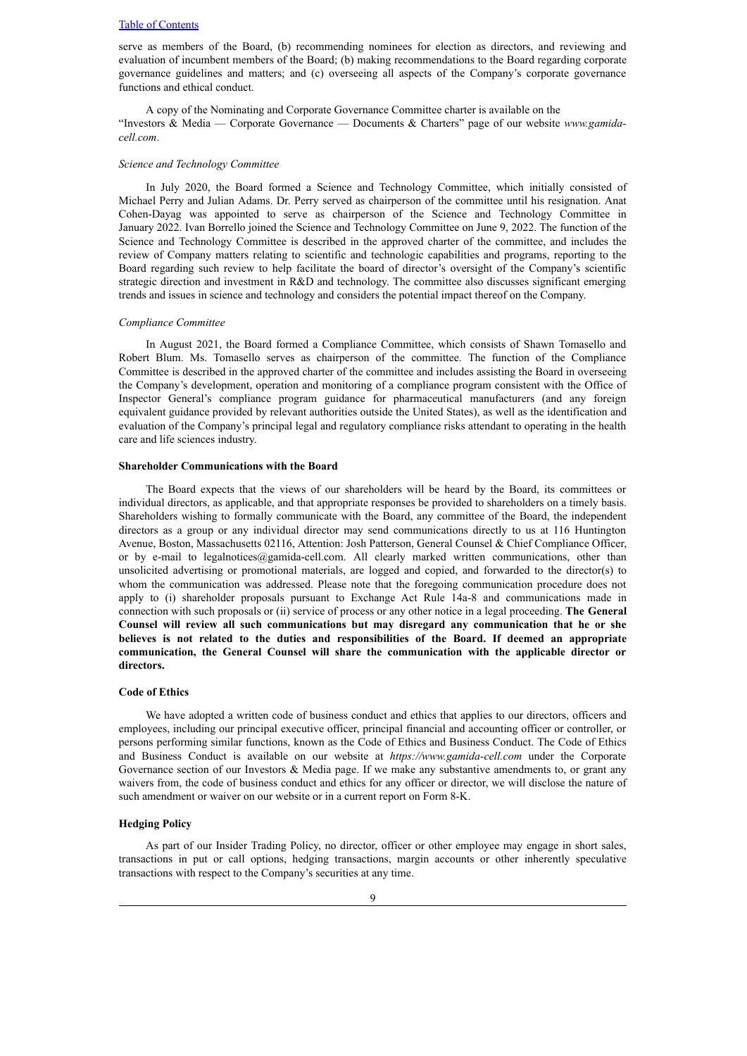serve as members of the Board, (b) recommending nominees for election as directors, and reviewing and evaluation of incumbent members of the Board; (b) making recommendations to the Board regarding corporate governance guidelines and matters; and (c) overseeing all aspects of the Company's corporate governance functions and ethical conduct.

A copy of the Nominating and Corporate Governance Committee charter is available on the "Investors & Media — Corporate Governance — Documents & Charters" page of our website *www.gamidacell.com*.

#### <span id="page-13-0"></span>*Science and Technology Committee*

In July 2020, the Board formed a Science and Technology Committee, which initially consisted of Michael Perry and Julian Adams. Dr. Perry served as chairperson of the committee until his resignation. Anat Cohen-Dayag was appointed to serve as chairperson of the Science and Technology Committee in January 2022. Ivan Borrello joined the Science and Technology Committee on June 9, 2022. The function of the Science and Technology Committee is described in the approved charter of the committee, and includes the review of Company matters relating to scientific and technologic capabilities and programs, reporting to the Board regarding such review to help facilitate the board of director's oversight of the Company's scientific strategic direction and investment in R&D and technology. The committee also discusses significant emerging trends and issues in science and technology and considers the potential impact thereof on the Company.

#### <span id="page-13-1"></span>*Compliance Committee*

In August 2021, the Board formed a Compliance Committee, which consists of Shawn Tomasello and Robert Blum. Ms. Tomasello serves as chairperson of the committee. The function of the Compliance Committee is described in the approved charter of the committee and includes assisting the Board in overseeing the Company's development, operation and monitoring of a compliance program consistent with the Office of Inspector General's compliance program guidance for pharmaceutical manufacturers (and any foreign equivalent guidance provided by relevant authorities outside the United States), as well as the identification and evaluation of the Company's principal legal and regulatory compliance risks attendant to operating in the health care and life sciences industry.

#### <span id="page-13-2"></span>**Shareholder Communications with the Board**

The Board expects that the views of our shareholders will be heard by the Board, its committees or individual directors, as applicable, and that appropriate responses be provided to shareholders on a timely basis. Shareholders wishing to formally communicate with the Board, any committee of the Board, the independent directors as a group or any individual director may send communications directly to us at 116 Huntington Avenue, Boston, Massachusetts 02116, Attention: Josh Patterson, General Counsel & Chief Compliance Officer, or by e-mail to legalnotices@gamida-cell.com. All clearly marked written communications, other than unsolicited advertising or promotional materials, are logged and copied, and forwarded to the director(s) to whom the communication was addressed. Please note that the foregoing communication procedure does not apply to (i) shareholder proposals pursuant to Exchange Act Rule 14a-8 and communications made in connection with such proposals or (ii) service of process or any other notice in a legal proceeding. **The General Counsel will review all such communications but may disregard any communication that he or she believes is not related to the duties and responsibilities of the Board. If deemed an appropriate communication, the General Counsel will share the communication with the applicable director or directors.**

#### <span id="page-13-3"></span>**Code of Ethics**

We have adopted a written code of business conduct and ethics that applies to our directors, officers and employees, including our principal executive officer, principal financial and accounting officer or controller, or persons performing similar functions, known as the Code of Ethics and Business Conduct. The Code of Ethics and Business Conduct is available on our website at *https://www.gamida-cell.com* under the Corporate Governance section of our Investors & Media page. If we make any substantive amendments to, or grant any waivers from, the code of business conduct and ethics for any officer or director, we will disclose the nature of such amendment or waiver on our website or in a current report on Form 8-K.

### <span id="page-13-4"></span>**Hedging Policy**

As part of our Insider Trading Policy, no director, officer or other employee may engage in short sales, transactions in put or call options, hedging transactions, margin accounts or other inherently speculative transactions with respect to the Company's securities at any time.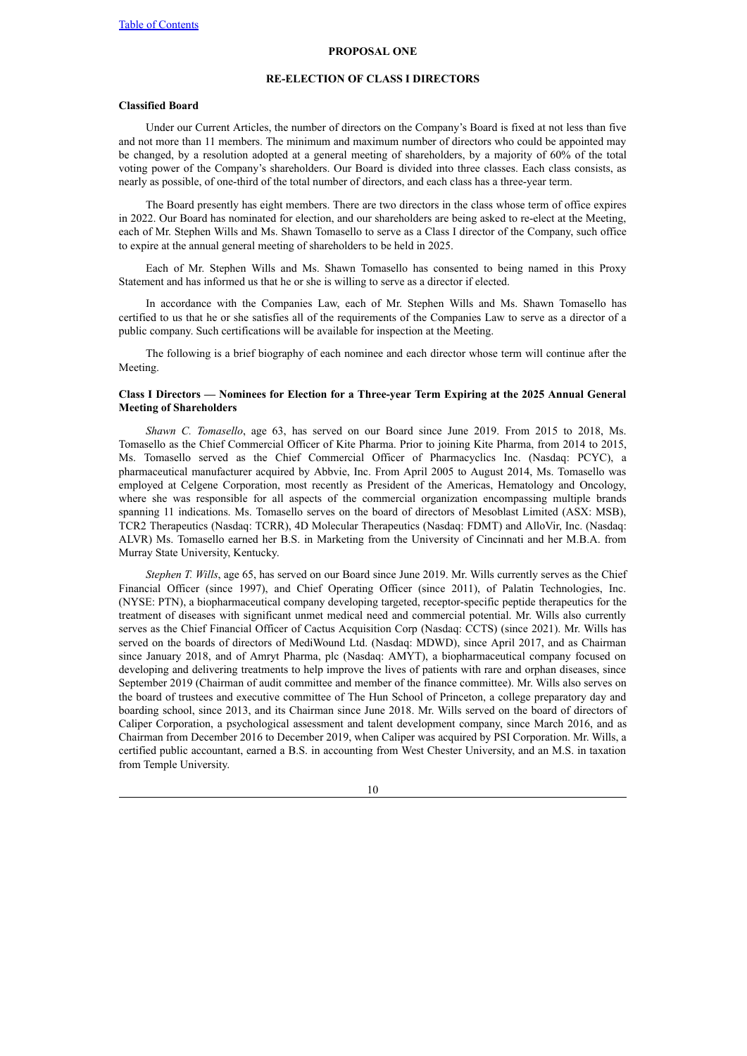#### **PROPOSAL ONE**

### **RE-ELECTION OF CLASS I DIRECTORS**

## <span id="page-14-0"></span>**Classified Board**

Under our Current Articles, the number of directors on the Company's Board is fixed at not less than five and not more than 11 members. The minimum and maximum number of directors who could be appointed may be changed, by a resolution adopted at a general meeting of shareholders, by a majority of 60% of the total voting power of the Company's shareholders. Our Board is divided into three classes. Each class consists, as nearly as possible, of one-third of the total number of directors, and each class has a three-year term.

The Board presently has eight members. There are two directors in the class whose term of office expires in 2022. Our Board has nominated for election, and our shareholders are being asked to re-elect at the Meeting, each of Mr. Stephen Wills and Ms. Shawn Tomasello to serve as a Class I director of the Company, such office to expire at the annual general meeting of shareholders to be held in 2025.

Each of Mr. Stephen Wills and Ms. Shawn Tomasello has consented to being named in this Proxy Statement and has informed us that he or she is willing to serve as a director if elected.

In accordance with the Companies Law, each of Mr. Stephen Wills and Ms. Shawn Tomasello has certified to us that he or she satisfies all of the requirements of the Companies Law to serve as a director of a public company. Such certifications will be available for inspection at the Meeting.

The following is a brief biography of each nominee and each director whose term will continue after the Meeting.

## **Class I Directors — Nominees for Election for a Three-year Term Expiring at the 2025 Annual General Meeting of Shareholders**

*Shawn C. Tomasello*, age 63, has served on our Board since June 2019. From 2015 to 2018, Ms. Tomasello as the Chief Commercial Officer of Kite Pharma. Prior to joining Kite Pharma, from 2014 to 2015, Ms. Tomasello served as the Chief Commercial Officer of Pharmacyclics Inc. (Nasdaq: PCYC), a pharmaceutical manufacturer acquired by Abbvie, Inc. From April 2005 to August 2014, Ms. Tomasello was employed at Celgene Corporation, most recently as President of the Americas, Hematology and Oncology, where she was responsible for all aspects of the commercial organization encompassing multiple brands spanning 11 indications. Ms. Tomasello serves on the board of directors of Mesoblast Limited (ASX: MSB), TCR2 Therapeutics (Nasdaq: TCRR), 4D Molecular Therapeutics (Nasdaq: FDMT) and AlloVir, Inc. (Nasdaq: ALVR) Ms. Tomasello earned her B.S. in Marketing from the University of Cincinnati and her M.B.A. from Murray State University, Kentucky.

*Stephen T. Wills*, age 65, has served on our Board since June 2019. Mr. Wills currently serves as the Chief Financial Officer (since 1997), and Chief Operating Officer (since 2011), of Palatin Technologies, Inc. (NYSE: PTN), a biopharmaceutical company developing targeted, receptor-specific peptide therapeutics for the treatment of diseases with significant unmet medical need and commercial potential. Mr. Wills also currently serves as the Chief Financial Officer of Cactus Acquisition Corp (Nasdaq: CCTS) (since 2021). Mr. Wills has served on the boards of directors of MediWound Ltd. (Nasdaq: MDWD), since April 2017, and as Chairman since January 2018, and of Amryt Pharma, plc (Nasdaq: AMYT), a biopharmaceutical company focused on developing and delivering treatments to help improve the lives of patients with rare and orphan diseases, since September 2019 (Chairman of audit committee and member of the finance committee). Mr. Wills also serves on the board of trustees and executive committee of The Hun School of Princeton, a college preparatory day and boarding school, since 2013, and its Chairman since June 2018. Mr. Wills served on the board of directors of Caliper Corporation, a psychological assessment and talent development company, since March 2016, and as Chairman from December 2016 to December 2019, when Caliper was acquired by PSI Corporation. Mr. Wills, a certified public accountant, earned a B.S. in accounting from West Chester University, and an M.S. in taxation from Temple University.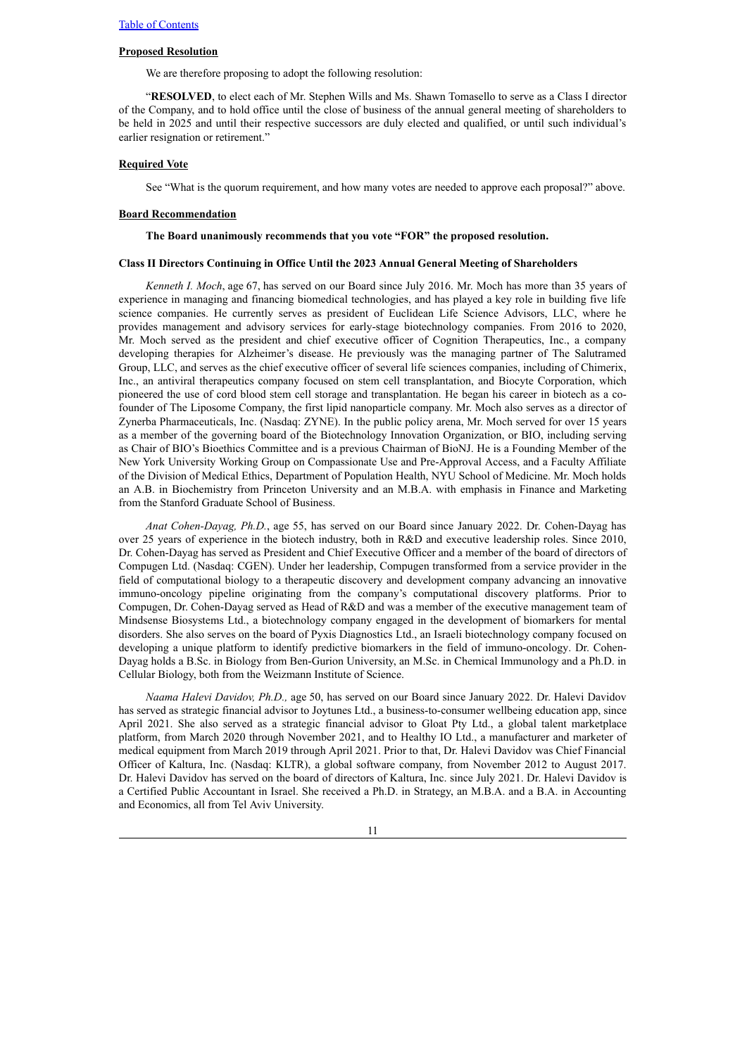## **Proposed Resolution**

We are therefore proposing to adopt the following resolution:

"**RESOLVED**, to elect each of Mr. Stephen Wills and Ms. Shawn Tomasello to serve as a Class I director of the Company, and to hold office until the close of business of the annual general meeting of shareholders to be held in 2025 and until their respective successors are duly elected and qualified, or until such individual's earlier resignation or retirement."

#### **Required Vote**

See "What is the quorum requirement, and how many votes are needed to approve each proposal?" above.

#### **Board Recommendation**

#### **The Board unanimously recommends that you vote "FOR" the proposed resolution.**

#### **Class II Directors Continuing in Office Until the 2023 Annual General Meeting of Shareholders**

*Kenneth I. Moch*, age 67, has served on our Board since July 2016. Mr. Moch has more than 35 years of experience in managing and financing biomedical technologies, and has played a key role in building five life science companies. He currently serves as president of Euclidean Life Science Advisors, LLC, where he provides management and advisory services for early-stage biotechnology companies. From 2016 to 2020, Mr. Moch served as the president and chief executive officer of Cognition Therapeutics, Inc., a company developing therapies for Alzheimer's disease. He previously was the managing partner of The Salutramed Group, LLC, and serves as the chief executive officer of several life sciences companies, including of Chimerix, Inc., an antiviral therapeutics company focused on stem cell transplantation, and Biocyte Corporation, which pioneered the use of cord blood stem cell storage and transplantation. He began his career in biotech as a cofounder of The Liposome Company, the first lipid nanoparticle company. Mr. Moch also serves as a director of Zynerba Pharmaceuticals, Inc. (Nasdaq: ZYNE). In the public policy arena, Mr. Moch served for over 15 years as a member of the governing board of the Biotechnology Innovation Organization, or BIO, including serving as Chair of BIO's Bioethics Committee and is a previous Chairman of BioNJ. He is a Founding Member of the New York University Working Group on Compassionate Use and Pre-Approval Access, and a Faculty Affiliate of the Division of Medical Ethics, Department of Population Health, NYU School of Medicine. Mr. Moch holds an A.B. in Biochemistry from Princeton University and an M.B.A. with emphasis in Finance and Marketing from the Stanford Graduate School of Business.

*Anat Cohen-Dayag, Ph.D.*, age 55, has served on our Board since January 2022. Dr. Cohen-Dayag has over 25 years of experience in the biotech industry, both in R&D and executive leadership roles. Since 2010, Dr. Cohen-Dayag has served as President and Chief Executive Officer and a member of the board of directors of Compugen Ltd. (Nasdaq: CGEN). Under her leadership, Compugen transformed from a service provider in the field of computational biology to a therapeutic discovery and development company advancing an innovative immuno-oncology pipeline originating from the company's computational discovery platforms. Prior to Compugen, Dr. Cohen-Dayag served as Head of R&D and was a member of the executive management team of Mindsense Biosystems Ltd., a biotechnology company engaged in the development of biomarkers for mental disorders. She also serves on the board of Pyxis Diagnostics Ltd., an Israeli biotechnology company focused on developing a unique platform to identify predictive biomarkers in the field of immuno-oncology. Dr. Cohen-Dayag holds a B.Sc. in Biology from Ben-Gurion University, an M.Sc. in Chemical Immunology and a Ph.D. in Cellular Biology, both from the Weizmann Institute of Science.

*Naama Halevi Davidov, Ph.D.,* age 50, has served on our Board since January 2022. Dr. Halevi Davidov has served as strategic financial advisor to Joytunes Ltd., a business-to-consumer wellbeing education app, since April 2021. She also served as a strategic financial advisor to Gloat Pty Ltd., a global talent marketplace platform, from March 2020 through November 2021, and to Healthy IO Ltd., a manufacturer and marketer of medical equipment from March 2019 through April 2021. Prior to that, Dr. Halevi Davidov was Chief Financial Officer of Kaltura, Inc. (Nasdaq: KLTR), a global software company, from November 2012 to August 2017. Dr. Halevi Davidov has served on the board of directors of Kaltura, Inc. since July 2021. Dr. Halevi Davidov is a Certified Public Accountant in Israel. She received a Ph.D. in Strategy, an M.B.A. and a B.A. in Accounting and Economics, all from Tel Aviv University.

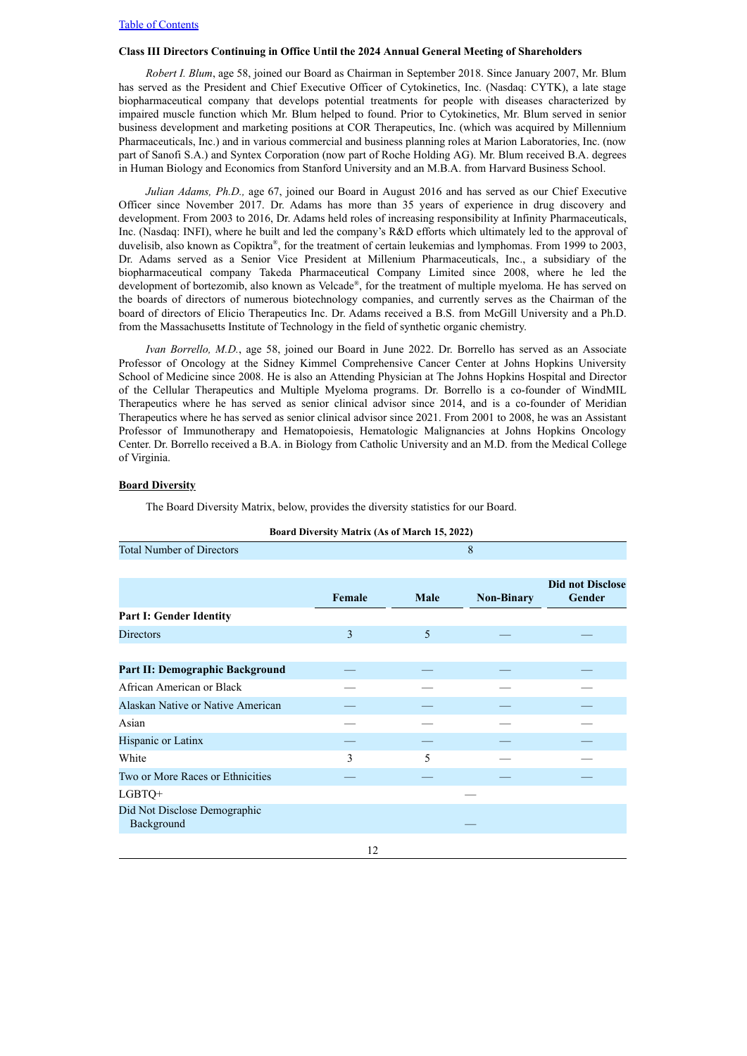### **Class III Directors Continuing in Office Until the 2024 Annual General Meeting of Shareholders**

*Robert I. Blum*, age 58, joined our Board as Chairman in September 2018. Since January 2007, Mr. Blum has served as the President and Chief Executive Officer of Cytokinetics, Inc. (Nasdaq: CYTK), a late stage biopharmaceutical company that develops potential treatments for people with diseases characterized by impaired muscle function which Mr. Blum helped to found. Prior to Cytokinetics, Mr. Blum served in senior business development and marketing positions at COR Therapeutics, Inc. (which was acquired by Millennium Pharmaceuticals, Inc.) and in various commercial and business planning roles at Marion Laboratories, Inc. (now part of Sanofi S.A.) and Syntex Corporation (now part of Roche Holding AG). Mr. Blum received B.A. degrees in Human Biology and Economics from Stanford University and an M.B.A. from Harvard Business School.

*Julian Adams, Ph.D.,* age 67, joined our Board in August 2016 and has served as our Chief Executive Officer since November 2017. Dr. Adams has more than 35 years of experience in drug discovery and development. From 2003 to 2016, Dr. Adams held roles of increasing responsibility at Infinity Pharmaceuticals, Inc. (Nasdaq: INFI), where he built and led the company's R&D efforts which ultimately led to the approval of duvelisib, also known as Copiktra®, for the treatment of certain leukemias and lymphomas. From 1999 to 2003, Dr. Adams served as a Senior Vice President at Millenium Pharmaceuticals, Inc., a subsidiary of the biopharmaceutical company Takeda Pharmaceutical Company Limited since 2008, where he led the development of bortezomib, also known as Velcade ® , for the treatment of multiple myeloma. He has served on the boards of directors of numerous biotechnology companies, and currently serves as the Chairman of the board of directors of Elicio Therapeutics Inc. Dr. Adams received a B.S. from McGill University and a Ph.D. from the Massachusetts Institute of Technology in the field of synthetic organic chemistry.

*Ivan Borrello, M.D.*, age 58, joined our Board in June 2022. Dr. Borrello has served as an Associate Professor of Oncology at the Sidney Kimmel Comprehensive Cancer Center at Johns Hopkins University School of Medicine since 2008. He is also an Attending Physician at The Johns Hopkins Hospital and Director of the Cellular Therapeutics and Multiple Myeloma programs. Dr. Borrello is a co-founder of WindMIL Therapeutics where he has served as senior clinical advisor since 2014, and is a co-founder of Meridian Therapeutics where he has served as senior clinical advisor since 2021. From 2001 to 2008, he was an Assistant Professor of Immunotherapy and Hematopoiesis, Hematologic Malignancies at Johns Hopkins Oncology Center. Dr. Borrello received a B.A. in Biology from Catholic University and an M.D. from the Medical College of Virginia.

## **Board Diversity**

The Board Diversity Matrix, below, provides the diversity statistics for our Board.

| <b>Total Number of Directors</b>           |        |             | 8                 |                                   |
|--------------------------------------------|--------|-------------|-------------------|-----------------------------------|
|                                            |        |             |                   |                                   |
|                                            | Female | <b>Male</b> | <b>Non-Binary</b> | <b>Did not Disclose</b><br>Gender |
| Part I: Gender Identity                    |        |             |                   |                                   |
| <b>Directors</b>                           | 3      | 5           |                   |                                   |
|                                            |        |             |                   |                                   |
| Part II: Demographic Background            |        |             |                   |                                   |
| African American or Black                  |        |             |                   |                                   |
| Alaskan Native or Native American          |        |             |                   |                                   |
| Asian                                      |        |             |                   |                                   |
| Hispanic or Latinx                         |        |             |                   |                                   |
| White                                      | 3      | 5           |                   |                                   |
| Two or More Races or Ethnicities           |        |             |                   |                                   |
| LGBTQ+                                     |        |             |                   |                                   |
| Did Not Disclose Demographic<br>Background |        |             |                   |                                   |
|                                            | 12     |             |                   |                                   |

#### **Board Diversity Matrix (As of March 15, 2022)**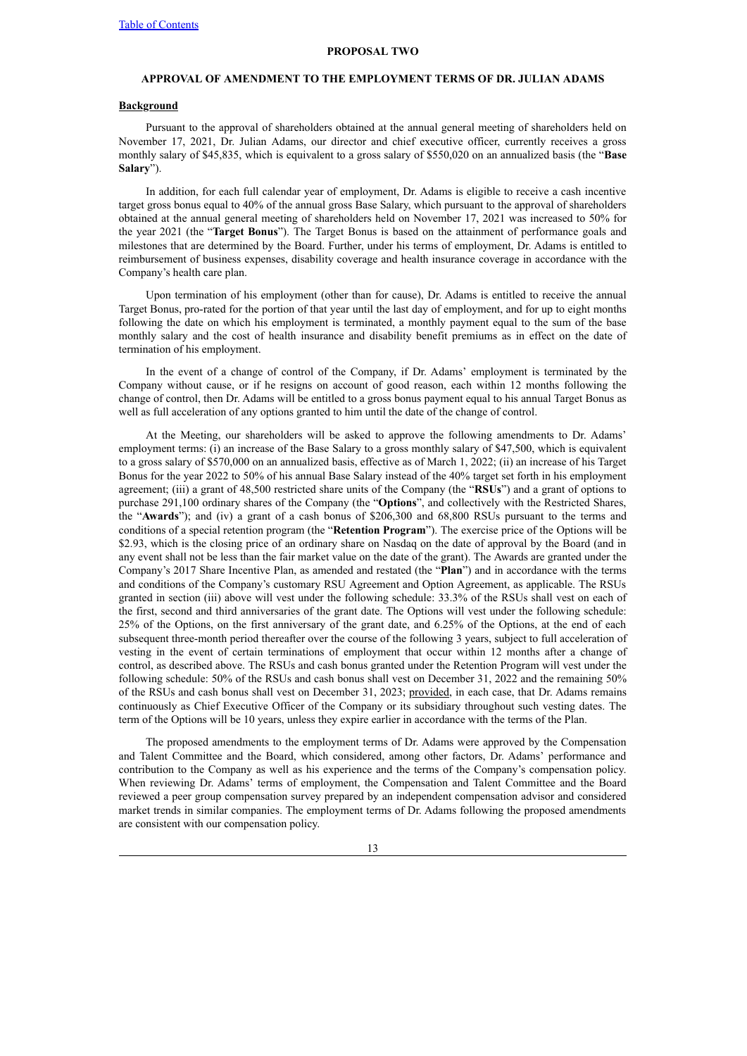#### **PROPOSAL TWO**

# <span id="page-17-0"></span>**APPROVAL OF AMENDMENT TO THE EMPLOYMENT TERMS OF DR. JULIAN ADAMS**

## **Background**

Pursuant to the approval of shareholders obtained at the annual general meeting of shareholders held on November 17, 2021, Dr. Julian Adams, our director and chief executive officer, currently receives a gross monthly salary of \$45,835, which is equivalent to a gross salary of \$550,020 on an annualized basis (the "**Base Salary**").

In addition, for each full calendar year of employment, Dr. Adams is eligible to receive a cash incentive target gross bonus equal to 40% of the annual gross Base Salary, which pursuant to the approval of shareholders obtained at the annual general meeting of shareholders held on November 17, 2021 was increased to 50% for the year 2021 (the "**Target Bonus**"). The Target Bonus is based on the attainment of performance goals and milestones that are determined by the Board. Further, under his terms of employment, Dr. Adams is entitled to reimbursement of business expenses, disability coverage and health insurance coverage in accordance with the Company's health care plan.

Upon termination of his employment (other than for cause), Dr. Adams is entitled to receive the annual Target Bonus, pro-rated for the portion of that year until the last day of employment, and for up to eight months following the date on which his employment is terminated, a monthly payment equal to the sum of the base monthly salary and the cost of health insurance and disability benefit premiums as in effect on the date of termination of his employment.

In the event of a change of control of the Company, if Dr. Adams' employment is terminated by the Company without cause, or if he resigns on account of good reason, each within 12 months following the change of control, then Dr. Adams will be entitled to a gross bonus payment equal to his annual Target Bonus as well as full acceleration of any options granted to him until the date of the change of control.

At the Meeting, our shareholders will be asked to approve the following amendments to Dr. Adams' employment terms: (i) an increase of the Base Salary to a gross monthly salary of \$47,500, which is equivalent to a gross salary of \$570,000 on an annualized basis, effective as of March 1, 2022; (ii) an increase of his Target Bonus for the year 2022 to 50% of his annual Base Salary instead of the 40% target set forth in his employment agreement; (iii) a grant of 48,500 restricted share units of the Company (the "**RSUs**") and a grant of options to purchase 291,100 ordinary shares of the Company (the "**Options**", and collectively with the Restricted Shares, the "**Awards**"); and (iv) a grant of a cash bonus of \$206,300 and 68,800 RSUs pursuant to the terms and conditions of a special retention program (the "**Retention Program**"). The exercise price of the Options will be \$2.93, which is the closing price of an ordinary share on Nasdaq on the date of approval by the Board (and in any event shall not be less than the fair market value on the date of the grant). The Awards are granted under the Company's 2017 Share Incentive Plan, as amended and restated (the "**Plan**") and in accordance with the terms and conditions of the Company's customary RSU Agreement and Option Agreement, as applicable. The RSUs granted in section (iii) above will vest under the following schedule: 33.3% of the RSUs shall vest on each of the first, second and third anniversaries of the grant date. The Options will vest under the following schedule: 25% of the Options, on the first anniversary of the grant date, and 6.25% of the Options, at the end of each subsequent three-month period thereafter over the course of the following 3 years, subject to full acceleration of vesting in the event of certain terminations of employment that occur within 12 months after a change of control, as described above. The RSUs and cash bonus granted under the Retention Program will vest under the following schedule: 50% of the RSUs and cash bonus shall vest on December 31, 2022 and the remaining 50% of the RSUs and cash bonus shall vest on December 31, 2023; provided, in each case, that Dr. Adams remains continuously as Chief Executive Officer of the Company or its subsidiary throughout such vesting dates. The term of the Options will be 10 years, unless they expire earlier in accordance with the terms of the Plan.

The proposed amendments to the employment terms of Dr. Adams were approved by the Compensation and Talent Committee and the Board, which considered, among other factors, Dr. Adams' performance and contribution to the Company as well as his experience and the terms of the Company's compensation policy. When reviewing Dr. Adams' terms of employment, the Compensation and Talent Committee and the Board reviewed a peer group compensation survey prepared by an independent compensation advisor and considered market trends in similar companies. The employment terms of Dr. Adams following the proposed amendments are consistent with our compensation policy.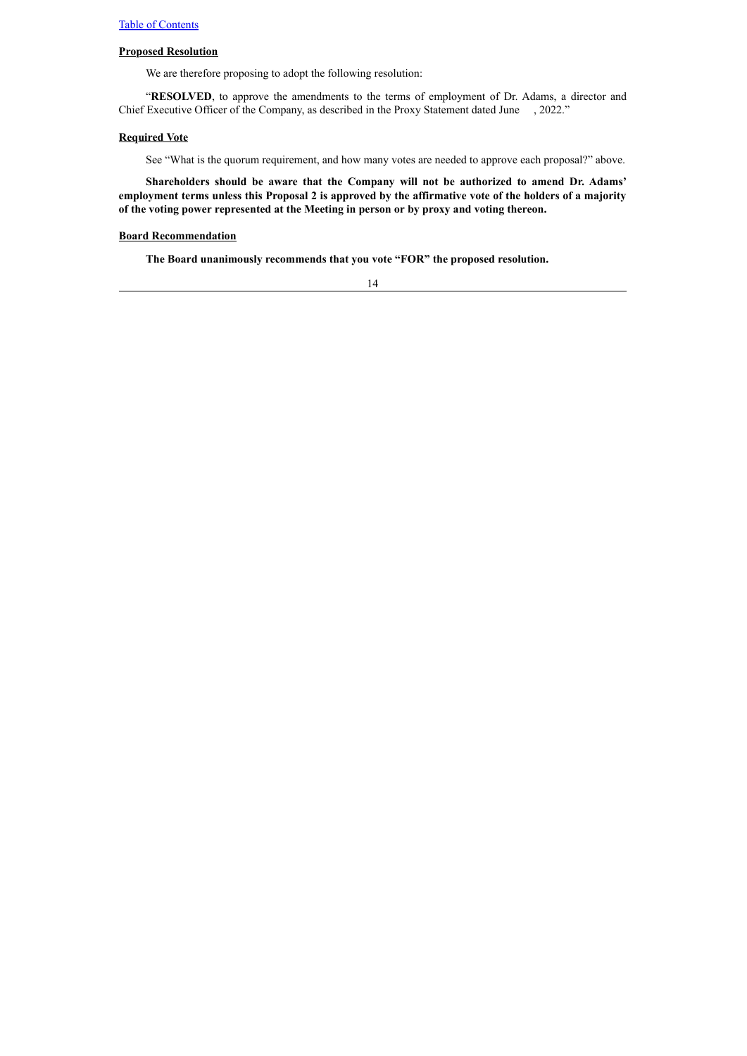## **Proposed Resolution**

We are therefore proposing to adopt the following resolution:

"**RESOLVED**, to approve the amendments to the terms of employment of Dr. Adams, a director and Chief Executive Officer of the Company, as described in the Proxy Statement dated June , 2022."

## **Required Vote**

See "What is the quorum requirement, and how many votes are needed to approve each proposal?" above.

**Shareholders should be aware that the Company will not be authorized to amend Dr. Adams'** employment terms unless this Proposal 2 is approved by the affirmative vote of the holders of a majority **of the voting power represented at the Meeting in person or by proxy and voting thereon.**

## **Board Recommendation**

**The Board unanimously recommends that you vote "FOR" the proposed resolution.**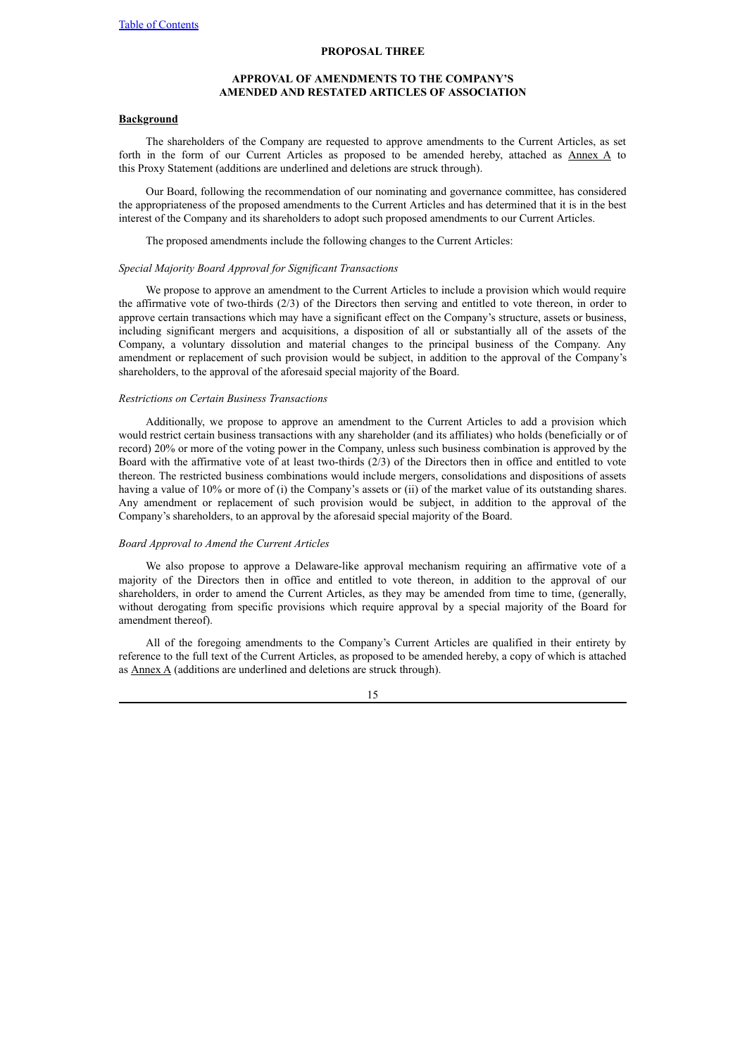## **PROPOSAL THREE**

## **APPROVAL OF AMENDMENTS TO THE COMPANY'S AMENDED AND RESTATED ARTICLES OF ASSOCIATION**

## <span id="page-19-0"></span>**Background**

The shareholders of the Company are requested to approve amendments to the Current Articles, as set forth in the form of our Current Articles as proposed to be amended hereby, attached as Annex A to this Proxy Statement (additions are underlined and deletions are struck through).

Our Board, following the recommendation of our nominating and governance committee, has considered the appropriateness of the proposed amendments to the Current Articles and has determined that it is in the best interest of the Company and its shareholders to adopt such proposed amendments to our Current Articles.

The proposed amendments include the following changes to the Current Articles:

## *Special Majority Board Approval for Significant Transactions*

We propose to approve an amendment to the Current Articles to include a provision which would require the affirmative vote of two-thirds (2/3) of the Directors then serving and entitled to vote thereon, in order to approve certain transactions which may have a significant effect on the Company's structure, assets or business, including significant mergers and acquisitions, a disposition of all or substantially all of the assets of the Company, a voluntary dissolution and material changes to the principal business of the Company. Any amendment or replacement of such provision would be subject, in addition to the approval of the Company's shareholders, to the approval of the aforesaid special majority of the Board.

#### *Restrictions on Certain Business Transactions*

Additionally, we propose to approve an amendment to the Current Articles to add a provision which would restrict certain business transactions with any shareholder (and its affiliates) who holds (beneficially or of record) 20% or more of the voting power in the Company, unless such business combination is approved by the Board with the affirmative vote of at least two-thirds (2/3) of the Directors then in office and entitled to vote thereon. The restricted business combinations would include mergers, consolidations and dispositions of assets having a value of 10% or more of (i) the Company's assets or (ii) of the market value of its outstanding shares. Any amendment or replacement of such provision would be subject, in addition to the approval of the Company's shareholders, to an approval by the aforesaid special majority of the Board.

## *Board Approval to Amend the Current Articles*

We also propose to approve a Delaware-like approval mechanism requiring an affirmative vote of a majority of the Directors then in office and entitled to vote thereon, in addition to the approval of our shareholders, in order to amend the Current Articles, as they may be amended from time to time, (generally, without derogating from specific provisions which require approval by a special majority of the Board for amendment thereof).

All of the foregoing amendments to the Company's Current Articles are qualified in their entirety by reference to the full text of the Current Articles, as proposed to be amended hereby, a copy of which is attached as Annex A (additions are underlined and deletions are struck through).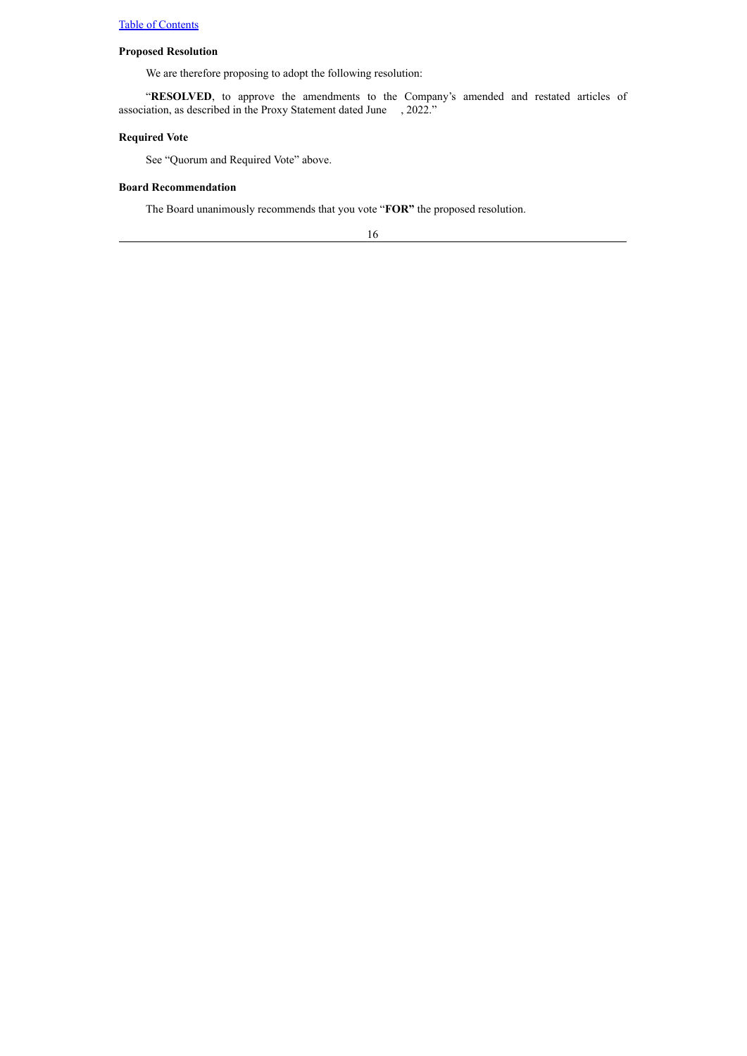# **Proposed Resolution**

We are therefore proposing to adopt the following resolution:

"**RESOLVED**, to approve the amendments to the Company's amended and restated articles of association, as described in the Proxy Statement dated June , 2022."

## **Required Vote**

See "Quorum and Required Vote" above.

# **Board Recommendation**

The Board unanimously recommends that you vote "**FOR"** the proposed resolution.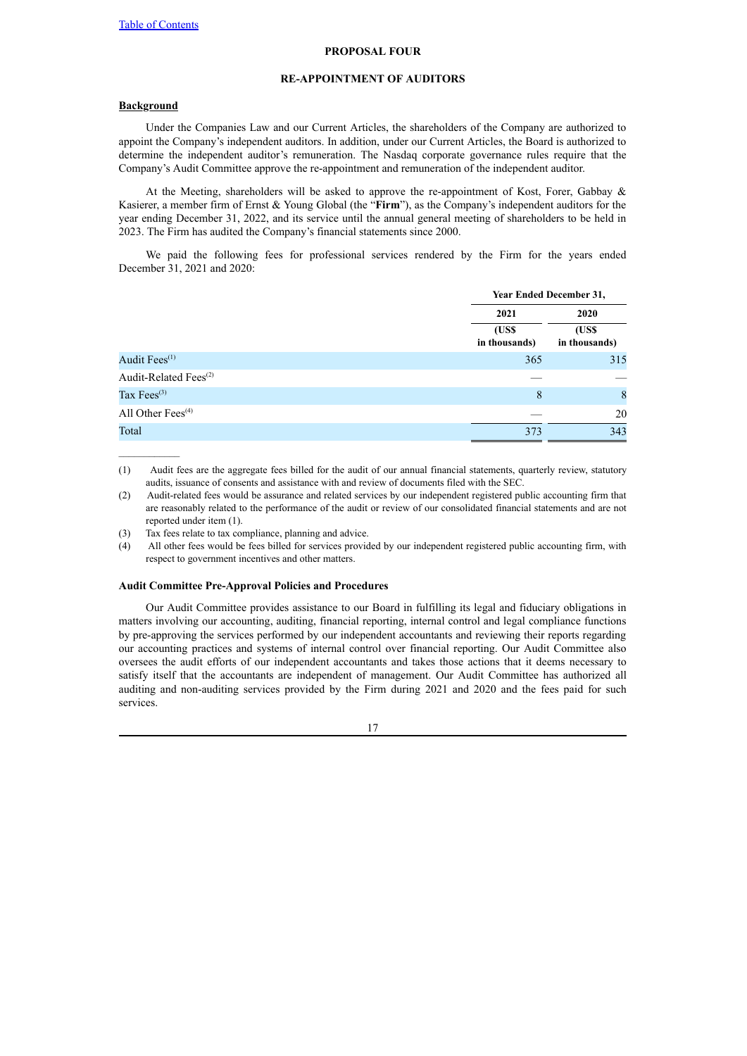#### **PROPOSAL FOUR**

## **RE-APPOINTMENT OF AUDITORS**

# <span id="page-21-0"></span>**Background**

Under the Companies Law and our Current Articles, the shareholders of the Company are authorized to appoint the Company's independent auditors. In addition, under our Current Articles, the Board is authorized to determine the independent auditor's remuneration. The Nasdaq corporate governance rules require that the Company's Audit Committee approve the re-appointment and remuneration of the independent auditor.

At the Meeting, shareholders will be asked to approve the re-appointment of Kost, Forer, Gabbay & Kasierer, a member firm of Ernst & Young Global (the "**Firm**"), as the Company's independent auditors for the year ending December 31, 2022, and its service until the annual general meeting of shareholders to be held in 2023. The Firm has audited the Company's financial statements since 2000.

We paid the following fees for professional services rendered by the Firm for the years ended December 31, 2021 and 2020:

|                                   | <b>Year Ended December 31,</b> |  |  |
|-----------------------------------|--------------------------------|--|--|
| 2021                              | 2020                           |  |  |
| (US\$<br>in thousands)            | (US\$<br>in thousands)         |  |  |
| Audit Fees <sup>(1)</sup><br>365  | 315                            |  |  |
| Audit-Related Fees <sup>(2)</sup> |                                |  |  |
| Tax Fees <sup>(3)</sup><br>8      | 8                              |  |  |
| All Other Fees <sup>(4)</sup>     | 20                             |  |  |
| Total<br>373                      | 343                            |  |  |

(1) Audit fees are the aggregate fees billed for the audit of our annual financial statements, quarterly review, statutory audits, issuance of consents and assistance with and review of documents filed with the SEC.

(2) Audit-related fees would be assurance and related services by our independent registered public accounting firm that are reasonably related to the performance of the audit or review of our consolidated financial statements and are not reported under item (1).

(3) Tax fees relate to tax compliance, planning and advice.

(4) All other fees would be fees billed for services provided by our independent registered public accounting firm, with respect to government incentives and other matters.

## **Audit Committee Pre-Approval Policies and Procedures**

Our Audit Committee provides assistance to our Board in fulfilling its legal and fiduciary obligations in matters involving our accounting, auditing, financial reporting, internal control and legal compliance functions by pre-approving the services performed by our independent accountants and reviewing their reports regarding our accounting practices and systems of internal control over financial reporting. Our Audit Committee also oversees the audit efforts of our independent accountants and takes those actions that it deems necessary to satisfy itself that the accountants are independent of management. Our Audit Committee has authorized all auditing and non-auditing services provided by the Firm during 2021 and 2020 and the fees paid for such services.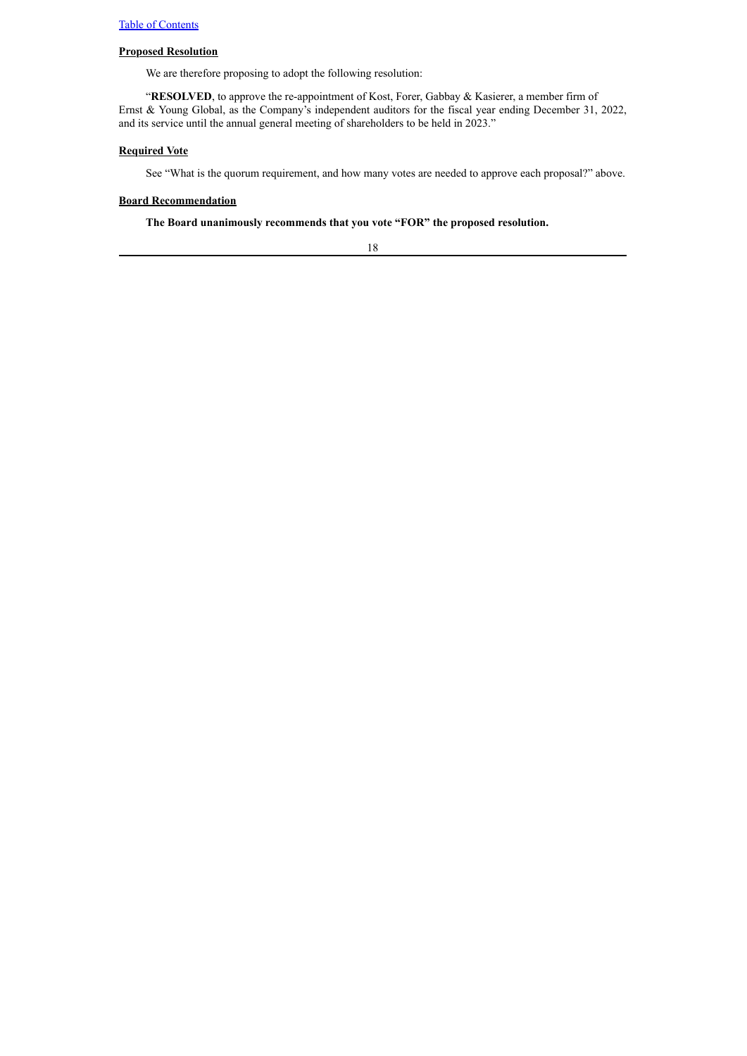# **Proposed Resolution**

We are therefore proposing to adopt the following resolution:

"**RESOLVED**, to approve the re-appointment of Kost, Forer, Gabbay & Kasierer, a member firm of Ernst & Young Global, as the Company's independent auditors for the fiscal year ending December 31, 2022, and its service until the annual general meeting of shareholders to be held in 2023."

## **Required Vote**

See "What is the quorum requirement, and how many votes are needed to approve each proposal?" above.

# **Board Recommendation**

**The Board unanimously recommends that you vote "FOR" the proposed resolution.**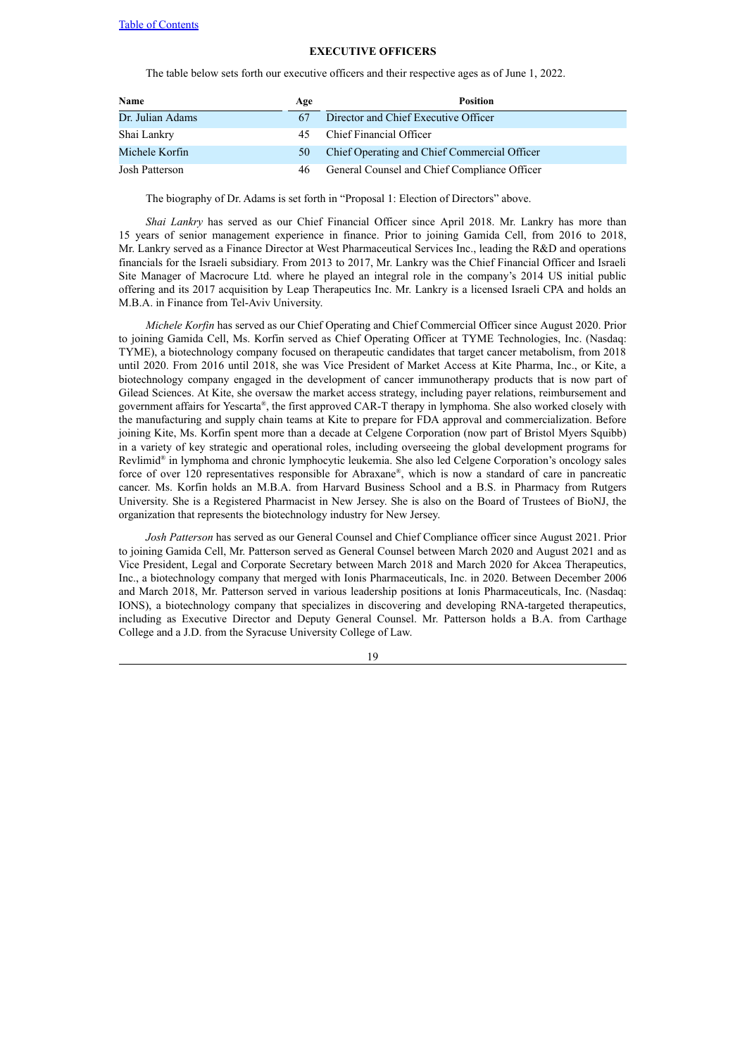# **EXECUTIVE OFFICERS**

<span id="page-23-0"></span>The table below sets forth our executive officers and their respective ages as of June 1, 2022.

| <b>Name</b>      | Age | Position                                     |
|------------------|-----|----------------------------------------------|
| Dr. Julian Adams |     | Director and Chief Executive Officer         |
| Shai Lankry      | 45  | Chief Financial Officer                      |
| Michele Korfin   | 50  | Chief Operating and Chief Commercial Officer |
| Josh Patterson   | 46  | General Counsel and Chief Compliance Officer |

The biography of Dr. Adams is set forth in "Proposal 1: Election of Directors" above.

*Shai Lankry* has served as our Chief Financial Officer since April 2018. Mr. Lankry has more than 15 years of senior management experience in finance. Prior to joining Gamida Cell, from 2016 to 2018, Mr. Lankry served as a Finance Director at West Pharmaceutical Services Inc., leading the R&D and operations financials for the Israeli subsidiary. From 2013 to 2017, Mr. Lankry was the Chief Financial Officer and Israeli Site Manager of Macrocure Ltd. where he played an integral role in the company's 2014 US initial public offering and its 2017 acquisition by Leap Therapeutics Inc. Mr. Lankry is a licensed Israeli CPA and holds an M.B.A. in Finance from Tel-Aviv University.

*Michele Korfin* has served as our Chief Operating and Chief Commercial Officer since August 2020. Prior to joining Gamida Cell, Ms. Korfin served as Chief Operating Officer at TYME Technologies, Inc. (Nasdaq: TYME), a biotechnology company focused on therapeutic candidates that target cancer metabolism, from 2018 until 2020. From 2016 until 2018, she was Vice President of Market Access at Kite Pharma, Inc., or Kite, a biotechnology company engaged in the development of cancer immunotherapy products that is now part of Gilead Sciences. At Kite, she oversaw the market access strategy, including payer relations, reimbursement and government affairs for Yescarta ® , the first approved CAR-T therapy in lymphoma. She also worked closely with the manufacturing and supply chain teams at Kite to prepare for FDA approval and commercialization. Before joining Kite, Ms. Korfin spent more than a decade at Celgene Corporation (now part of Bristol Myers Squibb) in a variety of key strategic and operational roles, including overseeing the global development programs for Revlimid ® in lymphoma and chronic lymphocytic leukemia. She also led Celgene Corporation's oncology sales force of over 120 representatives responsible for Abraxane ® , which is now a standard of care in pancreatic cancer. Ms. Korfin holds an M.B.A. from Harvard Business School and a B.S. in Pharmacy from Rutgers University. She is a Registered Pharmacist in New Jersey. She is also on the Board of Trustees of BioNJ, the organization that represents the biotechnology industry for New Jersey.

*Josh Patterson* has served as our General Counsel and Chief Compliance officer since August 2021. Prior to joining Gamida Cell, Mr. Patterson served as General Counsel between March 2020 and August 2021 and as Vice President, Legal and Corporate Secretary between March 2018 and March 2020 for Akcea Therapeutics, Inc., a biotechnology company that merged with Ionis Pharmaceuticals, Inc. in 2020. Between December 2006 and March 2018, Mr. Patterson served in various leadership positions at Ionis Pharmaceuticals, Inc. (Nasdaq: IONS), a biotechnology company that specializes in discovering and developing RNA-targeted therapeutics, including as Executive Director and Deputy General Counsel. Mr. Patterson holds a B.A. from Carthage College and a J.D. from the Syracuse University College of Law.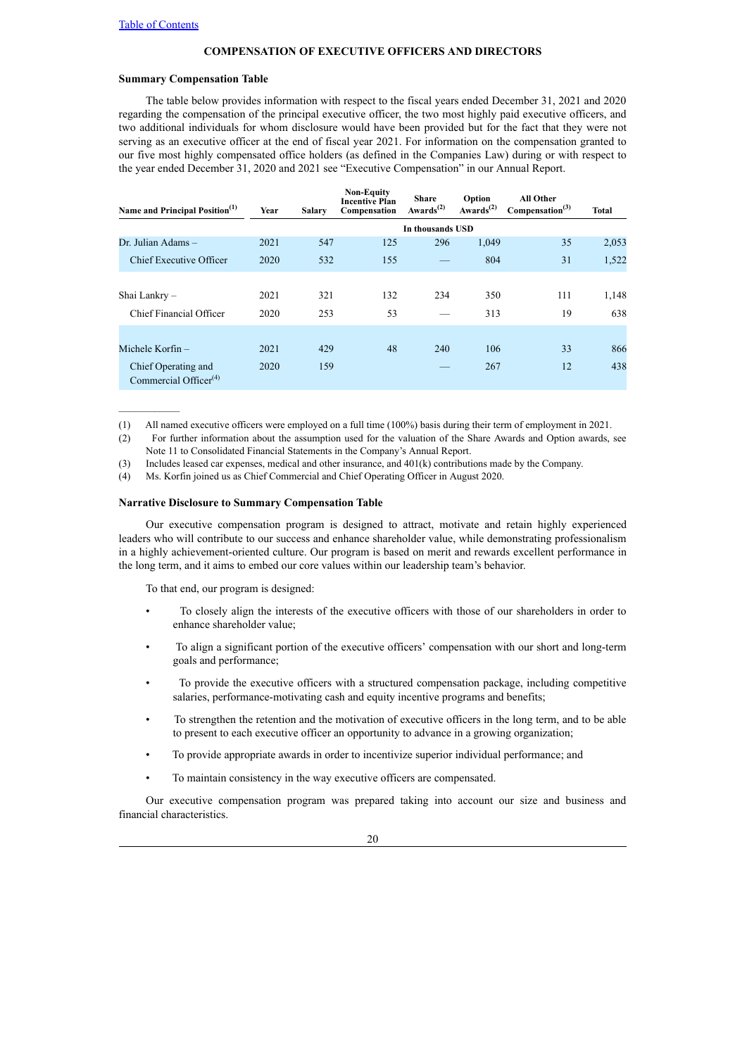## **COMPENSATION OF EXECUTIVE OFFICERS AND DIRECTORS**

## <span id="page-24-0"></span>**Summary Compensation Table**

The table below provides information with respect to the fiscal years ended December 31, 2021 and 2020 regarding the compensation of the principal executive officer, the two most highly paid executive officers, and two additional individuals for whom disclosure would have been provided but for the fact that they were not serving as an executive officer at the end of fiscal year 2021. For information on the compensation granted to our five most highly compensated office holders (as defined in the Companies Law) during or with respect to the year ended December 31, 2020 and 2021 see "Executive Compensation" in our Annual Report.

| Name and Principal Position <sup>(1)</sup>               | Year | <b>Salary</b> | <b>Non-Equity</b><br><b>Incentive Plan</b><br>Compensation | <b>Share</b><br>Awards <sup><math>(2)</math></sup> | Option<br>Awards <sup><math>(2)</math></sup> | <b>All Other</b><br>Compensation <sup>(3)</sup> | Total |
|----------------------------------------------------------|------|---------------|------------------------------------------------------------|----------------------------------------------------|----------------------------------------------|-------------------------------------------------|-------|
|                                                          |      |               |                                                            | In thousands USD                                   |                                              |                                                 |       |
| Dr. Julian Adams -                                       | 2021 | 547           | 125                                                        | 296                                                | 1,049                                        | 35                                              | 2,053 |
| Chief Executive Officer                                  | 2020 | 532           | 155                                                        |                                                    | 804                                          | 31                                              | 1,522 |
|                                                          |      |               |                                                            |                                                    |                                              |                                                 |       |
| Shai Lankry -                                            | 2021 | 321           | 132                                                        | 234                                                | 350                                          | 111                                             | 1,148 |
| Chief Financial Officer                                  | 2020 | 253           | 53                                                         |                                                    | 313                                          | 19                                              | 638   |
|                                                          |      |               |                                                            |                                                    |                                              |                                                 |       |
| Michele Korfin –                                         | 2021 | 429           | 48                                                         | 240                                                | 106                                          | 33                                              | 866   |
| Chief Operating and<br>Commercial Officer <sup>(4)</sup> | 2020 | 159           |                                                            |                                                    | 267                                          | 12                                              | 438   |

(1) All named executive officers were employed on a full time (100%) basis during their term of employment in 2021.

(2) For further information about the assumption used for the valuation of the Share Awards and Option awards, see Note 11 to Consolidated Financial Statements in the Company's Annual Report.

(3) Includes leased car expenses, medical and other insurance, and 401(k) contributions made by the Company.

(4) Ms. Korfin joined us as Chief Commercial and Chief Operating Officer in August 2020.

## **Narrative Disclosure to Summary Compensation Table**

Our executive compensation program is designed to attract, motivate and retain highly experienced leaders who will contribute to our success and enhance shareholder value, while demonstrating professionalism in a highly achievement-oriented culture. Our program is based on merit and rewards excellent performance in the long term, and it aims to embed our core values within our leadership team's behavior.

To that end, our program is designed:

- To closely align the interests of the executive officers with those of our shareholders in order to enhance shareholder value;
- To align a significant portion of the executive officers' compensation with our short and long-term goals and performance;
- To provide the executive officers with a structured compensation package, including competitive salaries, performance-motivating cash and equity incentive programs and benefits;
- To strengthen the retention and the motivation of executive officers in the long term, and to be able to present to each executive officer an opportunity to advance in a growing organization;
- To provide appropriate awards in order to incentivize superior individual performance; and
- To maintain consistency in the way executive officers are compensated.

Our executive compensation program was prepared taking into account our size and business and financial characteristics.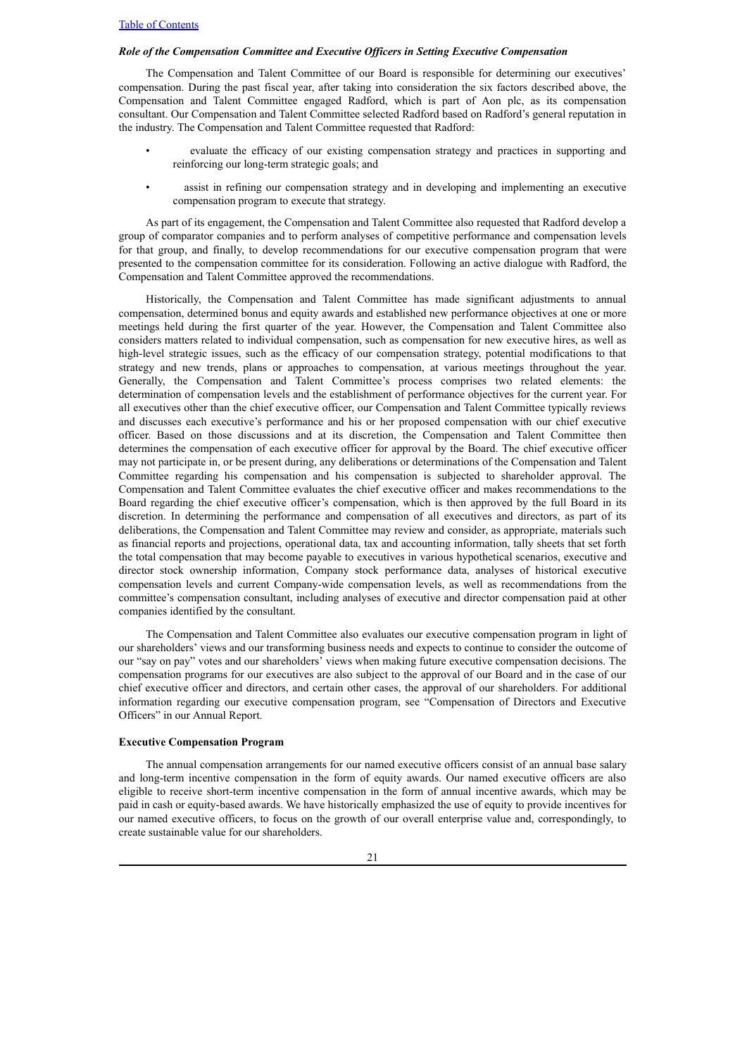## *Role of the Compensation Committee and Executive Of icers in Setting Executive Compensation*

The Compensation and Talent Committee of our Board is responsible for determining our executives' compensation. During the past fiscal year, after taking into consideration the six factors described above, the Compensation and Talent Committee engaged Radford, which is part of Aon plc, as its compensation consultant. Our Compensation and Talent Committee selected Radford based on Radford's general reputation in the industry. The Compensation and Talent Committee requested that Radford:

- evaluate the efficacy of our existing compensation strategy and practices in supporting and reinforcing our long-term strategic goals; and
- assist in refining our compensation strategy and in developing and implementing an executive compensation program to execute that strategy.

As part of its engagement, the Compensation and Talent Committee also requested that Radford develop a group of comparator companies and to perform analyses of competitive performance and compensation levels for that group, and finally, to develop recommendations for our executive compensation program that were presented to the compensation committee for its consideration. Following an active dialogue with Radford, the Compensation and Talent Committee approved the recommendations.

Historically, the Compensation and Talent Committee has made significant adjustments to annual compensation, determined bonus and equity awards and established new performance objectives at one or more meetings held during the first quarter of the year. However, the Compensation and Talent Committee also considers matters related to individual compensation, such as compensation for new executive hires, as well as high-level strategic issues, such as the efficacy of our compensation strategy, potential modifications to that strategy and new trends, plans or approaches to compensation, at various meetings throughout the year. Generally, the Compensation and Talent Committee's process comprises two related elements: the determination of compensation levels and the establishment of performance objectives for the current year. For all executives other than the chief executive officer, our Compensation and Talent Committee typically reviews and discusses each executive's performance and his or her proposed compensation with our chief executive officer. Based on those discussions and at its discretion, the Compensation and Talent Committee then determines the compensation of each executive officer for approval by the Board. The chief executive officer may not participate in, or be present during, any deliberations or determinations of the Compensation and Talent Committee regarding his compensation and his compensation is subjected to shareholder approval. The Compensation and Talent Committee evaluates the chief executive officer and makes recommendations to the Board regarding the chief executive officer's compensation, which is then approved by the full Board in its discretion. In determining the performance and compensation of all executives and directors, as part of its deliberations, the Compensation and Talent Committee may review and consider, as appropriate, materials such as financial reports and projections, operational data, tax and accounting information, tally sheets that set forth the total compensation that may become payable to executives in various hypothetical scenarios, executive and director stock ownership information, Company stock performance data, analyses of historical executive compensation levels and current Company-wide compensation levels, as well as recommendations from the committee's compensation consultant, including analyses of executive and director compensation paid at other companies identified by the consultant.

The Compensation and Talent Committee also evaluates our executive compensation program in light of our shareholders' views and our transforming business needs and expects to continue to consider the outcome of our "say on pay" votes and our shareholders' views when making future executive compensation decisions. The compensation programs for our executives are also subject to the approval of our Board and in the case of our chief executive officer and directors, and certain other cases, the approval of our shareholders. For additional information regarding our executive compensation program, see "Compensation of Directors and Executive Officers" in our Annual Report.

#### **Executive Compensation Program**

The annual compensation arrangements for our named executive officers consist of an annual base salary and long-term incentive compensation in the form of equity awards. Our named executive officers are also eligible to receive short-term incentive compensation in the form of annual incentive awards, which may be paid in cash or equity-based awards. We have historically emphasized the use of equity to provide incentives for our named executive officers, to focus on the growth of our overall enterprise value and, correspondingly, to create sustainable value for our shareholders.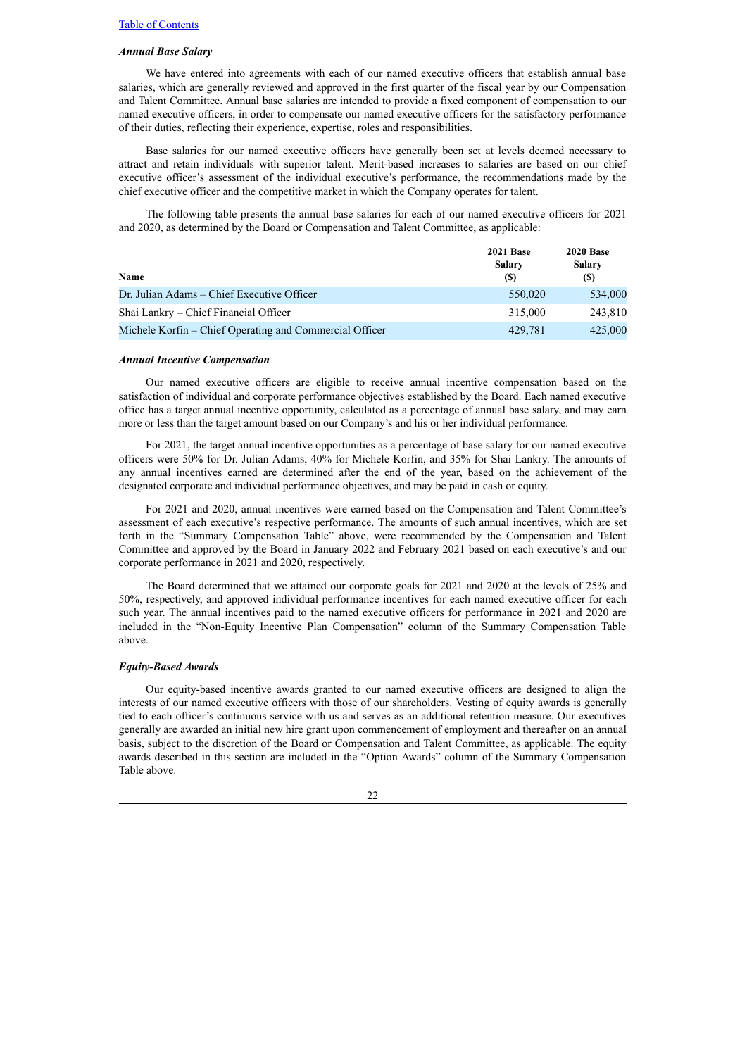## *Annual Base Salary*

We have entered into agreements with each of our named executive officers that establish annual base salaries, which are generally reviewed and approved in the first quarter of the fiscal year by our Compensation and Talent Committee. Annual base salaries are intended to provide a fixed component of compensation to our named executive officers, in order to compensate our named executive officers for the satisfactory performance of their duties, reflecting their experience, expertise, roles and responsibilities.

Base salaries for our named executive officers have generally been set at levels deemed necessary to attract and retain individuals with superior talent. Merit-based increases to salaries are based on our chief executive officer's assessment of the individual executive's performance, the recommendations made by the chief executive officer and the competitive market in which the Company operates for talent.

The following table presents the annual base salaries for each of our named executive officers for 2021 and 2020, as determined by the Board or Compensation and Talent Committee, as applicable:

| <b>Name</b>                                             | <b>2021 Base</b><br>Salary<br>(S) | <b>2020 Base</b><br><b>Salary</b><br><b>(S)</b> |
|---------------------------------------------------------|-----------------------------------|-------------------------------------------------|
| Dr. Julian Adams – Chief Executive Officer              | 550,020                           | 534,000                                         |
| Shai Lankry – Chief Financial Officer                   | 315.000                           | 243,810                                         |
| Michele Korfin – Chief Operating and Commercial Officer | 429,781                           | 425,000                                         |

#### *Annual Incentive Compensation*

Our named executive officers are eligible to receive annual incentive compensation based on the satisfaction of individual and corporate performance objectives established by the Board. Each named executive office has a target annual incentive opportunity, calculated as a percentage of annual base salary, and may earn more or less than the target amount based on our Company's and his or her individual performance.

For 2021, the target annual incentive opportunities as a percentage of base salary for our named executive officers were 50% for Dr. Julian Adams, 40% for Michele Korfin, and 35% for Shai Lankry. The amounts of any annual incentives earned are determined after the end of the year, based on the achievement of the designated corporate and individual performance objectives, and may be paid in cash or equity.

For 2021 and 2020, annual incentives were earned based on the Compensation and Talent Committee's assessment of each executive's respective performance. The amounts of such annual incentives, which are set forth in the "Summary Compensation Table" above, were recommended by the Compensation and Talent Committee and approved by the Board in January 2022 and February 2021 based on each executive's and our corporate performance in 2021 and 2020, respectively.

The Board determined that we attained our corporate goals for 2021 and 2020 at the levels of 25% and 50%, respectively, and approved individual performance incentives for each named executive officer for each such year. The annual incentives paid to the named executive officers for performance in 2021 and 2020 are included in the "Non-Equity Incentive Plan Compensation" column of the Summary Compensation Table above.

## *Equity-Based Awards*

Our equity-based incentive awards granted to our named executive officers are designed to align the interests of our named executive officers with those of our shareholders. Vesting of equity awards is generally tied to each officer's continuous service with us and serves as an additional retention measure. Our executives generally are awarded an initial new hire grant upon commencement of employment and thereafter on an annual basis, subject to the discretion of the Board or Compensation and Talent Committee, as applicable. The equity awards described in this section are included in the "Option Awards" column of the Summary Compensation Table above.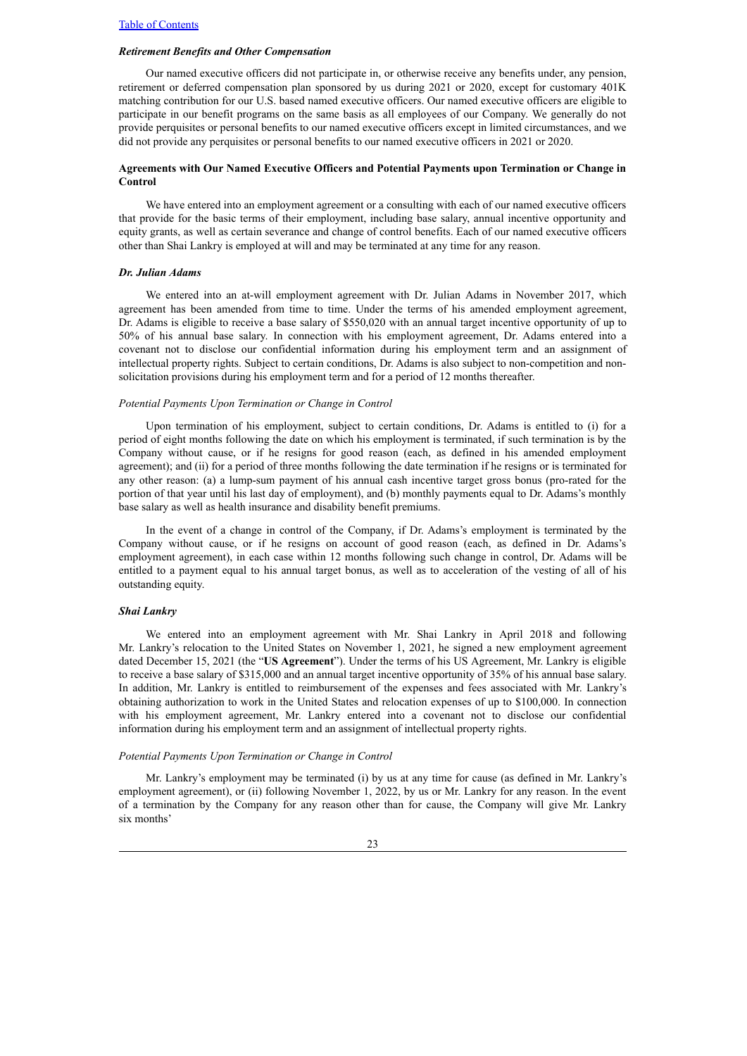#### *Retirement Benefits and Other Compensation*

Our named executive officers did not participate in, or otherwise receive any benefits under, any pension, retirement or deferred compensation plan sponsored by us during 2021 or 2020, except for customary 401K matching contribution for our U.S. based named executive officers. Our named executive officers are eligible to participate in our benefit programs on the same basis as all employees of our Company. We generally do not provide perquisites or personal benefits to our named executive officers except in limited circumstances, and we did not provide any perquisites or personal benefits to our named executive officers in 2021 or 2020.

## **Agreements with Our Named Executive Officers and Potential Payments upon Termination or Change in Control**

We have entered into an employment agreement or a consulting with each of our named executive officers that provide for the basic terms of their employment, including base salary, annual incentive opportunity and equity grants, as well as certain severance and change of control benefits. Each of our named executive officers other than Shai Lankry is employed at will and may be terminated at any time for any reason.

#### *Dr. Julian Adams*

We entered into an at-will employment agreement with Dr. Julian Adams in November 2017, which agreement has been amended from time to time. Under the terms of his amended employment agreement, Dr. Adams is eligible to receive a base salary of \$550,020 with an annual target incentive opportunity of up to 50% of his annual base salary. In connection with his employment agreement, Dr. Adams entered into a covenant not to disclose our confidential information during his employment term and an assignment of intellectual property rights. Subject to certain conditions, Dr. Adams is also subject to non-competition and nonsolicitation provisions during his employment term and for a period of 12 months thereafter.

#### *Potential Payments Upon Termination or Change in Control*

Upon termination of his employment, subject to certain conditions, Dr. Adams is entitled to (i) for a period of eight months following the date on which his employment is terminated, if such termination is by the Company without cause, or if he resigns for good reason (each, as defined in his amended employment agreement); and (ii) for a period of three months following the date termination if he resigns or is terminated for any other reason: (a) a lump-sum payment of his annual cash incentive target gross bonus (pro-rated for the portion of that year until his last day of employment), and (b) monthly payments equal to Dr. Adams's monthly base salary as well as health insurance and disability benefit premiums.

In the event of a change in control of the Company, if Dr. Adams's employment is terminated by the Company without cause, or if he resigns on account of good reason (each, as defined in Dr. Adams's employment agreement), in each case within 12 months following such change in control, Dr. Adams will be entitled to a payment equal to his annual target bonus, as well as to acceleration of the vesting of all of his outstanding equity.

### *Shai Lankry*

We entered into an employment agreement with Mr. Shai Lankry in April 2018 and following Mr. Lankry's relocation to the United States on November 1, 2021, he signed a new employment agreement dated December 15, 2021 (the "**US Agreement**"). Under the terms of his US Agreement, Mr. Lankry is eligible to receive a base salary of \$315,000 and an annual target incentive opportunity of 35% of his annual base salary. In addition, Mr. Lankry is entitled to reimbursement of the expenses and fees associated with Mr. Lankry's obtaining authorization to work in the United States and relocation expenses of up to \$100,000. In connection with his employment agreement, Mr. Lankry entered into a covenant not to disclose our confidential information during his employment term and an assignment of intellectual property rights.

#### *Potential Payments Upon Termination or Change in Control*

Mr. Lankry's employment may be terminated (i) by us at any time for cause (as defined in Mr. Lankry's employment agreement), or (ii) following November 1, 2022, by us or Mr. Lankry for any reason. In the event of a termination by the Company for any reason other than for cause, the Company will give Mr. Lankry six months'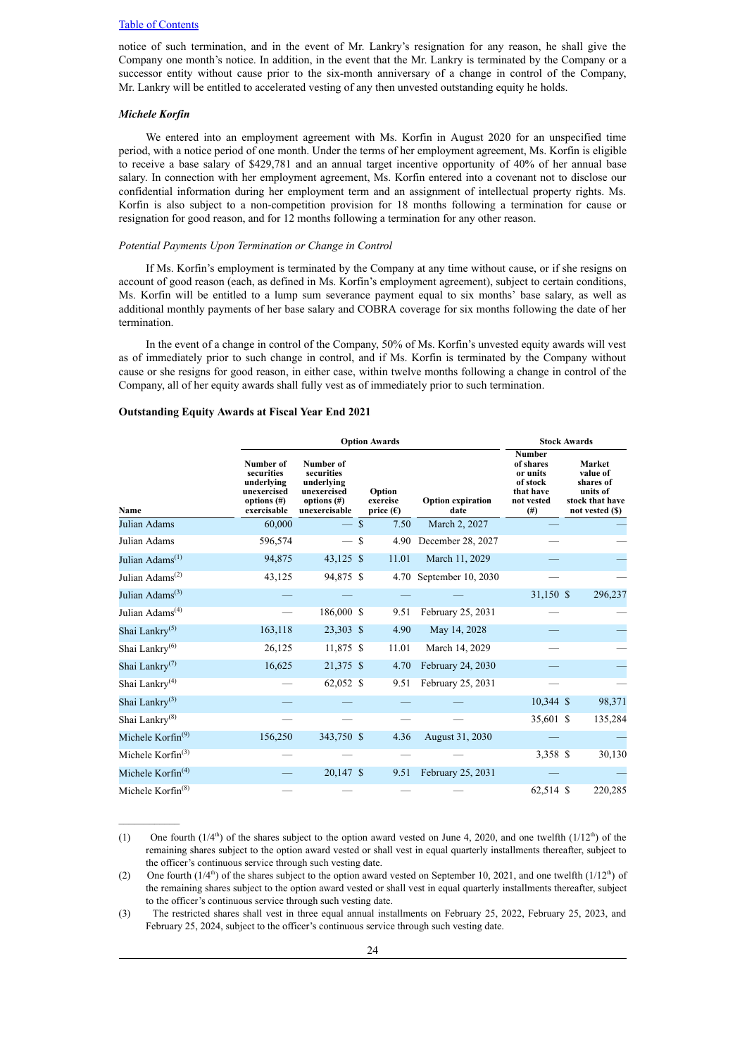notice of such termination, and in the event of Mr. Lankry's resignation for any reason, he shall give the Company one month's notice. In addition, in the event that the Mr. Lankry is terminated by the Company or a successor entity without cause prior to the six-month anniversary of a change in control of the Company, Mr. Lankry will be entitled to accelerated vesting of any then unvested outstanding equity he holds.

### *Michele Korfin*

We entered into an employment agreement with Ms. Korfin in August 2020 for an unspecified time period, with a notice period of one month. Under the terms of her employment agreement, Ms. Korfin is eligible to receive a base salary of \$429,781 and an annual target incentive opportunity of 40% of her annual base salary. In connection with her employment agreement, Ms. Korfin entered into a covenant not to disclose our confidential information during her employment term and an assignment of intellectual property rights. Ms. Korfin is also subject to a non-competition provision for 18 months following a termination for cause or resignation for good reason, and for 12 months following a termination for any other reason.

#### *Potential Payments Upon Termination or Change in Control*

If Ms. Korfin's employment is terminated by the Company at any time without cause, or if she resigns on account of good reason (each, as defined in Ms. Korfin's employment agreement), subject to certain conditions, Ms. Korfin will be entitled to a lump sum severance payment equal to six months' base salary, as well as additional monthly payments of her base salary and COBRA coverage for six months following the date of her termination.

In the event of a change in control of the Company, 50% of Ms. Korfin's unvested equity awards will vest as of immediately prior to such change in control, and if Ms. Korfin is terminated by the Company without cause or she resigns for good reason, in either case, within twelve months following a change in control of the Company, all of her equity awards shall fully vest as of immediately prior to such termination.

#### **Outstanding Equity Awards at Fiscal Year End 2021**

|                                          | <b>Option Awards</b>                                                                  |                                                                                         |  |                                          |                                  | <b>Stock Awards</b>                                                                  |  |                                                                                   |
|------------------------------------------|---------------------------------------------------------------------------------------|-----------------------------------------------------------------------------------------|--|------------------------------------------|----------------------------------|--------------------------------------------------------------------------------------|--|-----------------------------------------------------------------------------------|
| Name                                     | Number of<br>securities<br>underlying<br>unexercised<br>options $(\#)$<br>exercisable | Number of<br>securities<br>underlying<br>unexercised<br>options $(\#)$<br>unexercisable |  | Option<br>exercise<br>price $(\epsilon)$ | <b>Option expiration</b><br>date | <b>Number</b><br>of shares<br>or units<br>of stock<br>that have<br>not vested<br>(#) |  | Market<br>value of<br>shares of<br>units of<br>stock that have<br>not vested (\$) |
| Julian Adams                             | 60,000                                                                                | $-$ \$                                                                                  |  | 7.50                                     | March 2, 2027                    |                                                                                      |  |                                                                                   |
| Julian Adams                             | 596,574                                                                               | $-$ \$                                                                                  |  | 4.90                                     | December 28, 2027                |                                                                                      |  |                                                                                   |
| Julian Adams <sup>(1)</sup>              | 94,875                                                                                | 43,125 \$                                                                               |  | 11.01                                    | March 11, 2029                   |                                                                                      |  |                                                                                   |
| Julian Adams <sup><math>(2)</math></sup> | 43,125                                                                                | 94,875 \$                                                                               |  | 4.70                                     | September 10, 2030               |                                                                                      |  |                                                                                   |
| Julian Adams <sup>(3)</sup>              |                                                                                       |                                                                                         |  |                                          |                                  | 31,150 \$                                                                            |  | 296,237                                                                           |
| Julian Adams <sup>(4)</sup>              |                                                                                       | 186,000 \$                                                                              |  | 9.51                                     | February 25, 2031                |                                                                                      |  |                                                                                   |
| Shai Lankry <sup>(5)</sup>               | 163,118                                                                               | 23,303 \$                                                                               |  | 4.90                                     | May 14, 2028                     |                                                                                      |  |                                                                                   |
| Shai Lankry <sup>(6)</sup>               | 26,125                                                                                | 11,875 \$                                                                               |  | 11.01                                    | March 14, 2029                   |                                                                                      |  |                                                                                   |
| Shai Lankry <sup>(7)</sup>               | 16,625                                                                                | 21,375 \$                                                                               |  | 4.70                                     | February 24, 2030                |                                                                                      |  |                                                                                   |
| Shai Lankry <sup>(4)</sup>               |                                                                                       | 62,052 \$                                                                               |  | 9.51                                     | February 25, 2031                |                                                                                      |  |                                                                                   |
| Shai Lankry <sup>(3)</sup>               |                                                                                       |                                                                                         |  |                                          |                                  | $10,344$ \$                                                                          |  | 98,371                                                                            |
| Shai Lankry <sup>(8)</sup>               |                                                                                       |                                                                                         |  |                                          |                                  | 35,601 \$                                                                            |  | 135,284                                                                           |
| Michele Korfin <sup>(9)</sup>            | 156,250                                                                               | 343,750 \$                                                                              |  | 4.36                                     | August 31, 2030                  |                                                                                      |  |                                                                                   |
| Michele Korfin <sup>(3)</sup>            |                                                                                       |                                                                                         |  |                                          |                                  | 3,358 \$                                                                             |  | 30,130                                                                            |
| Michele Korfin <sup>(4)</sup>            |                                                                                       | $20,147$ \$                                                                             |  | 9.51                                     | February 25, 2031                |                                                                                      |  |                                                                                   |
| Michele Korfin <sup>(8)</sup>            |                                                                                       |                                                                                         |  |                                          |                                  | 62,514 \$                                                                            |  | 220,285                                                                           |

<sup>(1)</sup> One fourth  $(1/4<sup>th</sup>)$  of the shares subject to the option award vested on June 4, 2020, and one twelfth  $(1/12<sup>th</sup>)$  of the remaining shares subject to the option award vested or shall vest in equal quarterly installments thereafter, subject to the officer's continuous service through such vesting date.

<sup>(2)</sup> One fourth  $(1/4<sup>th</sup>)$  of the shares subject to the option award vested on September 10, 2021, and one twelfth  $(1/12<sup>th</sup>)$  of the remaining shares subject to the option award vested or shall vest in equal quarterly installments thereafter, subject to the officer's continuous service through such vesting date.

<sup>(3)</sup> The restricted shares shall vest in three equal annual installments on February 25, 2022, February 25, 2023, and February 25, 2024, subject to the officer's continuous service through such vesting date.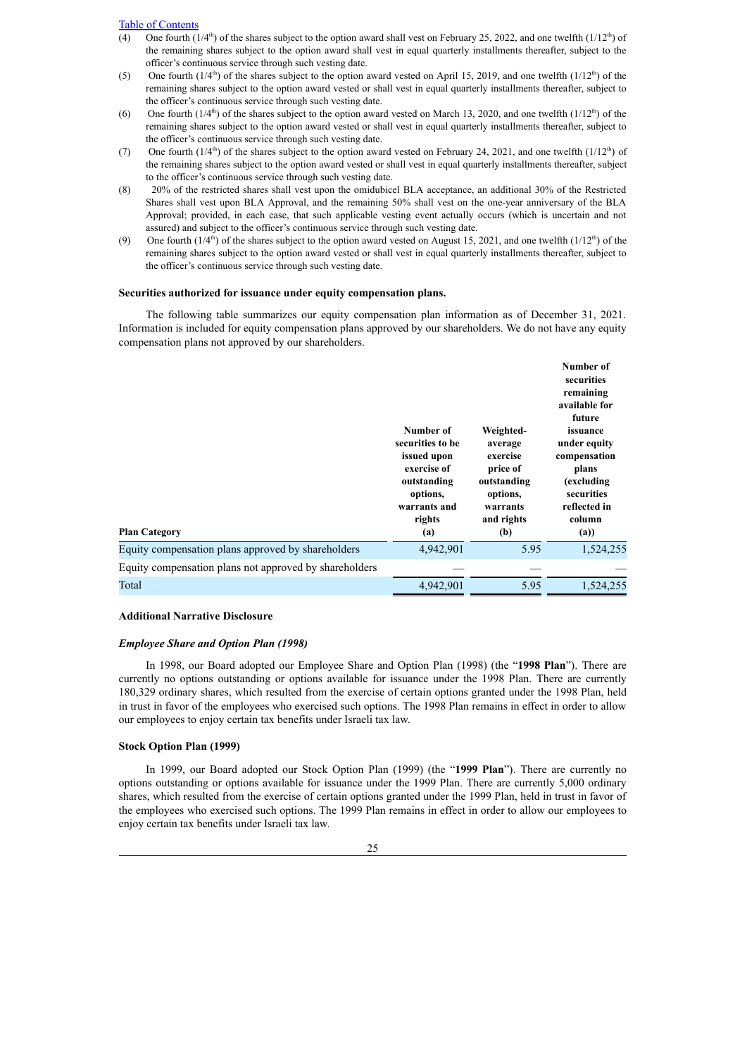- (4) One fourth  $(1/4<sup>th</sup>)$  of the shares subject to the option award shall vest on February 25, 2022, and one twelfth  $(1/12<sup>th</sup>)$  of the remaining shares subject to the option award shall vest in equal quarterly installments thereafter, subject to the officer's continuous service through such vesting date.
- (5) One fourth  $(1/4<sup>th</sup>)$  of the shares subject to the option award vested on April 15, 2019, and one twelfth  $(1/12<sup>th</sup>)$  of the remaining shares subject to the option award vested or shall vest in equal quarterly installments thereafter, subject to the officer's continuous service through such vesting date.
- (6) One fourth  $(1/4<sup>th</sup>)$  of the shares subject to the option award vested on March 13, 2020, and one twelfth  $(1/12<sup>th</sup>)$  of the remaining shares subject to the option award vested or shall vest in equal quarterly installments thereafter, subject to the officer's continuous service through such vesting date.
- (7) One fourth  $(1/4<sup>th</sup>)$  of the shares subject to the option award vested on February 24, 2021, and one twelfth  $(1/12<sup>th</sup>)$  of the remaining shares subject to the option award vested or shall vest in equal quarterly installments thereafter, subject to the officer's continuous service through such vesting date.
- (8) 20% of the restricted shares shall vest upon the omidubicel BLA acceptance, an additional 30% of the Restricted Shares shall vest upon BLA Approval, and the remaining 50% shall vest on the one-year anniversary of the BLA Approval; provided, in each case, that such applicable vesting event actually occurs (which is uncertain and not assured) and subject to the officer's continuous service through such vesting date.
- (9) One fourth  $(1/4<sup>th</sup>)$  of the shares subject to the option award vested on August 15, 2021, and one twelfth  $(1/12<sup>th</sup>)$  of the remaining shares subject to the option award vested or shall vest in equal quarterly installments thereafter, subject to the officer's continuous service through such vesting date.

#### **Securities authorized for issuance under equity compensation plans.**

The following table summarizes our equity compensation plan information as of December 31, 2021. Information is included for equity compensation plans approved by our shareholders. We do not have any equity compensation plans not approved by our shareholders.

| <b>Plan Category</b>                                   | Number of<br>securities to be<br>issued upon<br>exercise of<br>outstanding<br>options,<br>warrants and<br>rights<br>(a) | Weighted-<br>average<br>exercise<br>price of<br>outstanding<br>options,<br>warrants<br>and rights<br>(b) | Number of<br>securities<br>remaining<br>available for<br>future<br>issuance<br>under equity<br>compensation<br>plans<br>(excluding<br>securities<br>reflected in<br>column<br>(a) |
|--------------------------------------------------------|-------------------------------------------------------------------------------------------------------------------------|----------------------------------------------------------------------------------------------------------|-----------------------------------------------------------------------------------------------------------------------------------------------------------------------------------|
| Equity compensation plans approved by shareholders     | 4,942,901                                                                                                               | 5.95                                                                                                     | 1,524,255                                                                                                                                                                         |
| Equity compensation plans not approved by shareholders |                                                                                                                         |                                                                                                          |                                                                                                                                                                                   |
| Total                                                  | 4,942,901                                                                                                               | 5.95                                                                                                     | 1,524,255                                                                                                                                                                         |

## **Additional Narrative Disclosure**

#### *Employee Share and Option Plan (1998)*

In 1998, our Board adopted our Employee Share and Option Plan (1998) (the "**1998 Plan**"). There are currently no options outstanding or options available for issuance under the 1998 Plan. There are currently 180,329 ordinary shares, which resulted from the exercise of certain options granted under the 1998 Plan, held in trust in favor of the employees who exercised such options. The 1998 Plan remains in effect in order to allow our employees to enjoy certain tax benefits under Israeli tax law.

# **Stock Option Plan (1999)**

In 1999, our Board adopted our Stock Option Plan (1999) (the "**1999 Plan**"). There are currently no options outstanding or options available for issuance under the 1999 Plan. There are currently 5,000 ordinary shares, which resulted from the exercise of certain options granted under the 1999 Plan, held in trust in favor of the employees who exercised such options. The 1999 Plan remains in effect in order to allow our employees to enjoy certain tax benefits under Israeli tax law.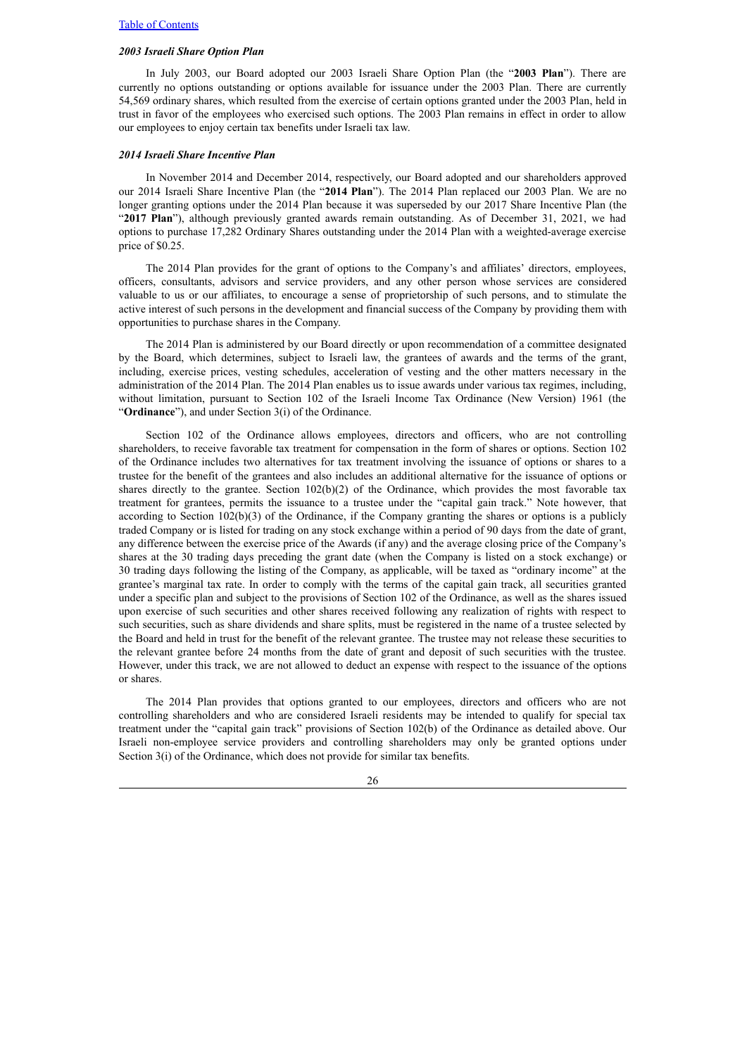#### *2003 Israeli Share Option Plan*

In July 2003, our Board adopted our 2003 Israeli Share Option Plan (the "**2003 Plan**"). There are currently no options outstanding or options available for issuance under the 2003 Plan. There are currently 54,569 ordinary shares, which resulted from the exercise of certain options granted under the 2003 Plan, held in trust in favor of the employees who exercised such options. The 2003 Plan remains in effect in order to allow our employees to enjoy certain tax benefits under Israeli tax law.

#### *2014 Israeli Share Incentive Plan*

In November 2014 and December 2014, respectively, our Board adopted and our shareholders approved our 2014 Israeli Share Incentive Plan (the "**2014 Plan**"). The 2014 Plan replaced our 2003 Plan. We are no longer granting options under the 2014 Plan because it was superseded by our 2017 Share Incentive Plan (the "**2017 Plan**"), although previously granted awards remain outstanding. As of December 31, 2021, we had options to purchase 17,282 Ordinary Shares outstanding under the 2014 Plan with a weighted-average exercise price of \$0.25.

The 2014 Plan provides for the grant of options to the Company's and affiliates' directors, employees, officers, consultants, advisors and service providers, and any other person whose services are considered valuable to us or our affiliates, to encourage a sense of proprietorship of such persons, and to stimulate the active interest of such persons in the development and financial success of the Company by providing them with opportunities to purchase shares in the Company.

The 2014 Plan is administered by our Board directly or upon recommendation of a committee designated by the Board, which determines, subject to Israeli law, the grantees of awards and the terms of the grant, including, exercise prices, vesting schedules, acceleration of vesting and the other matters necessary in the administration of the 2014 Plan. The 2014 Plan enables us to issue awards under various tax regimes, including, without limitation, pursuant to Section 102 of the Israeli Income Tax Ordinance (New Version) 1961 (the "**Ordinance**"), and under Section 3(i) of the Ordinance.

Section 102 of the Ordinance allows employees, directors and officers, who are not controlling shareholders, to receive favorable tax treatment for compensation in the form of shares or options. Section 102 of the Ordinance includes two alternatives for tax treatment involving the issuance of options or shares to a trustee for the benefit of the grantees and also includes an additional alternative for the issuance of options or shares directly to the grantee. Section 102(b)(2) of the Ordinance, which provides the most favorable tax treatment for grantees, permits the issuance to a trustee under the "capital gain track." Note however, that according to Section 102(b)(3) of the Ordinance, if the Company granting the shares or options is a publicly traded Company or is listed for trading on any stock exchange within a period of 90 days from the date of grant, any difference between the exercise price of the Awards (if any) and the average closing price of the Company's shares at the 30 trading days preceding the grant date (when the Company is listed on a stock exchange) or 30 trading days following the listing of the Company, as applicable, will be taxed as "ordinary income" at the grantee's marginal tax rate. In order to comply with the terms of the capital gain track, all securities granted under a specific plan and subject to the provisions of Section 102 of the Ordinance, as well as the shares issued upon exercise of such securities and other shares received following any realization of rights with respect to such securities, such as share dividends and share splits, must be registered in the name of a trustee selected by the Board and held in trust for the benefit of the relevant grantee. The trustee may not release these securities to the relevant grantee before 24 months from the date of grant and deposit of such securities with the trustee. However, under this track, we are not allowed to deduct an expense with respect to the issuance of the options or shares.

The 2014 Plan provides that options granted to our employees, directors and officers who are not controlling shareholders and who are considered Israeli residents may be intended to qualify for special tax treatment under the "capital gain track" provisions of Section 102(b) of the Ordinance as detailed above. Our Israeli non-employee service providers and controlling shareholders may only be granted options under Section 3(i) of the Ordinance, which does not provide for similar tax benefits.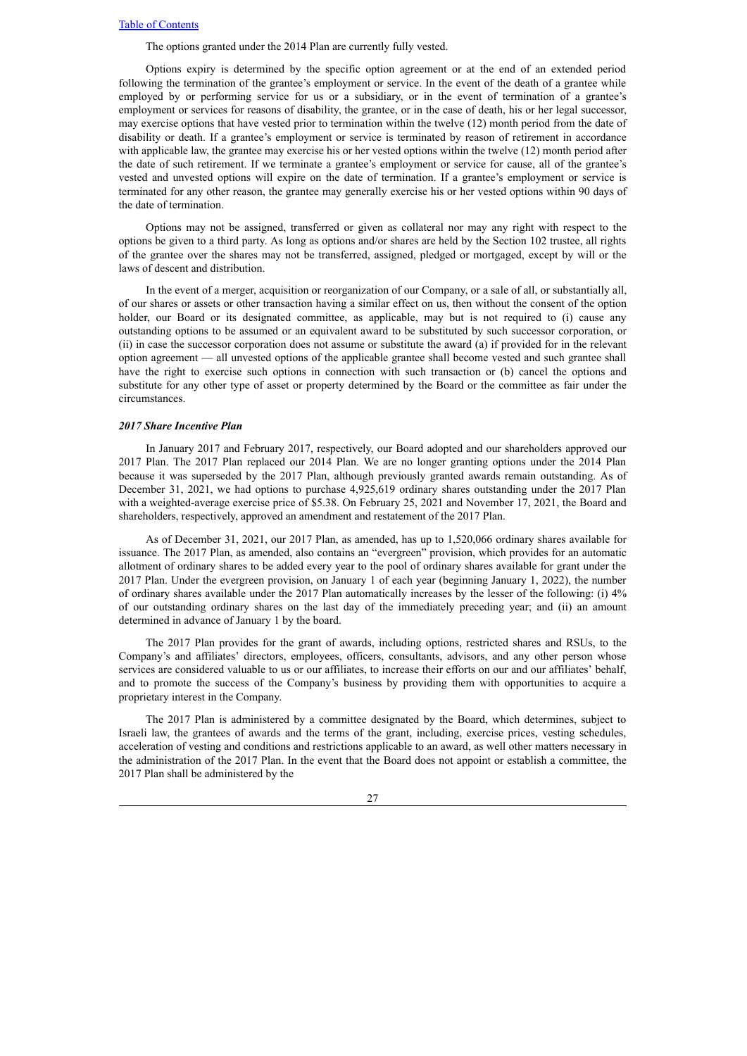The options granted under the 2014 Plan are currently fully vested.

Options expiry is determined by the specific option agreement or at the end of an extended period following the termination of the grantee's employment or service. In the event of the death of a grantee while employed by or performing service for us or a subsidiary, or in the event of termination of a grantee's employment or services for reasons of disability, the grantee, or in the case of death, his or her legal successor, may exercise options that have vested prior to termination within the twelve (12) month period from the date of disability or death. If a grantee's employment or service is terminated by reason of retirement in accordance with applicable law, the grantee may exercise his or her vested options within the twelve (12) month period after the date of such retirement. If we terminate a grantee's employment or service for cause, all of the grantee's vested and unvested options will expire on the date of termination. If a grantee's employment or service is terminated for any other reason, the grantee may generally exercise his or her vested options within 90 days of the date of termination.

Options may not be assigned, transferred or given as collateral nor may any right with respect to the options be given to a third party. As long as options and/or shares are held by the Section 102 trustee, all rights of the grantee over the shares may not be transferred, assigned, pledged or mortgaged, except by will or the laws of descent and distribution.

In the event of a merger, acquisition or reorganization of our Company, or a sale of all, or substantially all, of our shares or assets or other transaction having a similar effect on us, then without the consent of the option holder, our Board or its designated committee, as applicable, may but is not required to (i) cause any outstanding options to be assumed or an equivalent award to be substituted by such successor corporation, or (ii) in case the successor corporation does not assume or substitute the award (a) if provided for in the relevant option agreement — all unvested options of the applicable grantee shall become vested and such grantee shall have the right to exercise such options in connection with such transaction or (b) cancel the options and substitute for any other type of asset or property determined by the Board or the committee as fair under the circumstances.

### *2017 Share Incentive Plan*

In January 2017 and February 2017, respectively, our Board adopted and our shareholders approved our 2017 Plan. The 2017 Plan replaced our 2014 Plan. We are no longer granting options under the 2014 Plan because it was superseded by the 2017 Plan, although previously granted awards remain outstanding. As of December 31, 2021, we had options to purchase 4,925,619 ordinary shares outstanding under the 2017 Plan with a weighted-average exercise price of \$5.38. On February 25, 2021 and November 17, 2021, the Board and shareholders, respectively, approved an amendment and restatement of the 2017 Plan.

As of December 31, 2021, our 2017 Plan, as amended, has up to 1,520,066 ordinary shares available for issuance. The 2017 Plan, as amended, also contains an "evergreen" provision, which provides for an automatic allotment of ordinary shares to be added every year to the pool of ordinary shares available for grant under the 2017 Plan. Under the evergreen provision, on January 1 of each year (beginning January 1, 2022), the number of ordinary shares available under the 2017 Plan automatically increases by the lesser of the following: (i) 4% of our outstanding ordinary shares on the last day of the immediately preceding year; and (ii) an amount determined in advance of January 1 by the board.

The 2017 Plan provides for the grant of awards, including options, restricted shares and RSUs, to the Company's and affiliates' directors, employees, officers, consultants, advisors, and any other person whose services are considered valuable to us or our affiliates, to increase their efforts on our and our affiliates' behalf, and to promote the success of the Company's business by providing them with opportunities to acquire a proprietary interest in the Company.

The 2017 Plan is administered by a committee designated by the Board, which determines, subject to Israeli law, the grantees of awards and the terms of the grant, including, exercise prices, vesting schedules, acceleration of vesting and conditions and restrictions applicable to an award, as well other matters necessary in the administration of the 2017 Plan. In the event that the Board does not appoint or establish a committee, the 2017 Plan shall be administered by the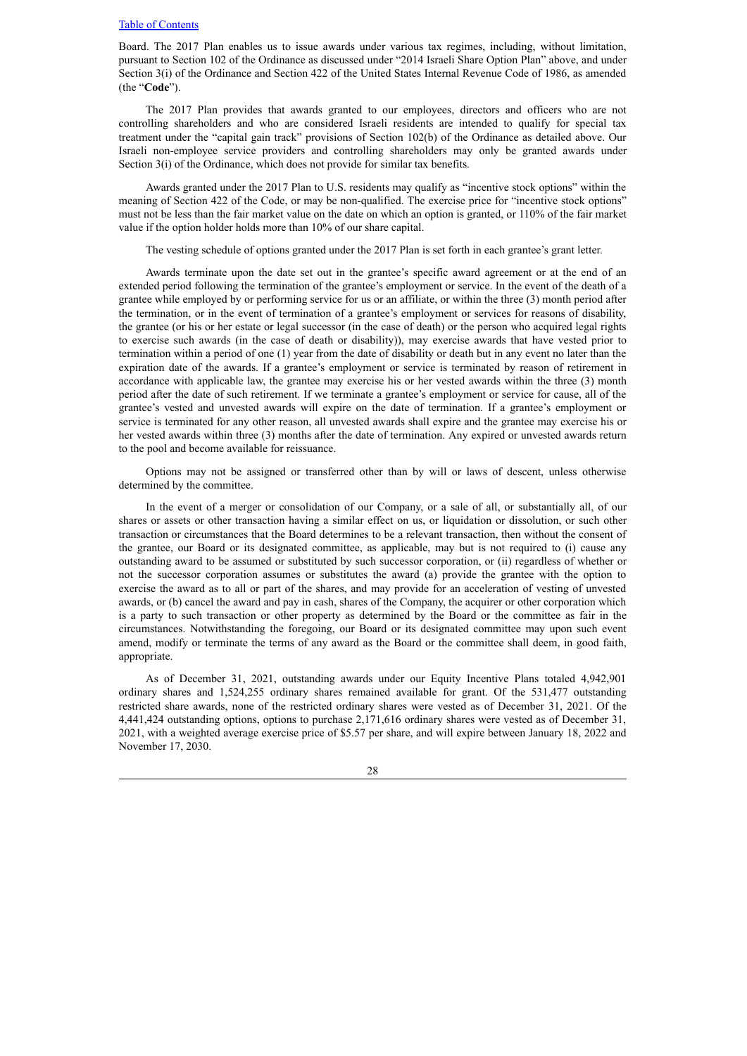Board. The 2017 Plan enables us to issue awards under various tax regimes, including, without limitation, pursuant to Section 102 of the Ordinance as discussed under "2014 Israeli Share Option Plan" above, and under Section 3(i) of the Ordinance and Section 422 of the United States Internal Revenue Code of 1986, as amended (the "**Code**").

The 2017 Plan provides that awards granted to our employees, directors and officers who are not controlling shareholders and who are considered Israeli residents are intended to qualify for special tax treatment under the "capital gain track" provisions of Section 102(b) of the Ordinance as detailed above. Our Israeli non-employee service providers and controlling shareholders may only be granted awards under Section 3(i) of the Ordinance, which does not provide for similar tax benefits.

Awards granted under the 2017 Plan to U.S. residents may qualify as "incentive stock options" within the meaning of Section 422 of the Code, or may be non-qualified. The exercise price for "incentive stock options" must not be less than the fair market value on the date on which an option is granted, or 110% of the fair market value if the option holder holds more than 10% of our share capital.

The vesting schedule of options granted under the 2017 Plan is set forth in each grantee's grant letter.

Awards terminate upon the date set out in the grantee's specific award agreement or at the end of an extended period following the termination of the grantee's employment or service. In the event of the death of a grantee while employed by or performing service for us or an affiliate, or within the three (3) month period after the termination, or in the event of termination of a grantee's employment or services for reasons of disability, the grantee (or his or her estate or legal successor (in the case of death) or the person who acquired legal rights to exercise such awards (in the case of death or disability)), may exercise awards that have vested prior to termination within a period of one (1) year from the date of disability or death but in any event no later than the expiration date of the awards. If a grantee's employment or service is terminated by reason of retirement in accordance with applicable law, the grantee may exercise his or her vested awards within the three (3) month period after the date of such retirement. If we terminate a grantee's employment or service for cause, all of the grantee's vested and unvested awards will expire on the date of termination. If a grantee's employment or service is terminated for any other reason, all unvested awards shall expire and the grantee may exercise his or her vested awards within three (3) months after the date of termination. Any expired or unvested awards return to the pool and become available for reissuance.

Options may not be assigned or transferred other than by will or laws of descent, unless otherwise determined by the committee.

In the event of a merger or consolidation of our Company, or a sale of all, or substantially all, of our shares or assets or other transaction having a similar effect on us, or liquidation or dissolution, or such other transaction or circumstances that the Board determines to be a relevant transaction, then without the consent of the grantee, our Board or its designated committee, as applicable, may but is not required to (i) cause any outstanding award to be assumed or substituted by such successor corporation, or (ii) regardless of whether or not the successor corporation assumes or substitutes the award (a) provide the grantee with the option to exercise the award as to all or part of the shares, and may provide for an acceleration of vesting of unvested awards, or (b) cancel the award and pay in cash, shares of the Company, the acquirer or other corporation which is a party to such transaction or other property as determined by the Board or the committee as fair in the circumstances. Notwithstanding the foregoing, our Board or its designated committee may upon such event amend, modify or terminate the terms of any award as the Board or the committee shall deem, in good faith, appropriate.

As of December 31, 2021, outstanding awards under our Equity Incentive Plans totaled 4,942,901 ordinary shares and 1,524,255 ordinary shares remained available for grant. Of the 531,477 outstanding restricted share awards, none of the restricted ordinary shares were vested as of December 31, 2021. Of the 4,441,424 outstanding options, options to purchase 2,171,616 ordinary shares were vested as of December 31, 2021, with a weighted average exercise price of \$5.57 per share, and will expire between January 18, 2022 and November 17, 2030.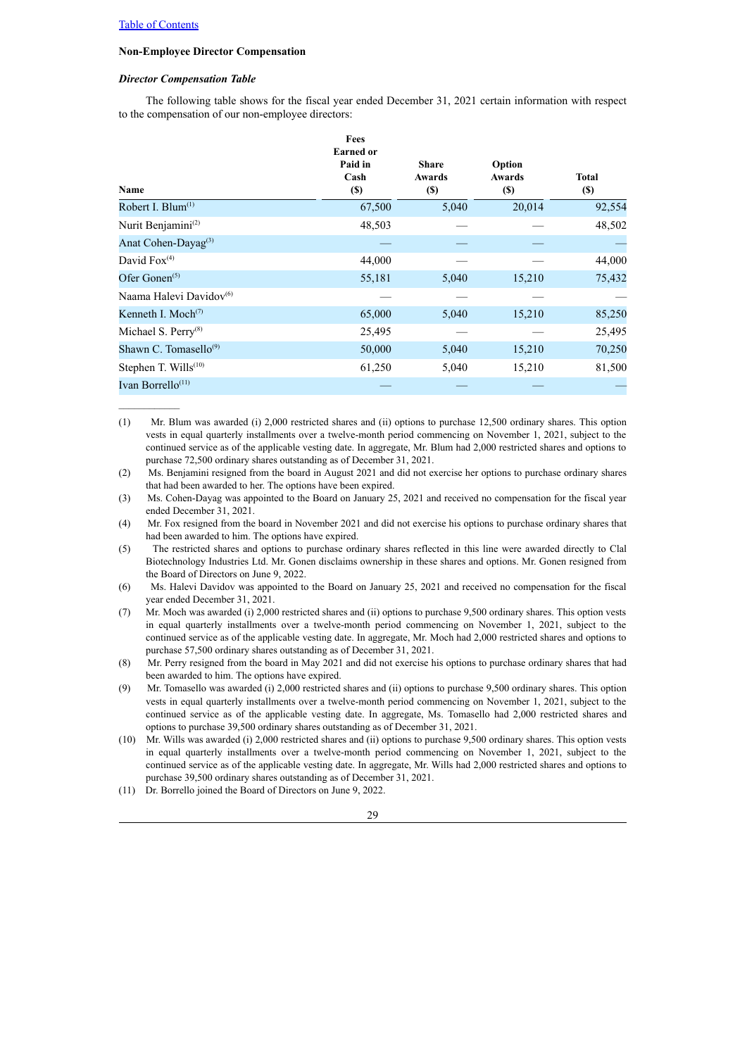$\mathcal{L}=\mathcal{L}^{\mathcal{L}}$ 

#### **Non-Employee Director Compensation**

#### *Director Compensation Table*

The following table shows for the fiscal year ended December 31, 2021 certain information with respect to the compensation of our non-employee directors:

| Name                               | Fees<br><b>Earned</b> or<br>Paid in<br>Cash<br>$(\$)$ | <b>Share</b><br>Awards<br><b>(\$)</b> | Option<br><b>Awards</b><br><b>(\$)</b> | <b>Total</b><br><b>(\$)</b> |
|------------------------------------|-------------------------------------------------------|---------------------------------------|----------------------------------------|-----------------------------|
| Robert I. Blum $(1)$               | 67,500                                                | 5,040                                 | 20,014                                 | 92,554                      |
| Nurit Benjamini <sup>(2)</sup>     | 48,503                                                |                                       |                                        | 48,502                      |
| Anat Cohen-Dayag <sup>(3)</sup>    |                                                       |                                       |                                        |                             |
| David $Fox(4)$                     | 44,000                                                |                                       |                                        | 44,000                      |
| Ofer Gonen $(5)$                   | 55,181                                                | 5,040                                 | 15,210                                 | 75,432                      |
| Naama Halevi Davidov <sup>60</sup> |                                                       |                                       |                                        |                             |
| Kenneth I. Moch <sup>(7)</sup>     | 65,000                                                | 5,040                                 | 15,210                                 | 85,250                      |
| Michael S. Perry <sup>(8)</sup>    | 25,495                                                |                                       |                                        | 25,495                      |
| Shawn C. Tomasello $^{(9)}$        | 50,000                                                | 5,040                                 | 15,210                                 | 70,250                      |
| Stephen T. Wills <sup>(10)</sup>   | 61,250                                                | 5,040                                 | 15,210                                 | 81,500                      |
| Ivan Borrello <sup>(11)</sup>      |                                                       |                                       |                                        |                             |

(1) Mr. Blum was awarded (i) 2,000 restricted shares and (ii) options to purchase 12,500 ordinary shares. This option vests in equal quarterly installments over a twelve-month period commencing on November 1, 2021, subject to the continued service as of the applicable vesting date. In aggregate, Mr. Blum had 2,000 restricted shares and options to purchase 72,500 ordinary shares outstanding as of December 31, 2021.

(2) Ms. Benjamini resigned from the board in August 2021 and did not exercise her options to purchase ordinary shares that had been awarded to her. The options have been expired.

(3) Ms. Cohen-Dayag was appointed to the Board on January 25, 2021 and received no compensation for the fiscal year ended December 31, 2021.

(4) Mr. Fox resigned from the board in November 2021 and did not exercise his options to purchase ordinary shares that had been awarded to him. The options have expired.

(5) The restricted shares and options to purchase ordinary shares reflected in this line were awarded directly to Clal Biotechnology Industries Ltd. Mr. Gonen disclaims ownership in these shares and options. Mr. Gonen resigned from the Board of Directors on June 9, 2022.

(6) Ms. Halevi Davidov was appointed to the Board on January 25, 2021 and received no compensation for the fiscal year ended December 31, 2021.

(7) Mr. Moch was awarded (i) 2,000 restricted shares and (ii) options to purchase 9,500 ordinary shares. This option vests in equal quarterly installments over a twelve-month period commencing on November 1, 2021, subject to the continued service as of the applicable vesting date. In aggregate, Mr. Moch had 2,000 restricted shares and options to purchase 57,500 ordinary shares outstanding as of December 31, 2021.

(8) Mr. Perry resigned from the board in May 2021 and did not exercise his options to purchase ordinary shares that had been awarded to him. The options have expired.

(9) Mr. Tomasello was awarded (i) 2,000 restricted shares and (ii) options to purchase 9,500 ordinary shares. This option vests in equal quarterly installments over a twelve-month period commencing on November 1, 2021, subject to the continued service as of the applicable vesting date. In aggregate, Ms. Tomasello had 2,000 restricted shares and options to purchase 39,500 ordinary shares outstanding as of December 31, 2021.

(10) Mr. Wills was awarded (i) 2,000 restricted shares and (ii) options to purchase 9,500 ordinary shares. This option vests in equal quarterly installments over a twelve-month period commencing on November 1, 2021, subject to the continued service as of the applicable vesting date. In aggregate, Mr. Wills had 2,000 restricted shares and options to purchase 39,500 ordinary shares outstanding as of December 31, 2021.

(11) Dr. Borrello joined the Board of Directors on June 9, 2022.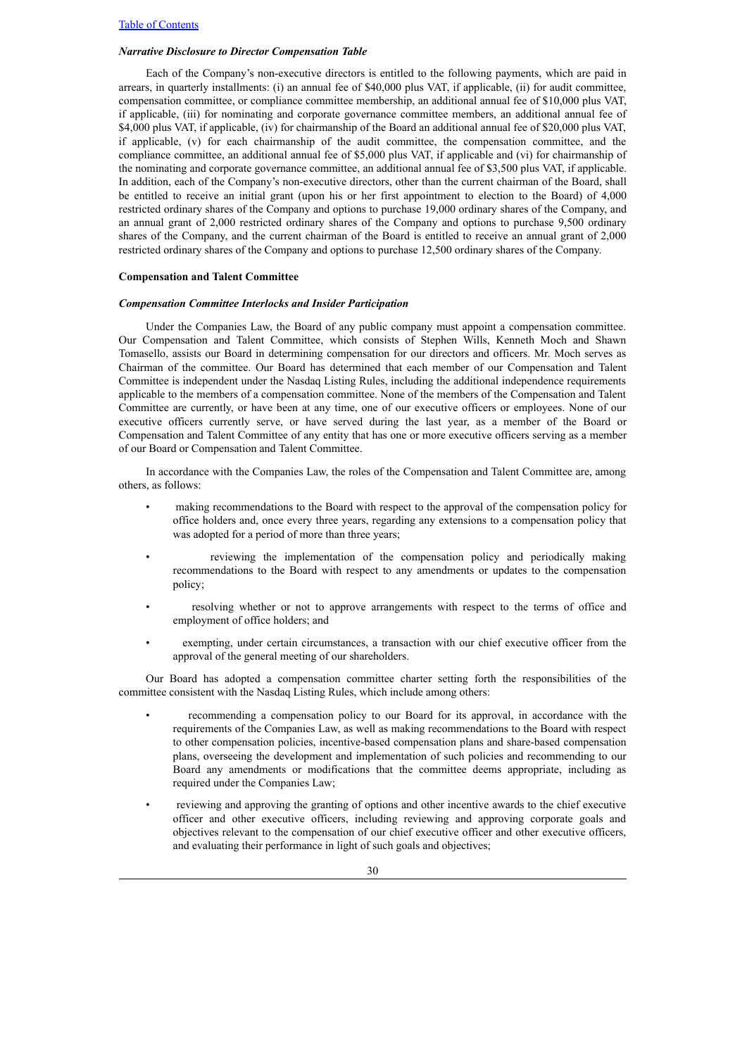#### *Narrative Disclosure to Director Compensation Table*

Each of the Company's non-executive directors is entitled to the following payments, which are paid in arrears, in quarterly installments: (i) an annual fee of \$40,000 plus VAT, if applicable, (ii) for audit committee, compensation committee, or compliance committee membership, an additional annual fee of \$10,000 plus VAT, if applicable, (iii) for nominating and corporate governance committee members, an additional annual fee of \$4,000 plus VAT, if applicable, (iv) for chairmanship of the Board an additional annual fee of \$20,000 plus VAT, if applicable, (v) for each chairmanship of the audit committee, the compensation committee, and the compliance committee, an additional annual fee of \$5,000 plus VAT, if applicable and (vi) for chairmanship of the nominating and corporate governance committee, an additional annual fee of \$3,500 plus VAT, if applicable. In addition, each of the Company's non-executive directors, other than the current chairman of the Board, shall be entitled to receive an initial grant (upon his or her first appointment to election to the Board) of 4,000 restricted ordinary shares of the Company and options to purchase 19,000 ordinary shares of the Company, and an annual grant of 2,000 restricted ordinary shares of the Company and options to purchase 9,500 ordinary shares of the Company, and the current chairman of the Board is entitled to receive an annual grant of 2,000 restricted ordinary shares of the Company and options to purchase 12,500 ordinary shares of the Company.

#### **Compensation and Talent Committee**

#### *Compensation Committee Interlocks and Insider Participation*

Under the Companies Law, the Board of any public company must appoint a compensation committee. Our Compensation and Talent Committee, which consists of Stephen Wills, Kenneth Moch and Shawn Tomasello, assists our Board in determining compensation for our directors and officers. Mr. Moch serves as Chairman of the committee. Our Board has determined that each member of our Compensation and Talent Committee is independent under the Nasdaq Listing Rules, including the additional independence requirements applicable to the members of a compensation committee. None of the members of the Compensation and Talent Committee are currently, or have been at any time, one of our executive officers or employees. None of our executive officers currently serve, or have served during the last year, as a member of the Board or Compensation and Talent Committee of any entity that has one or more executive officers serving as a member of our Board or Compensation and Talent Committee.

In accordance with the Companies Law, the roles of the Compensation and Talent Committee are, among others, as follows:

- making recommendations to the Board with respect to the approval of the compensation policy for office holders and, once every three years, regarding any extensions to a compensation policy that was adopted for a period of more than three years;
- reviewing the implementation of the compensation policy and periodically making recommendations to the Board with respect to any amendments or updates to the compensation policy;
- resolving whether or not to approve arrangements with respect to the terms of office and employment of office holders; and
- exempting, under certain circumstances, a transaction with our chief executive officer from the approval of the general meeting of our shareholders.

Our Board has adopted a compensation committee charter setting forth the responsibilities of the committee consistent with the Nasdaq Listing Rules, which include among others:

- recommending a compensation policy to our Board for its approval, in accordance with the requirements of the Companies Law, as well as making recommendations to the Board with respect to other compensation policies, incentive-based compensation plans and share-based compensation plans, overseeing the development and implementation of such policies and recommending to our Board any amendments or modifications that the committee deems appropriate, including as required under the Companies Law;
- reviewing and approving the granting of options and other incentive awards to the chief executive officer and other executive officers, including reviewing and approving corporate goals and objectives relevant to the compensation of our chief executive officer and other executive officers, and evaluating their performance in light of such goals and objectives;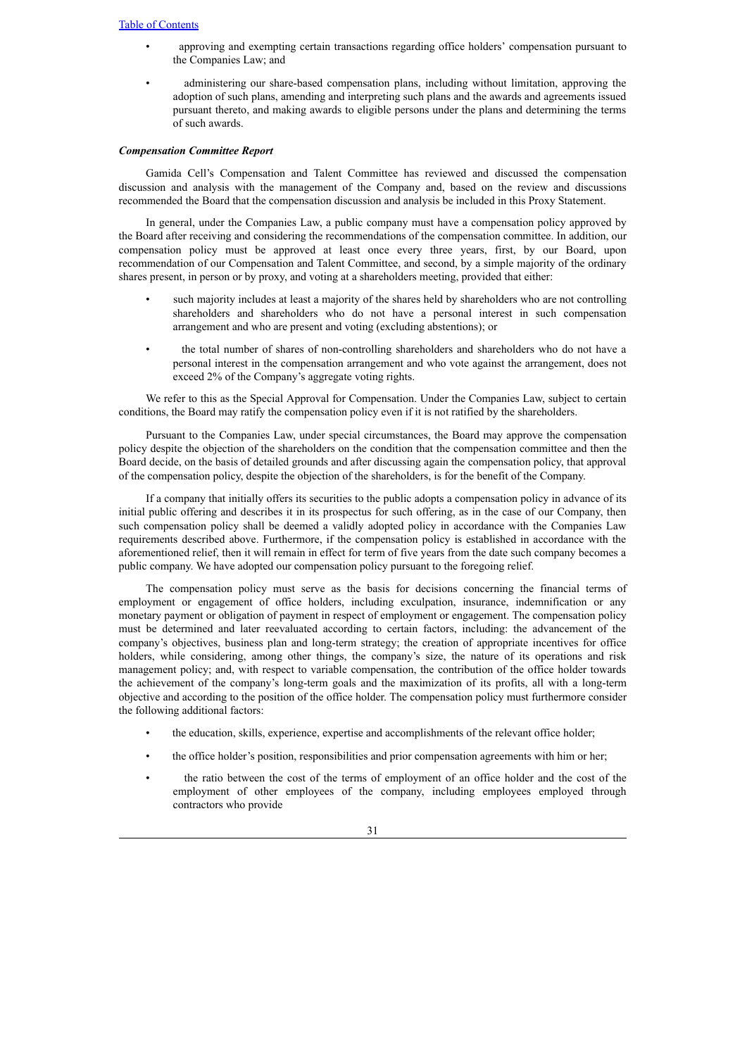- approving and exempting certain transactions regarding office holders' compensation pursuant to the Companies Law; and
- administering our share-based compensation plans, including without limitation, approving the adoption of such plans, amending and interpreting such plans and the awards and agreements issued pursuant thereto, and making awards to eligible persons under the plans and determining the terms of such awards.

#### *Compensation Committee Report*

Gamida Cell's Compensation and Talent Committee has reviewed and discussed the compensation discussion and analysis with the management of the Company and, based on the review and discussions recommended the Board that the compensation discussion and analysis be included in this Proxy Statement.

In general, under the Companies Law, a public company must have a compensation policy approved by the Board after receiving and considering the recommendations of the compensation committee. In addition, our compensation policy must be approved at least once every three years, first, by our Board, upon recommendation of our Compensation and Talent Committee, and second, by a simple majority of the ordinary shares present, in person or by proxy, and voting at a shareholders meeting, provided that either:

- such majority includes at least a majority of the shares held by shareholders who are not controlling shareholders and shareholders who do not have a personal interest in such compensation arrangement and who are present and voting (excluding abstentions); or
- the total number of shares of non-controlling shareholders and shareholders who do not have a personal interest in the compensation arrangement and who vote against the arrangement, does not exceed 2% of the Company's aggregate voting rights.

We refer to this as the Special Approval for Compensation. Under the Companies Law, subject to certain conditions, the Board may ratify the compensation policy even if it is not ratified by the shareholders.

Pursuant to the Companies Law, under special circumstances, the Board may approve the compensation policy despite the objection of the shareholders on the condition that the compensation committee and then the Board decide, on the basis of detailed grounds and after discussing again the compensation policy, that approval of the compensation policy, despite the objection of the shareholders, is for the benefit of the Company.

If a company that initially offers its securities to the public adopts a compensation policy in advance of its initial public offering and describes it in its prospectus for such offering, as in the case of our Company, then such compensation policy shall be deemed a validly adopted policy in accordance with the Companies Law requirements described above. Furthermore, if the compensation policy is established in accordance with the aforementioned relief, then it will remain in effect for term of five years from the date such company becomes a public company. We have adopted our compensation policy pursuant to the foregoing relief.

The compensation policy must serve as the basis for decisions concerning the financial terms of employment or engagement of office holders, including exculpation, insurance, indemnification or any monetary payment or obligation of payment in respect of employment or engagement. The compensation policy must be determined and later reevaluated according to certain factors, including: the advancement of the company's objectives, business plan and long-term strategy; the creation of appropriate incentives for office holders, while considering, among other things, the company's size, the nature of its operations and risk management policy; and, with respect to variable compensation, the contribution of the office holder towards the achievement of the company's long-term goals and the maximization of its profits, all with a long-term objective and according to the position of the office holder. The compensation policy must furthermore consider the following additional factors:

- the education, skills, experience, expertise and accomplishments of the relevant office holder;
- the office holder's position, responsibilities and prior compensation agreements with him or her;
- the ratio between the cost of the terms of employment of an office holder and the cost of the employment of other employees of the company, including employees employed through contractors who provide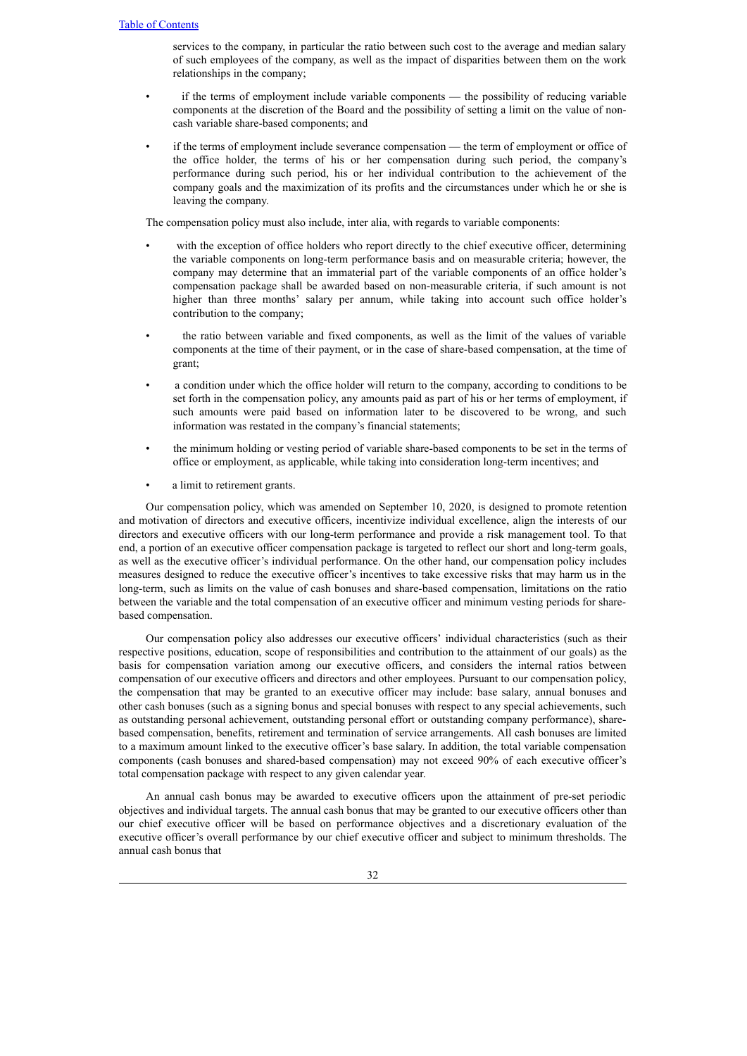services to the company, in particular the ratio between such cost to the average and median salary of such employees of the company, as well as the impact of disparities between them on the work relationships in the company;

- if the terms of employment include variable components the possibility of reducing variable components at the discretion of the Board and the possibility of setting a limit on the value of noncash variable share-based components; and
- if the terms of employment include severance compensation the term of employment or office of the office holder, the terms of his or her compensation during such period, the company's performance during such period, his or her individual contribution to the achievement of the company goals and the maximization of its profits and the circumstances under which he or she is leaving the company.

The compensation policy must also include, inter alia, with regards to variable components:

- with the exception of office holders who report directly to the chief executive officer, determining the variable components on long-term performance basis and on measurable criteria; however, the company may determine that an immaterial part of the variable components of an office holder's compensation package shall be awarded based on non-measurable criteria, if such amount is not higher than three months' salary per annum, while taking into account such office holder's contribution to the company;
- the ratio between variable and fixed components, as well as the limit of the values of variable components at the time of their payment, or in the case of share-based compensation, at the time of grant;
- a condition under which the office holder will return to the company, according to conditions to be set forth in the compensation policy, any amounts paid as part of his or her terms of employment, if such amounts were paid based on information later to be discovered to be wrong, and such information was restated in the company's financial statements;
- the minimum holding or vesting period of variable share-based components to be set in the terms of office or employment, as applicable, while taking into consideration long-term incentives; and
- a limit to retirement grants.

Our compensation policy, which was amended on September 10, 2020, is designed to promote retention and motivation of directors and executive officers, incentivize individual excellence, align the interests of our directors and executive officers with our long-term performance and provide a risk management tool. To that end, a portion of an executive officer compensation package is targeted to reflect our short and long-term goals, as well as the executive officer's individual performance. On the other hand, our compensation policy includes measures designed to reduce the executive officer's incentives to take excessive risks that may harm us in the long-term, such as limits on the value of cash bonuses and share-based compensation, limitations on the ratio between the variable and the total compensation of an executive officer and minimum vesting periods for sharebased compensation.

Our compensation policy also addresses our executive officers' individual characteristics (such as their respective positions, education, scope of responsibilities and contribution to the attainment of our goals) as the basis for compensation variation among our executive officers, and considers the internal ratios between compensation of our executive officers and directors and other employees. Pursuant to our compensation policy, the compensation that may be granted to an executive officer may include: base salary, annual bonuses and other cash bonuses (such as a signing bonus and special bonuses with respect to any special achievements, such as outstanding personal achievement, outstanding personal effort or outstanding company performance), sharebased compensation, benefits, retirement and termination of service arrangements. All cash bonuses are limited to a maximum amount linked to the executive officer's base salary. In addition, the total variable compensation components (cash bonuses and shared-based compensation) may not exceed 90% of each executive officer's total compensation package with respect to any given calendar year.

An annual cash bonus may be awarded to executive officers upon the attainment of pre-set periodic objectives and individual targets. The annual cash bonus that may be granted to our executive officers other than our chief executive officer will be based on performance objectives and a discretionary evaluation of the executive officer's overall performance by our chief executive officer and subject to minimum thresholds. The annual cash bonus that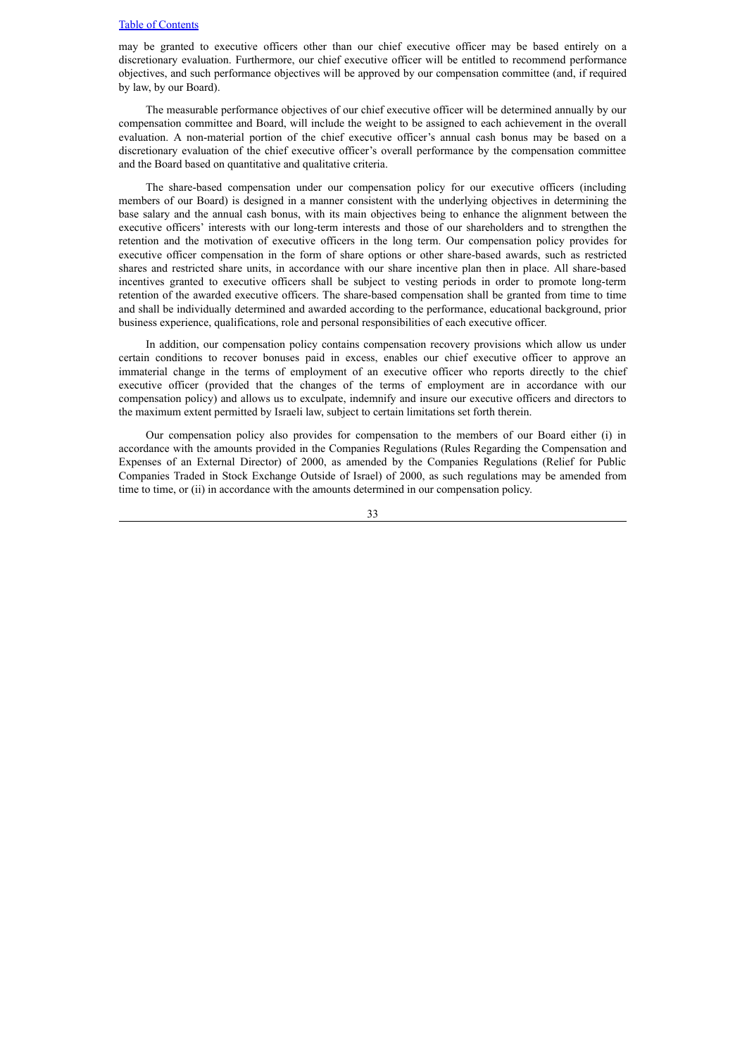may be granted to executive officers other than our chief executive officer may be based entirely on a discretionary evaluation. Furthermore, our chief executive officer will be entitled to recommend performance objectives, and such performance objectives will be approved by our compensation committee (and, if required by law, by our Board).

The measurable performance objectives of our chief executive officer will be determined annually by our compensation committee and Board, will include the weight to be assigned to each achievement in the overall evaluation. A non-material portion of the chief executive officer's annual cash bonus may be based on a discretionary evaluation of the chief executive officer's overall performance by the compensation committee and the Board based on quantitative and qualitative criteria.

The share-based compensation under our compensation policy for our executive officers (including members of our Board) is designed in a manner consistent with the underlying objectives in determining the base salary and the annual cash bonus, with its main objectives being to enhance the alignment between the executive officers' interests with our long-term interests and those of our shareholders and to strengthen the retention and the motivation of executive officers in the long term. Our compensation policy provides for executive officer compensation in the form of share options or other share-based awards, such as restricted shares and restricted share units, in accordance with our share incentive plan then in place. All share-based incentives granted to executive officers shall be subject to vesting periods in order to promote long-term retention of the awarded executive officers. The share-based compensation shall be granted from time to time and shall be individually determined and awarded according to the performance, educational background, prior business experience, qualifications, role and personal responsibilities of each executive officer.

In addition, our compensation policy contains compensation recovery provisions which allow us under certain conditions to recover bonuses paid in excess, enables our chief executive officer to approve an immaterial change in the terms of employment of an executive officer who reports directly to the chief executive officer (provided that the changes of the terms of employment are in accordance with our compensation policy) and allows us to exculpate, indemnify and insure our executive officers and directors to the maximum extent permitted by Israeli law, subject to certain limitations set forth therein.

Our compensation policy also provides for compensation to the members of our Board either (i) in accordance with the amounts provided in the Companies Regulations (Rules Regarding the Compensation and Expenses of an External Director) of 2000, as amended by the Companies Regulations (Relief for Public Companies Traded in Stock Exchange Outside of Israel) of 2000, as such regulations may be amended from time to time, or (ii) in accordance with the amounts determined in our compensation policy.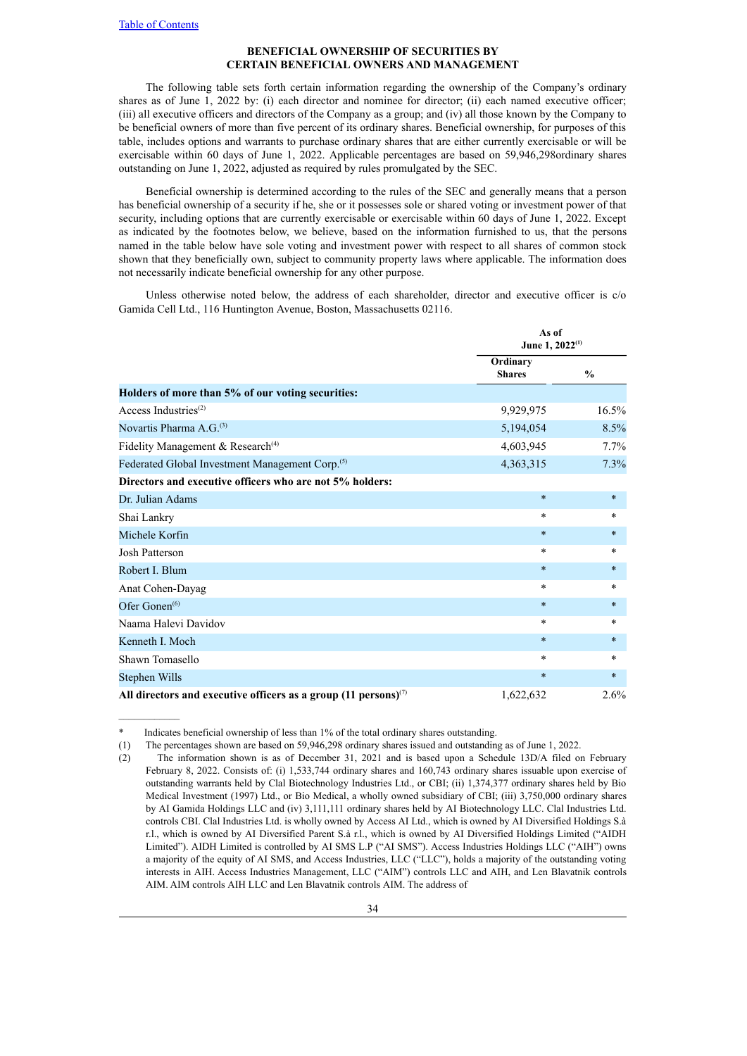## **BENEFICIAL OWNERSHIP OF SECURITIES BY CERTAIN BENEFICIAL OWNERS AND MANAGEMENT**

<span id="page-38-0"></span>The following table sets forth certain information regarding the ownership of the Company's ordinary shares as of June 1, 2022 by: (i) each director and nominee for director; (ii) each named executive officer; (iii) all executive officers and directors of the Company as a group; and (iv) all those known by the Company to be beneficial owners of more than five percent of its ordinary shares. Beneficial ownership, for purposes of this table, includes options and warrants to purchase ordinary shares that are either currently exercisable or will be exercisable within 60 days of June 1, 2022. Applicable percentages are based on 59,946,298ordinary shares outstanding on June 1, 2022, adjusted as required by rules promulgated by the SEC.

Beneficial ownership is determined according to the rules of the SEC and generally means that a person has beneficial ownership of a security if he, she or it possesses sole or shared voting or investment power of that security, including options that are currently exercisable or exercisable within 60 days of June 1, 2022. Except as indicated by the footnotes below, we believe, based on the information furnished to us, that the persons named in the table below have sole voting and investment power with respect to all shares of common stock shown that they beneficially own, subject to community property laws where applicable. The information does not necessarily indicate beneficial ownership for any other purpose.

Unless otherwise noted below, the address of each shareholder, director and executive officer is c/o Gamida Cell Ltd., 116 Huntington Avenue, Boston, Massachusetts 02116.

|                                                                    | As of<br>June 1, $2022^{(1)}$ |               |
|--------------------------------------------------------------------|-------------------------------|---------------|
|                                                                    | Ordinary<br><b>Shares</b>     | $\frac{0}{0}$ |
| Holders of more than 5% of our voting securities:                  |                               |               |
| Access Industries $^{(2)}$                                         | 9,929,975                     | 16.5%         |
| Novartis Pharma A. $G^{(3)}$                                       | 5,194,054                     | 8.5%          |
| Fidelity Management & Research <sup>(4)</sup>                      | 4,603,945                     | 7.7%          |
| Federated Global Investment Management Corp. <sup>(5)</sup>        | 4,363,315                     | 7.3%          |
| Directors and executive officers who are not 5% holders:           |                               |               |
| Dr. Julian Adams                                                   | $\ast$                        | $\ast$        |
| Shai Lankry                                                        | $\ast$                        | ÷             |
| Michele Korfin                                                     | $\ast$                        | $\ast$        |
| <b>Josh Patterson</b>                                              | $\ast$                        | $\ast$        |
| Robert I. Blum                                                     | $\ast$                        | $\ast$        |
| Anat Cohen-Dayag                                                   | $\ast$                        | ÷             |
| Ofer Gonen $^{(6)}$                                                | $\ast$                        | $\ast$        |
| Naama Halevi Davidov                                               | $\ast$                        | ¥             |
| Kenneth I. Moch                                                    | $\ast$                        | $\ast$        |
| Shawn Tomasello                                                    | $\ast$                        | *             |
| Stephen Wills                                                      | $\ast$                        | $\ast$        |
| All directors and executive officers as a group (11 persons) $(7)$ | 1,622,632                     | 2.6%          |

Indicates beneficial ownership of less than 1% of the total ordinary shares outstanding.

<sup>(1)</sup> The percentages shown are based on 59,946,298 ordinary shares issued and outstanding as of June 1, 2022.

<sup>(2)</sup> The information shown is as of December 31, 2021 and is based upon a Schedule 13D/A filed on February February 8, 2022. Consists of: (i) 1,533,744 ordinary shares and 160,743 ordinary shares issuable upon exercise of outstanding warrants held by Clal Biotechnology Industries Ltd., or CBI; (ii) 1,374,377 ordinary shares held by Bio Medical Investment (1997) Ltd., or Bio Medical, a wholly owned subsidiary of CBI; (iii) 3,750,000 ordinary shares by AI Gamida Holdings LLC and (iv) 3,111,111 ordinary shares held by AI Biotechnology LLC. Clal Industries Ltd. controls CBI. Clal Industries Ltd. is wholly owned by Access AI Ltd., which is owned by AI Diversified Holdings S.à r.l., which is owned by AI Diversified Parent S.à r.l., which is owned by AI Diversified Holdings Limited ("AIDH Limited"). AIDH Limited is controlled by AI SMS L.P ("AI SMS"). Access Industries Holdings LLC ("AIH") owns a majority of the equity of AI SMS, and Access Industries, LLC ("LLC"), holds a majority of the outstanding voting interests in AIH. Access Industries Management, LLC ("AIM") controls LLC and AIH, and Len Blavatnik controls AIM. AIM controls AIH LLC and Len Blavatnik controls AIM. The address of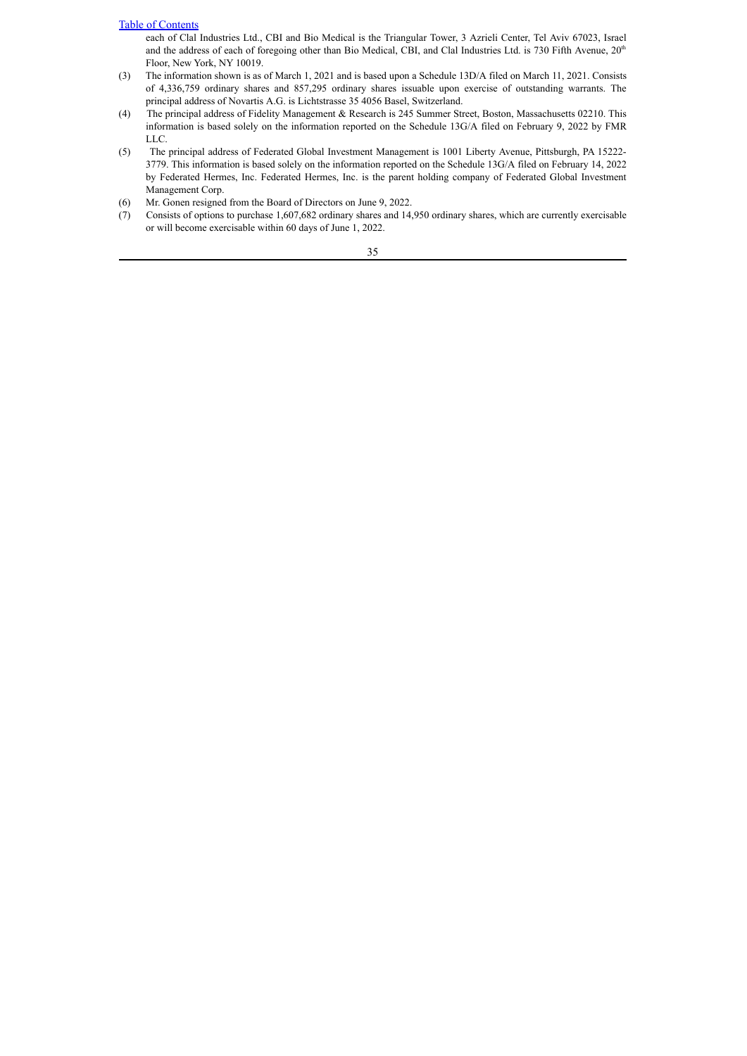each of Clal Industries Ltd., CBI and Bio Medical is the Triangular Tower, 3 Azrieli Center, Tel Aviv 67023, Israel and the address of each of foregoing other than Bio Medical, CBI, and Clal Industries Ltd. is 730 Fifth Avenue,  $20<sup>th</sup>$ Floor, New York, NY 10019.

- (3) The information shown is as of March 1, 2021 and is based upon a Schedule 13D/A filed on March 11, 2021. Consists of 4,336,759 ordinary shares and 857,295 ordinary shares issuable upon exercise of outstanding warrants. The principal address of Novartis A.G. is Lichtstrasse 35 4056 Basel, Switzerland.
- (4) The principal address of Fidelity Management & Research is 245 Summer Street, Boston, Massachusetts 02210. This information is based solely on the information reported on the Schedule 13G/A filed on February 9, 2022 by FMR LLC.
- (5) The principal address of Federated Global Investment Management is 1001 Liberty Avenue, Pittsburgh, PA 15222- 3779. This information is based solely on the information reported on the Schedule 13G/A filed on February 14, 2022 by Federated Hermes, Inc. Federated Hermes, Inc. is the parent holding company of Federated Global Investment Management Corp.
- (6) Mr. Gonen resigned from the Board of Directors on June 9, 2022.
- (7) Consists of options to purchase 1,607,682 ordinary shares and 14,950 ordinary shares, which are currently exercisable or will become exercisable within 60 days of June 1, 2022.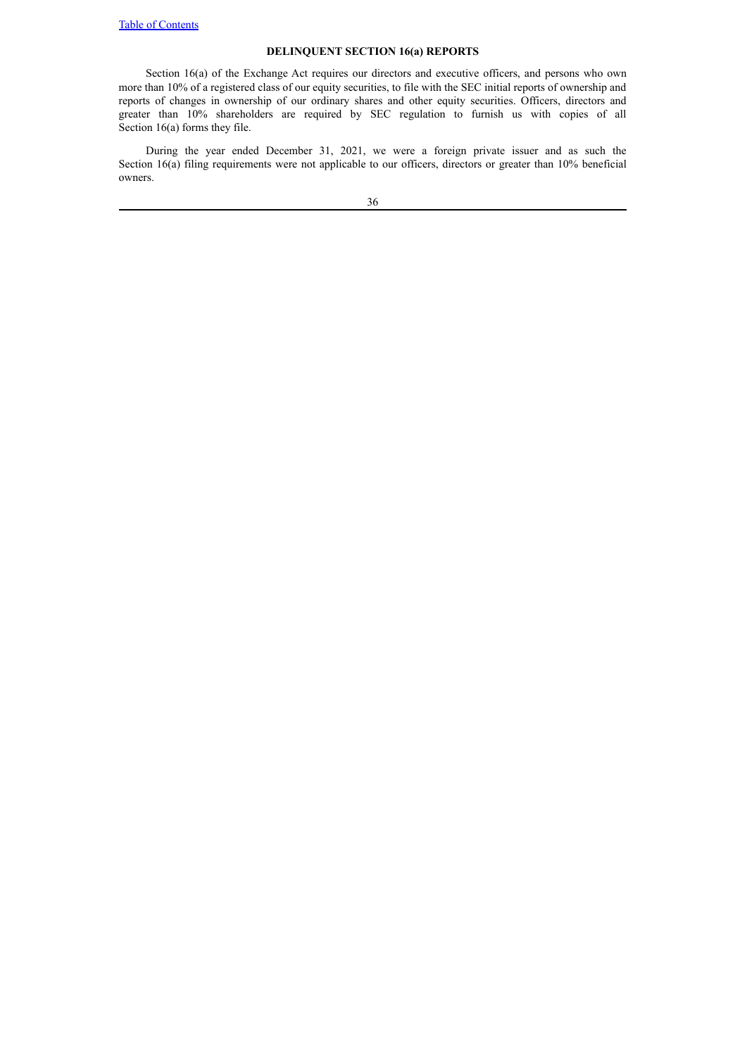# **DELINQUENT SECTION 16(a) REPORTS**

<span id="page-40-0"></span>Section 16(a) of the Exchange Act requires our directors and executive officers, and persons who own more than 10% of a registered class of our equity securities, to file with the SEC initial reports of ownership and reports of changes in ownership of our ordinary shares and other equity securities. Officers, directors and greater than 10% shareholders are required by SEC regulation to furnish us with copies of all Section 16(a) forms they file.

During the year ended December 31, 2021, we were a foreign private issuer and as such the Section 16(a) filing requirements were not applicable to our officers, directors or greater than 10% beneficial owners.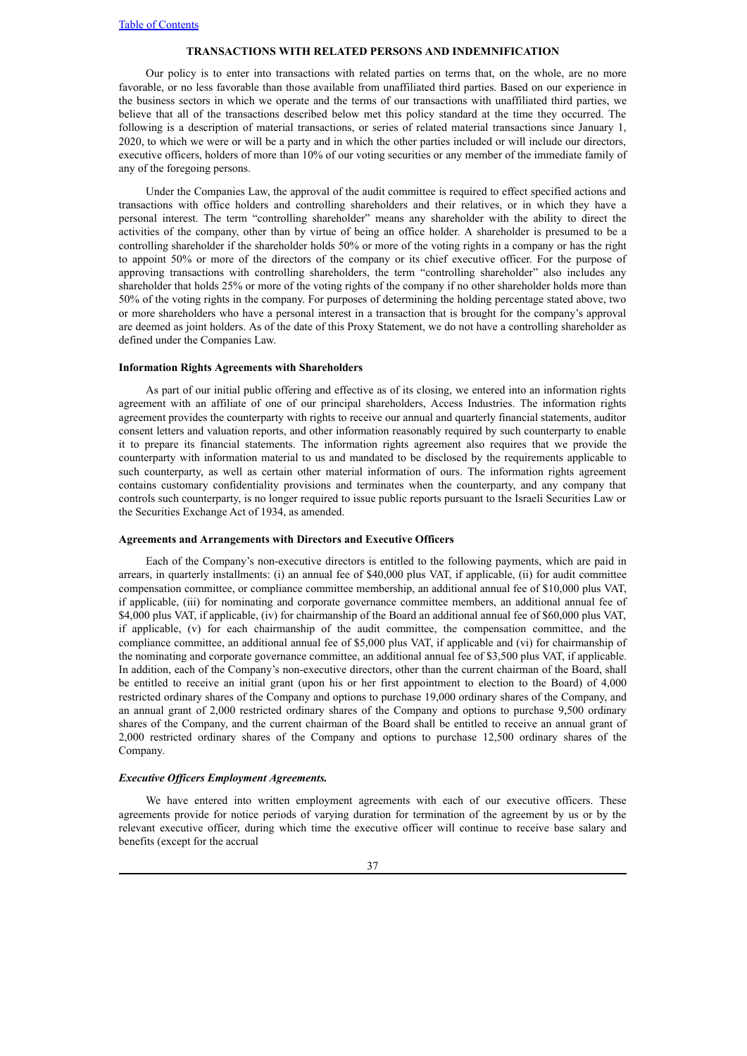#### **TRANSACTIONS WITH RELATED PERSONS AND INDEMNIFICATION**

<span id="page-41-0"></span>Our policy is to enter into transactions with related parties on terms that, on the whole, are no more favorable, or no less favorable than those available from unaffiliated third parties. Based on our experience in the business sectors in which we operate and the terms of our transactions with unaffiliated third parties, we believe that all of the transactions described below met this policy standard at the time they occurred. The following is a description of material transactions, or series of related material transactions since January 1, 2020, to which we were or will be a party and in which the other parties included or will include our directors, executive officers, holders of more than 10% of our voting securities or any member of the immediate family of any of the foregoing persons.

Under the Companies Law, the approval of the audit committee is required to effect specified actions and transactions with office holders and controlling shareholders and their relatives, or in which they have a personal interest. The term "controlling shareholder" means any shareholder with the ability to direct the activities of the company, other than by virtue of being an office holder. A shareholder is presumed to be a controlling shareholder if the shareholder holds 50% or more of the voting rights in a company or has the right to appoint 50% or more of the directors of the company or its chief executive officer. For the purpose of approving transactions with controlling shareholders, the term "controlling shareholder" also includes any shareholder that holds 25% or more of the voting rights of the company if no other shareholder holds more than 50% of the voting rights in the company. For purposes of determining the holding percentage stated above, two or more shareholders who have a personal interest in a transaction that is brought for the company's approval are deemed as joint holders. As of the date of this Proxy Statement, we do not have a controlling shareholder as defined under the Companies Law.

#### **Information Rights Agreements with Shareholders**

As part of our initial public offering and effective as of its closing, we entered into an information rights agreement with an affiliate of one of our principal shareholders, Access Industries. The information rights agreement provides the counterparty with rights to receive our annual and quarterly financial statements, auditor consent letters and valuation reports, and other information reasonably required by such counterparty to enable it to prepare its financial statements. The information rights agreement also requires that we provide the counterparty with information material to us and mandated to be disclosed by the requirements applicable to such counterparty, as well as certain other material information of ours. The information rights agreement contains customary confidentiality provisions and terminates when the counterparty, and any company that controls such counterparty, is no longer required to issue public reports pursuant to the Israeli Securities Law or the Securities Exchange Act of 1934, as amended.

#### **Agreements and Arrangements with Directors and Executive Officers**

Each of the Company's non-executive directors is entitled to the following payments, which are paid in arrears, in quarterly installments: (i) an annual fee of \$40,000 plus VAT, if applicable, (ii) for audit committee compensation committee, or compliance committee membership, an additional annual fee of \$10,000 plus VAT, if applicable, (iii) for nominating and corporate governance committee members, an additional annual fee of \$4,000 plus VAT, if applicable, (iv) for chairmanship of the Board an additional annual fee of \$60,000 plus VAT, if applicable, (v) for each chairmanship of the audit committee, the compensation committee, and the compliance committee, an additional annual fee of \$5,000 plus VAT, if applicable and (vi) for chairmanship of the nominating and corporate governance committee, an additional annual fee of \$3,500 plus VAT, if applicable. In addition, each of the Company's non-executive directors, other than the current chairman of the Board, shall be entitled to receive an initial grant (upon his or her first appointment to election to the Board) of 4,000 restricted ordinary shares of the Company and options to purchase 19,000 ordinary shares of the Company, and an annual grant of 2,000 restricted ordinary shares of the Company and options to purchase 9,500 ordinary shares of the Company, and the current chairman of the Board shall be entitled to receive an annual grant of 2,000 restricted ordinary shares of the Company and options to purchase 12,500 ordinary shares of the Company.

## *Executive Of icers Employment Agreements.*

We have entered into written employment agreements with each of our executive officers. These agreements provide for notice periods of varying duration for termination of the agreement by us or by the relevant executive officer, during which time the executive officer will continue to receive base salary and benefits (except for the accrual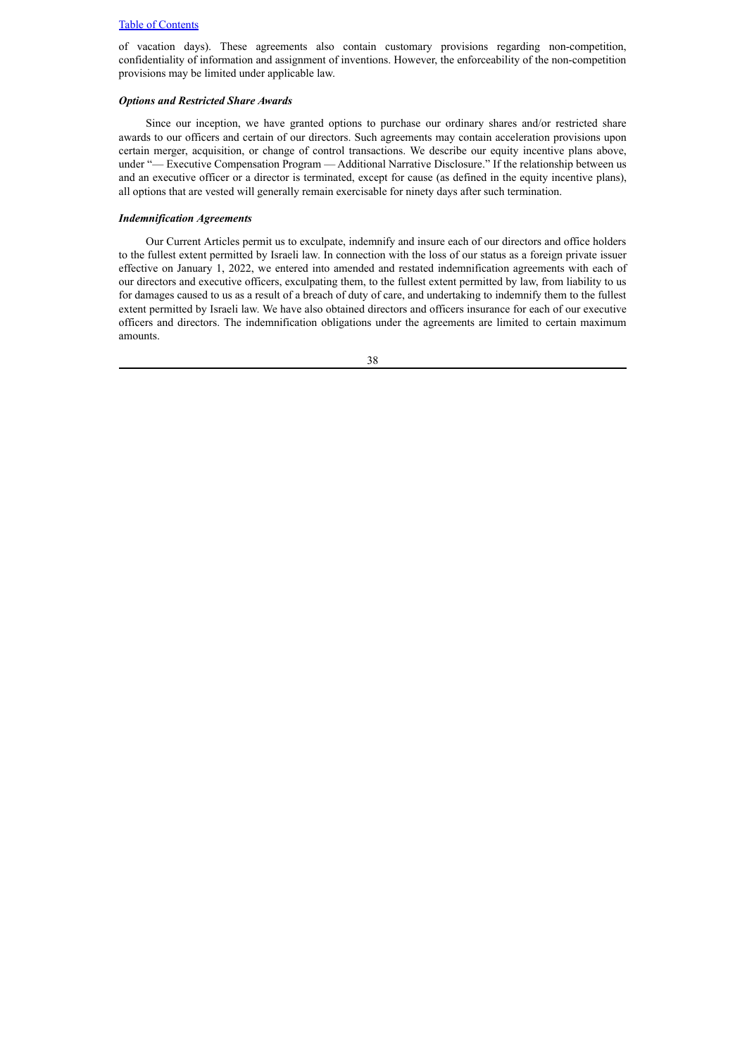of vacation days). These agreements also contain customary provisions regarding non-competition, confidentiality of information and assignment of inventions. However, the enforceability of the non-competition provisions may be limited under applicable law.

## *Options and Restricted Share Awards*

Since our inception, we have granted options to purchase our ordinary shares and/or restricted share awards to our officers and certain of our directors. Such agreements may contain acceleration provisions upon certain merger, acquisition, or change of control transactions. We describe our equity incentive plans above, under "— Executive Compensation Program — Additional Narrative Disclosure." If the relationship between us and an executive officer or a director is terminated, except for cause (as defined in the equity incentive plans), all options that are vested will generally remain exercisable for ninety days after such termination.

#### *Indemnification Agreements*

Our Current Articles permit us to exculpate, indemnify and insure each of our directors and office holders to the fullest extent permitted by Israeli law. In connection with the loss of our status as a foreign private issuer effective on January 1, 2022, we entered into amended and restated indemnification agreements with each of our directors and executive officers, exculpating them, to the fullest extent permitted by law, from liability to us for damages caused to us as a result of a breach of duty of care, and undertaking to indemnify them to the fullest extent permitted by Israeli law. We have also obtained directors and officers insurance for each of our executive officers and directors. The indemnification obligations under the agreements are limited to certain maximum amounts.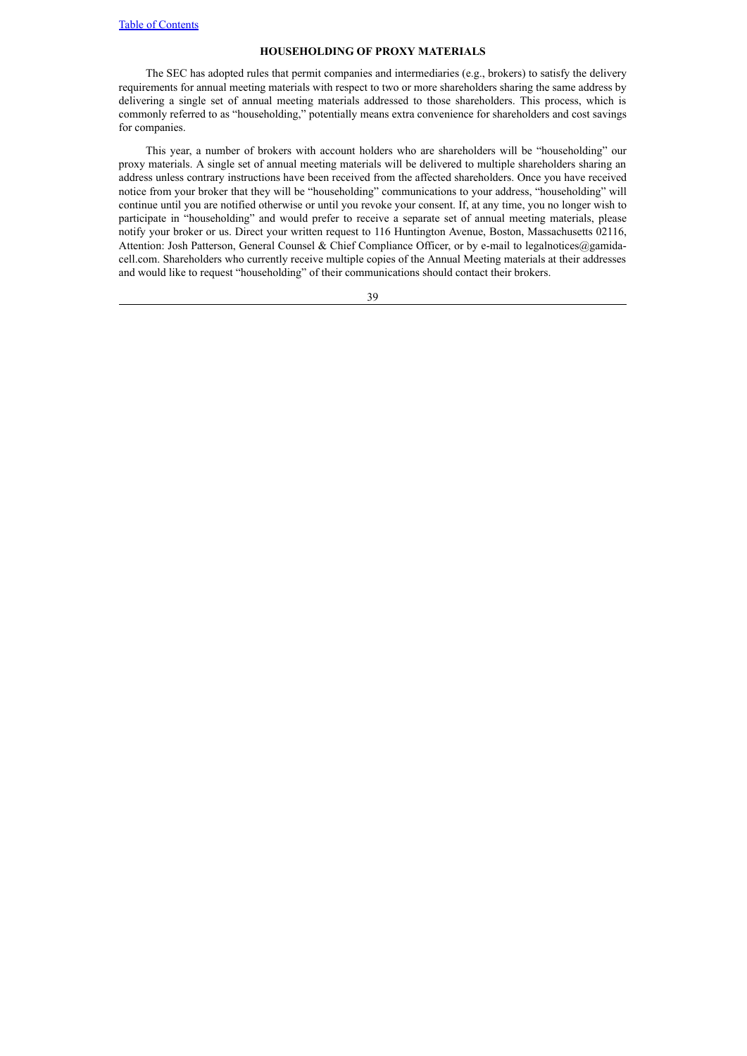## **HOUSEHOLDING OF PROXY MATERIALS**

<span id="page-43-0"></span>The SEC has adopted rules that permit companies and intermediaries (e.g., brokers) to satisfy the delivery requirements for annual meeting materials with respect to two or more shareholders sharing the same address by delivering a single set of annual meeting materials addressed to those shareholders. This process, which is commonly referred to as "householding," potentially means extra convenience for shareholders and cost savings for companies.

This year, a number of brokers with account holders who are shareholders will be "householding" our proxy materials. A single set of annual meeting materials will be delivered to multiple shareholders sharing an address unless contrary instructions have been received from the affected shareholders. Once you have received notice from your broker that they will be "householding" communications to your address, "householding" will continue until you are notified otherwise or until you revoke your consent. If, at any time, you no longer wish to participate in "householding" and would prefer to receive a separate set of annual meeting materials, please notify your broker or us. Direct your written request to 116 Huntington Avenue, Boston, Massachusetts 02116, Attention: Josh Patterson, General Counsel & Chief Compliance Officer, or by e-mail to legalnotices@gamidacell.com. Shareholders who currently receive multiple copies of the Annual Meeting materials at their addresses and would like to request "householding" of their communications should contact their brokers.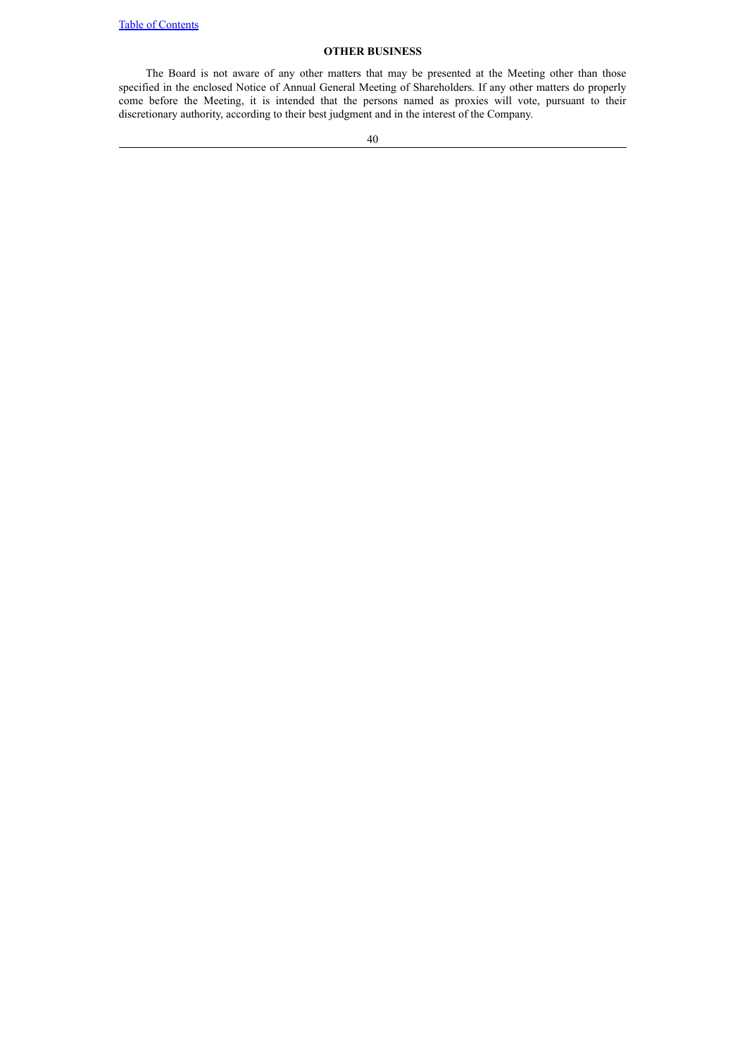# **OTHER BUSINESS**

<span id="page-44-0"></span>The Board is not aware of any other matters that may be presented at the Meeting other than those specified in the enclosed Notice of Annual General Meeting of Shareholders. If any other matters do properly come before the Meeting, it is intended that the persons named as proxies will vote, pursuant to their discretionary authority, according to their best judgment and in the interest of the Company.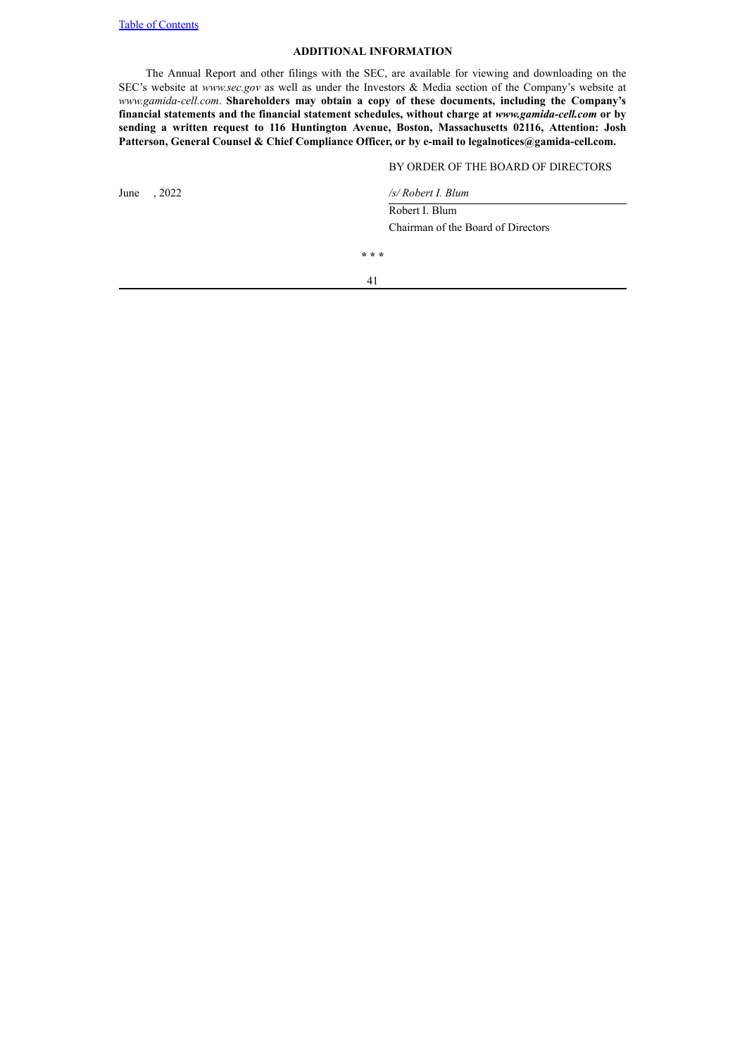# **ADDITIONAL INFORMATION**

The Annual Report and other filings with the SEC, are available for viewing and downloading on the SEC's website at *www.sec.gov* as well as under the Investors & Media section of the Company's website at *www.gamida-cell.com*. **Shareholders may obtain a copy of these documents, including the Company's financial statements and the financial statement schedules, without charge at** *www.gamida-cell.com* **or by sending a written request to 116 Huntington Avenue, Boston, Massachusetts 02116, Attention: Josh Patterson, General Counsel & Chief Compliance Officer, or by e-mail to legalnotices@gamida-cell.com.**

## BY ORDER OF THE BOARD OF DIRECTORS

| , 2022<br>June | /s/ Robert I. Blum                 |
|----------------|------------------------------------|
|                | Robert I. Blum                     |
|                | Chairman of the Board of Directors |
|                | * * *                              |
|                | 41                                 |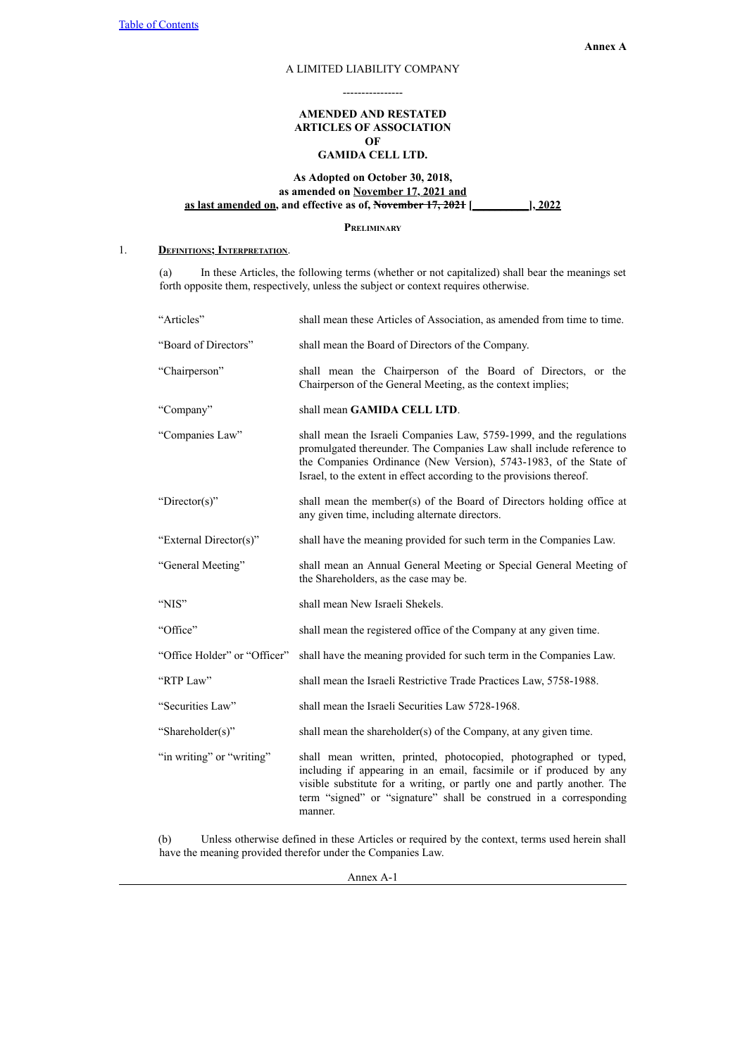# A LIMITED LIABILITY COMPANY ----------------

# **AMENDED AND RESTATED ARTICLES OF ASSOCIATION OF GAMIDA CELL LTD.**

# <span id="page-46-0"></span>**As Adopted on October 30, 2018, as amended on November 17, 2021 and as last amended on, and effective as of, November 17, 2021 [\_\_\_\_\_\_\_\_\_\_], 2022**

**Preliminary**

# 1. **Definitions; Interpretation**.

(a) In these Articles, the following terms (whether or not capitalized) shall bear the meanings set forth opposite them, respectively, unless the subject or context requires otherwise.

| "Articles"                   | shall mean these Articles of Association, as amended from time to time.                                                                                                                                                                                                                             |
|------------------------------|-----------------------------------------------------------------------------------------------------------------------------------------------------------------------------------------------------------------------------------------------------------------------------------------------------|
| "Board of Directors"         | shall mean the Board of Directors of the Company.                                                                                                                                                                                                                                                   |
| "Chairperson"                | shall mean the Chairperson of the Board of Directors, or the<br>Chairperson of the General Meeting, as the context implies;                                                                                                                                                                         |
| "Company"                    | shall mean GAMIDA CELL LTD.                                                                                                                                                                                                                                                                         |
| "Companies Law"              | shall mean the Israeli Companies Law, 5759-1999, and the regulations<br>promulgated thereunder. The Companies Law shall include reference to<br>the Companies Ordinance (New Version), 5743-1983, of the State of<br>Israel, to the extent in effect according to the provisions thereof.           |
| "Director(s)"                | shall mean the member(s) of the Board of Directors holding office at<br>any given time, including alternate directors.                                                                                                                                                                              |
| "External Director(s)"       | shall have the meaning provided for such term in the Companies Law.                                                                                                                                                                                                                                 |
| "General Meeting"            | shall mean an Annual General Meeting or Special General Meeting of<br>the Shareholders, as the case may be.                                                                                                                                                                                         |
| "NIS"                        | shall mean New Israeli Shekels.                                                                                                                                                                                                                                                                     |
| "Office"                     | shall mean the registered office of the Company at any given time.                                                                                                                                                                                                                                  |
| "Office Holder" or "Officer" | shall have the meaning provided for such term in the Companies Law.                                                                                                                                                                                                                                 |
| "RTP Law"                    | shall mean the Israeli Restrictive Trade Practices Law, 5758-1988.                                                                                                                                                                                                                                  |
| "Securities Law"             | shall mean the Israeli Securities Law 5728-1968.                                                                                                                                                                                                                                                    |
| "Shareholder(s)"             | shall mean the shareholder(s) of the Company, at any given time.                                                                                                                                                                                                                                    |
| "in writing" or "writing"    | shall mean written, printed, photocopied, photographed or typed,<br>including if appearing in an email, facsimile or if produced by any<br>visible substitute for a writing, or partly one and partly another. The<br>term "signed" or "signature" shall be construed in a corresponding<br>manner. |

(b) Unless otherwise defined in these Articles or required by the context, terms used herein shall have the meaning provided therefor under the Companies Law.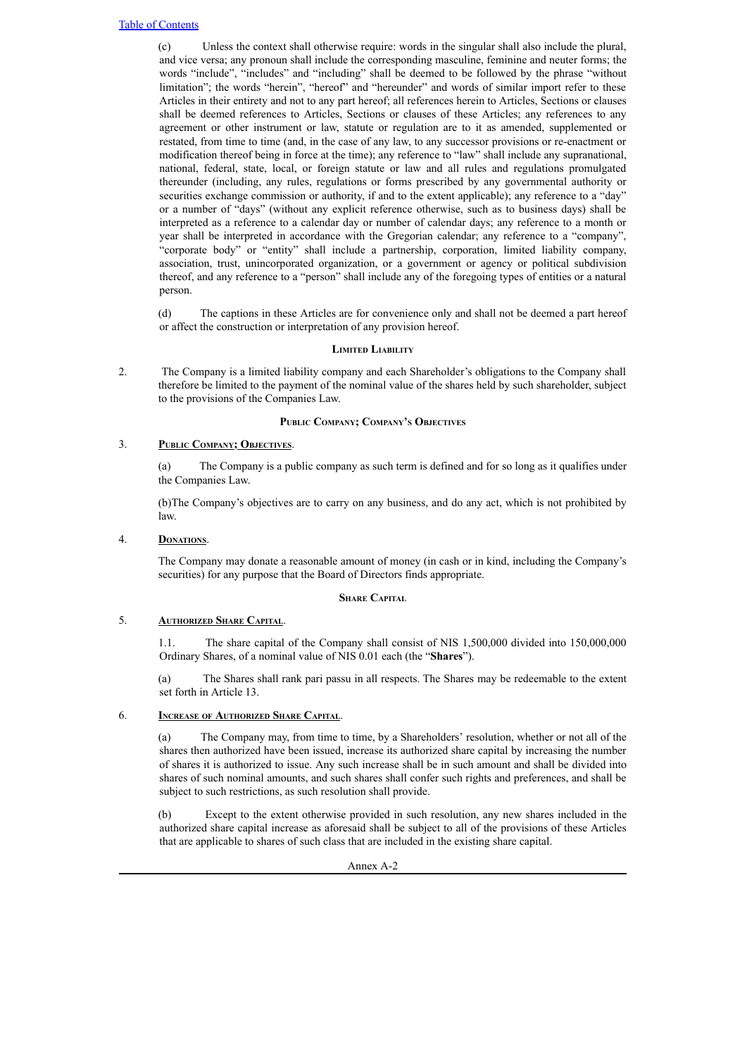(c) Unless the context shall otherwise require: words in the singular shall also include the plural, and vice versa; any pronoun shall include the corresponding masculine, feminine and neuter forms; the words "include", "includes" and "including" shall be deemed to be followed by the phrase "without limitation"; the words "herein", "hereof" and "hereunder" and words of similar import refer to these Articles in their entirety and not to any part hereof; all references herein to Articles, Sections or clauses shall be deemed references to Articles, Sections or clauses of these Articles; any references to any agreement or other instrument or law, statute or regulation are to it as amended, supplemented or restated, from time to time (and, in the case of any law, to any successor provisions or re-enactment or modification thereof being in force at the time); any reference to "law" shall include any supranational, national, federal, state, local, or foreign statute or law and all rules and regulations promulgated thereunder (including, any rules, regulations or forms prescribed by any governmental authority or securities exchange commission or authority, if and to the extent applicable); any reference to a "day" or a number of "days" (without any explicit reference otherwise, such as to business days) shall be interpreted as a reference to a calendar day or number of calendar days; any reference to a month or year shall be interpreted in accordance with the Gregorian calendar; any reference to a "company", "corporate body" or "entity" shall include a partnership, corporation, limited liability company, association, trust, unincorporated organization, or a government or agency or political subdivision thereof, and any reference to a "person" shall include any of the foregoing types of entities or a natural person.

(d) The captions in these Articles are for convenience only and shall not be deemed a part hereof or affect the construction or interpretation of any provision hereof.

# **Limited Liability**

2. The Company is a limited liability company and each Shareholder's obligations to the Company shall therefore be limited to the payment of the nominal value of the shares held by such shareholder, subject to the provisions of the Companies Law.

# **Public Company; Company'<sup>s</sup> Objectives**

# 3. **Public Company; Objectives**.

(a) The Company is a public company as such term is defined and for so long as it qualifies under the Companies Law.

(b)The Company's objectives are to carry on any business, and do any act, which is not prohibited by law.

# 4. **Donations**.

The Company may donate a reasonable amount of money (in cash or in kind, including the Company's securities) for any purpose that the Board of Directors finds appropriate.

# **Share Capital**

# 5. **Authorized Share Capital**.

1.1. The share capital of the Company shall consist of NIS 1,500,000 divided into 150,000,000 Ordinary Shares, of a nominal value of NIS 0.01 each (the "**Shares**").

(a) The Shares shall rank pari passu in all respects. The Shares may be redeemable to the extent set forth in Article 13.

# 6. **Increase of Authorized Share Capital**.

(a) The Company may, from time to time, by a Shareholders' resolution, whether or not all of the shares then authorized have been issued, increase its authorized share capital by increasing the number of shares it is authorized to issue. Any such increase shall be in such amount and shall be divided into shares of such nominal amounts, and such shares shall confer such rights and preferences, and shall be subject to such restrictions, as such resolution shall provide.

(b) Except to the extent otherwise provided in such resolution, any new shares included in the authorized share capital increase as aforesaid shall be subject to all of the provisions of these Articles that are applicable to shares of such class that are included in the existing share capital.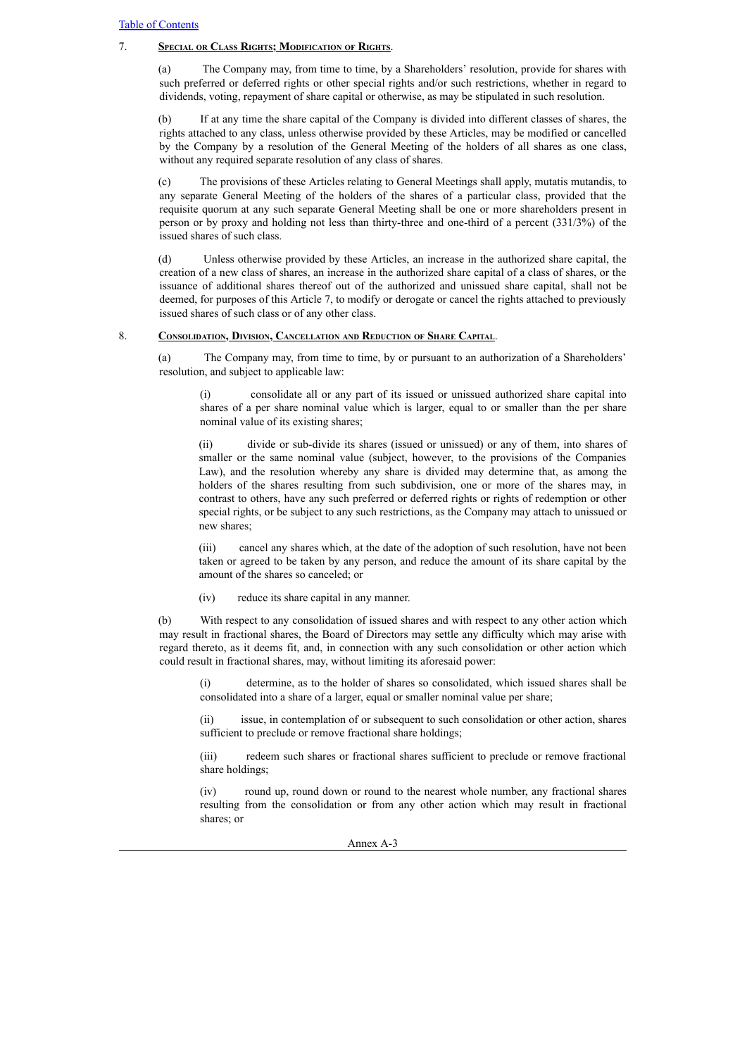# 7. **Special or Class Rights; Modification of Rights**.

(a) The Company may, from time to time, by a Shareholders' resolution, provide for shares with such preferred or deferred rights or other special rights and/or such restrictions, whether in regard to dividends, voting, repayment of share capital or otherwise, as may be stipulated in such resolution.

(b) If at any time the share capital of the Company is divided into different classes of shares, the rights attached to any class, unless otherwise provided by these Articles, may be modified or cancelled by the Company by a resolution of the General Meeting of the holders of all shares as one class, without any required separate resolution of any class of shares.

(c) The provisions of these Articles relating to General Meetings shall apply, mutatis mutandis, to any separate General Meeting of the holders of the shares of a particular class, provided that the requisite quorum at any such separate General Meeting shall be one or more shareholders present in person or by proxy and holding not less than thirty-three and one-third of a percent (331/3%) of the issued shares of such class.

(d) Unless otherwise provided by these Articles, an increase in the authorized share capital, the creation of a new class of shares, an increase in the authorized share capital of a class of shares, or the issuance of additional shares thereof out of the authorized and unissued share capital, shall not be deemed, for purposes of this Article 7, to modify or derogate or cancel the rights attached to previously issued shares of such class or of any other class.

# 8. **Consolidation, Division, Cancellation and Reduction of Share Capital**.

(a) The Company may, from time to time, by or pursuant to an authorization of a Shareholders' resolution, and subject to applicable law:

(i) consolidate all or any part of its issued or unissued authorized share capital into shares of a per share nominal value which is larger, equal to or smaller than the per share nominal value of its existing shares;

(ii) divide or sub-divide its shares (issued or unissued) or any of them, into shares of smaller or the same nominal value (subject, however, to the provisions of the Companies Law), and the resolution whereby any share is divided may determine that, as among the holders of the shares resulting from such subdivision, one or more of the shares may, in contrast to others, have any such preferred or deferred rights or rights of redemption or other special rights, or be subject to any such restrictions, as the Company may attach to unissued or new shares;

(iii) cancel any shares which, at the date of the adoption of such resolution, have not been taken or agreed to be taken by any person, and reduce the amount of its share capital by the amount of the shares so canceled; or

(iv) reduce its share capital in any manner.

(b) With respect to any consolidation of issued shares and with respect to any other action which may result in fractional shares, the Board of Directors may settle any difficulty which may arise with regard thereto, as it deems fit, and, in connection with any such consolidation or other action which could result in fractional shares, may, without limiting its aforesaid power:

(i) determine, as to the holder of shares so consolidated, which issued shares shall be consolidated into a share of a larger, equal or smaller nominal value per share;

(ii) issue, in contemplation of or subsequent to such consolidation or other action, shares sufficient to preclude or remove fractional share holdings;

(iii) redeem such shares or fractional shares sufficient to preclude or remove fractional share holdings;

(iv) round up, round down or round to the nearest whole number, any fractional shares resulting from the consolidation or from any other action which may result in fractional shares; or

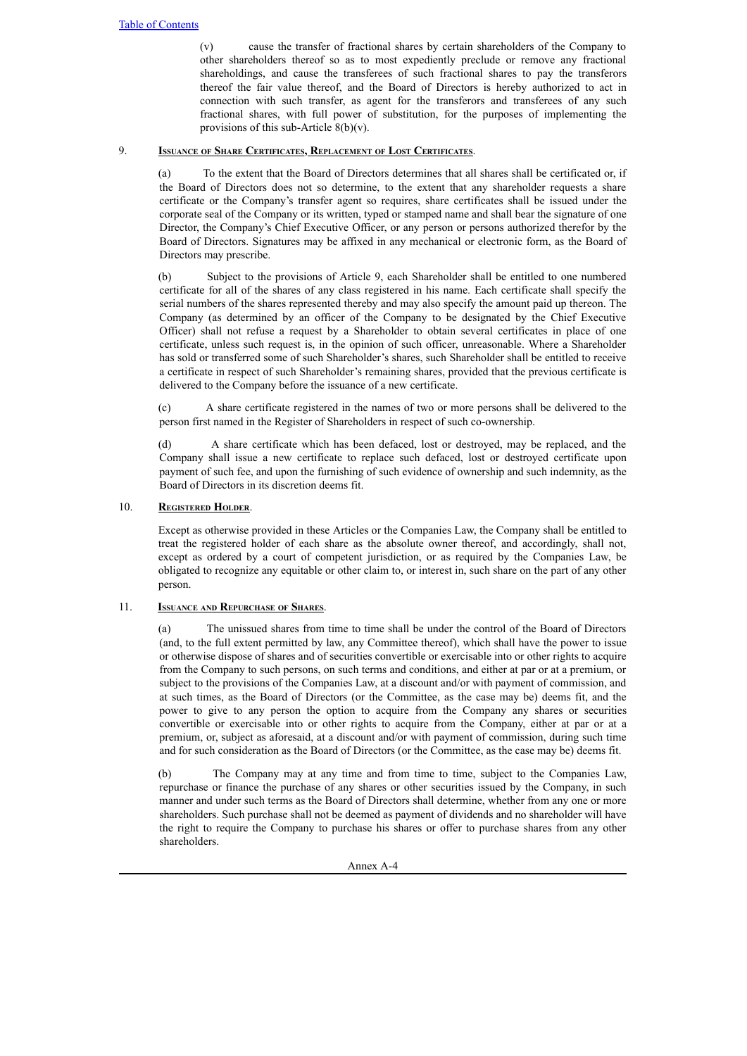(v) cause the transfer of fractional shares by certain shareholders of the Company to other shareholders thereof so as to most expediently preclude or remove any fractional shareholdings, and cause the transferees of such fractional shares to pay the transferors thereof the fair value thereof, and the Board of Directors is hereby authorized to act in connection with such transfer, as agent for the transferors and transferees of any such fractional shares, with full power of substitution, for the purposes of implementing the provisions of this sub-Article 8(b)(v).

# 9. **Issuance of Share Certificates, Replacement of Lost Certificates**.

(a) To the extent that the Board of Directors determines that all shares shall be certificated or, if the Board of Directors does not so determine, to the extent that any shareholder requests a share certificate or the Company's transfer agent so requires, share certificates shall be issued under the corporate seal of the Company or its written, typed or stamped name and shall bear the signature of one Director, the Company's Chief Executive Officer, or any person or persons authorized therefor by the Board of Directors. Signatures may be affixed in any mechanical or electronic form, as the Board of Directors may prescribe.

(b) Subject to the provisions of Article 9, each Shareholder shall be entitled to one numbered certificate for all of the shares of any class registered in his name. Each certificate shall specify the serial numbers of the shares represented thereby and may also specify the amount paid up thereon. The Company (as determined by an officer of the Company to be designated by the Chief Executive Officer) shall not refuse a request by a Shareholder to obtain several certificates in place of one certificate, unless such request is, in the opinion of such officer, unreasonable. Where a Shareholder has sold or transferred some of such Shareholder's shares, such Shareholder shall be entitled to receive a certificate in respect of such Shareholder's remaining shares, provided that the previous certificate is delivered to the Company before the issuance of a new certificate.

(c) A share certificate registered in the names of two or more persons shall be delivered to the person first named in the Register of Shareholders in respect of such co-ownership.

(d) A share certificate which has been defaced, lost or destroyed, may be replaced, and the Company shall issue a new certificate to replace such defaced, lost or destroyed certificate upon payment of such fee, and upon the furnishing of such evidence of ownership and such indemnity, as the Board of Directors in its discretion deems fit.

# 10. **Registered Holder**.

Except as otherwise provided in these Articles or the Companies Law, the Company shall be entitled to treat the registered holder of each share as the absolute owner thereof, and accordingly, shall not, except as ordered by a court of competent jurisdiction, or as required by the Companies Law, be obligated to recognize any equitable or other claim to, or interest in, such share on the part of any other person.

# 11. **Issuance and Repurchase of Shares**.

(a) The unissued shares from time to time shall be under the control of the Board of Directors (and, to the full extent permitted by law, any Committee thereof), which shall have the power to issue or otherwise dispose of shares and of securities convertible or exercisable into or other rights to acquire from the Company to such persons, on such terms and conditions, and either at par or at a premium, or subject to the provisions of the Companies Law, at a discount and/or with payment of commission, and at such times, as the Board of Directors (or the Committee, as the case may be) deems fit, and the power to give to any person the option to acquire from the Company any shares or securities convertible or exercisable into or other rights to acquire from the Company, either at par or at a premium, or, subject as aforesaid, at a discount and/or with payment of commission, during such time and for such consideration as the Board of Directors (or the Committee, as the case may be) deems fit.

(b) The Company may at any time and from time to time, subject to the Companies Law, repurchase or finance the purchase of any shares or other securities issued by the Company, in such manner and under such terms as the Board of Directors shall determine, whether from any one or more shareholders. Such purchase shall not be deemed as payment of dividends and no shareholder will have the right to require the Company to purchase his shares or offer to purchase shares from any other shareholders.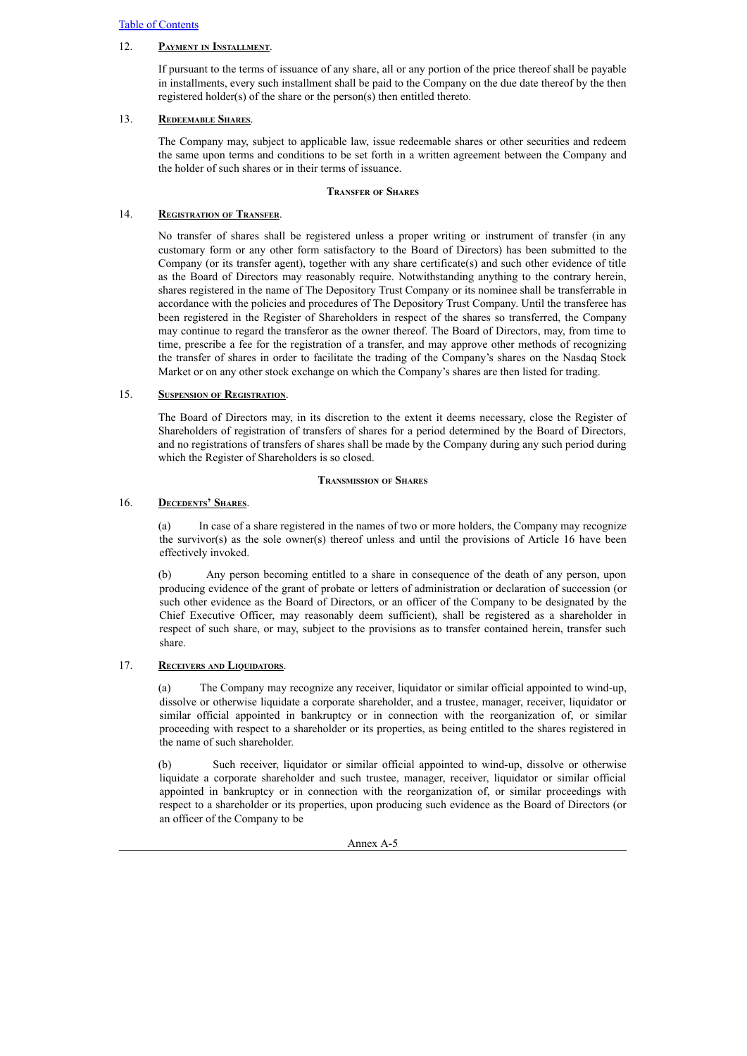# 12. **Payment in Installment**.

If pursuant to the terms of issuance of any share, all or any portion of the price thereof shall be payable in installments, every such installment shall be paid to the Company on the due date thereof by the then registered holder(s) of the share or the person(s) then entitled thereto.

# 13. **Redeemable Shares**.

The Company may, subject to applicable law, issue redeemable shares or other securities and redeem the same upon terms and conditions to be set forth in a written agreement between the Company and the holder of such shares or in their terms of issuance.

# **Transfer of Shares**

# 14. **Registration of Transfer**.

No transfer of shares shall be registered unless a proper writing or instrument of transfer (in any customary form or any other form satisfactory to the Board of Directors) has been submitted to the Company (or its transfer agent), together with any share certificate(s) and such other evidence of title as the Board of Directors may reasonably require. Notwithstanding anything to the contrary herein, shares registered in the name of The Depository Trust Company or its nominee shall be transferrable in accordance with the policies and procedures of The Depository Trust Company. Until the transferee has been registered in the Register of Shareholders in respect of the shares so transferred, the Company may continue to regard the transferor as the owner thereof. The Board of Directors, may, from time to time, prescribe a fee for the registration of a transfer, and may approve other methods of recognizing the transfer of shares in order to facilitate the trading of the Company's shares on the Nasdaq Stock Market or on any other stock exchange on which the Company's shares are then listed for trading.

# 15. **Suspension of Registration**.

The Board of Directors may, in its discretion to the extent it deems necessary, close the Register of Shareholders of registration of transfers of shares for a period determined by the Board of Directors, and no registrations of transfers of shares shall be made by the Company during any such period during which the Register of Shareholders is so closed.

## **Transmission of Shares**

# 16. **Decedents' Shares**.

(a) In case of a share registered in the names of two or more holders, the Company may recognize the survivor(s) as the sole owner(s) thereof unless and until the provisions of Article 16 have been effectively invoked.

(b) Any person becoming entitled to a share in consequence of the death of any person, upon producing evidence of the grant of probate or letters of administration or declaration of succession (or such other evidence as the Board of Directors, or an officer of the Company to be designated by the Chief Executive Officer, may reasonably deem sufficient), shall be registered as a shareholder in respect of such share, or may, subject to the provisions as to transfer contained herein, transfer such share.

# 17. **Receivers and Liquidators**.

(a) The Company may recognize any receiver, liquidator or similar official appointed to wind-up, dissolve or otherwise liquidate a corporate shareholder, and a trustee, manager, receiver, liquidator or similar official appointed in bankruptcy or in connection with the reorganization of, or similar proceeding with respect to a shareholder or its properties, as being entitled to the shares registered in the name of such shareholder.

(b) Such receiver, liquidator or similar official appointed to wind-up, dissolve or otherwise liquidate a corporate shareholder and such trustee, manager, receiver, liquidator or similar official appointed in bankruptcy or in connection with the reorganization of, or similar proceedings with respect to a shareholder or its properties, upon producing such evidence as the Board of Directors (or an officer of the Company to be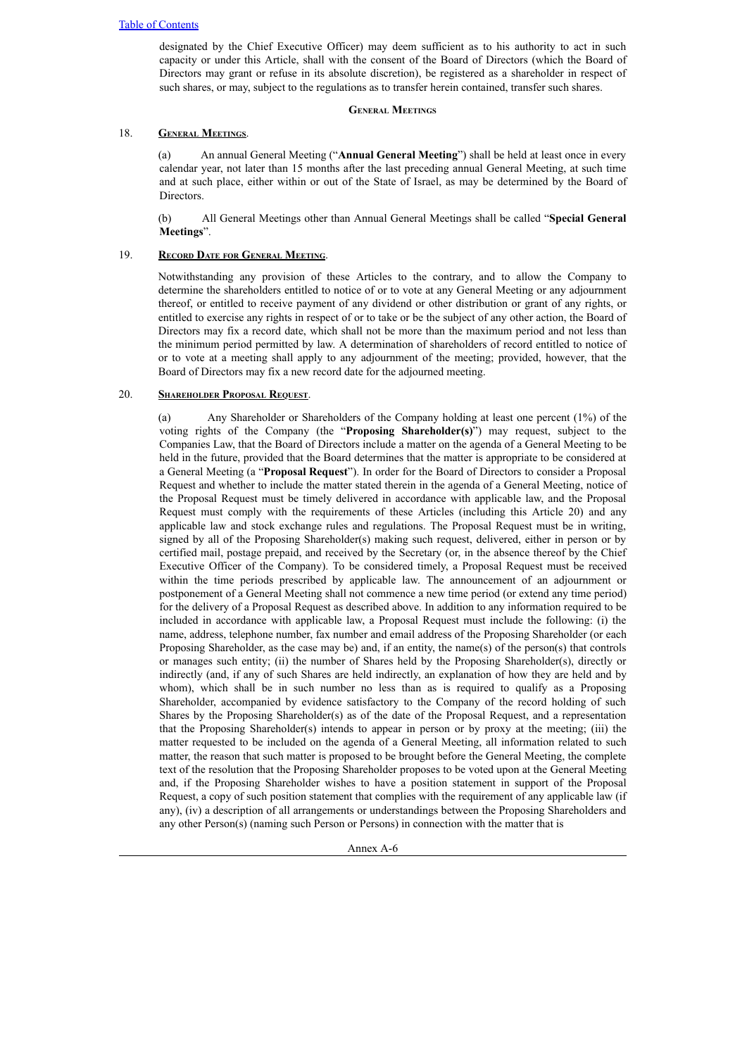designated by the Chief Executive Officer) may deem sufficient as to his authority to act in such capacity or under this Article, shall with the consent of the Board of Directors (which the Board of Directors may grant or refuse in its absolute discretion), be registered as a shareholder in respect of such shares, or may, subject to the regulations as to transfer herein contained, transfer such shares.

# **General Meetings**

# 18. **General Meetings**.

(a) An annual General Meeting ("**Annual General Meeting**") shall be held at least once in every calendar year, not later than 15 months after the last preceding annual General Meeting, at such time and at such place, either within or out of the State of Israel, as may be determined by the Board of Directors.

(b) All General Meetings other than Annual General Meetings shall be called "**Special General Meetings**".

# 19. **Record Date for General Meeting**.

Notwithstanding any provision of these Articles to the contrary, and to allow the Company to determine the shareholders entitled to notice of or to vote at any General Meeting or any adjournment thereof, or entitled to receive payment of any dividend or other distribution or grant of any rights, or entitled to exercise any rights in respect of or to take or be the subject of any other action, the Board of Directors may fix a record date, which shall not be more than the maximum period and not less than the minimum period permitted by law. A determination of shareholders of record entitled to notice of or to vote at a meeting shall apply to any adjournment of the meeting; provided, however, that the Board of Directors may fix a new record date for the adjourned meeting.

# 20. **Shareholder Proposal Request**.

(a) Any Shareholder or Shareholders of the Company holding at least one percent (1%) of the voting rights of the Company (the "**Proposing Shareholder(s)**") may request, subject to the Companies Law, that the Board of Directors include a matter on the agenda of a General Meeting to be held in the future, provided that the Board determines that the matter is appropriate to be considered at a General Meeting (a "**Proposal Request**"). In order for the Board of Directors to consider a Proposal Request and whether to include the matter stated therein in the agenda of a General Meeting, notice of the Proposal Request must be timely delivered in accordance with applicable law, and the Proposal Request must comply with the requirements of these Articles (including this Article 20) and any applicable law and stock exchange rules and regulations. The Proposal Request must be in writing, signed by all of the Proposing Shareholder(s) making such request, delivered, either in person or by certified mail, postage prepaid, and received by the Secretary (or, in the absence thereof by the Chief Executive Officer of the Company). To be considered timely, a Proposal Request must be received within the time periods prescribed by applicable law. The announcement of an adjournment or postponement of a General Meeting shall not commence a new time period (or extend any time period) for the delivery of a Proposal Request as described above. In addition to any information required to be included in accordance with applicable law, a Proposal Request must include the following: (i) the name, address, telephone number, fax number and email address of the Proposing Shareholder (or each Proposing Shareholder, as the case may be) and, if an entity, the name(s) of the person(s) that controls or manages such entity; (ii) the number of Shares held by the Proposing Shareholder(s), directly or indirectly (and, if any of such Shares are held indirectly, an explanation of how they are held and by whom), which shall be in such number no less than as is required to qualify as a Proposing Shareholder, accompanied by evidence satisfactory to the Company of the record holding of such Shares by the Proposing Shareholder(s) as of the date of the Proposal Request, and a representation that the Proposing Shareholder(s) intends to appear in person or by proxy at the meeting; (iii) the matter requested to be included on the agenda of a General Meeting, all information related to such matter, the reason that such matter is proposed to be brought before the General Meeting, the complete text of the resolution that the Proposing Shareholder proposes to be voted upon at the General Meeting and, if the Proposing Shareholder wishes to have a position statement in support of the Proposal Request, a copy of such position statement that complies with the requirement of any applicable law (if any), (iv) a description of all arrangements or understandings between the Proposing Shareholders and any other Person(s) (naming such Person or Persons) in connection with the matter that is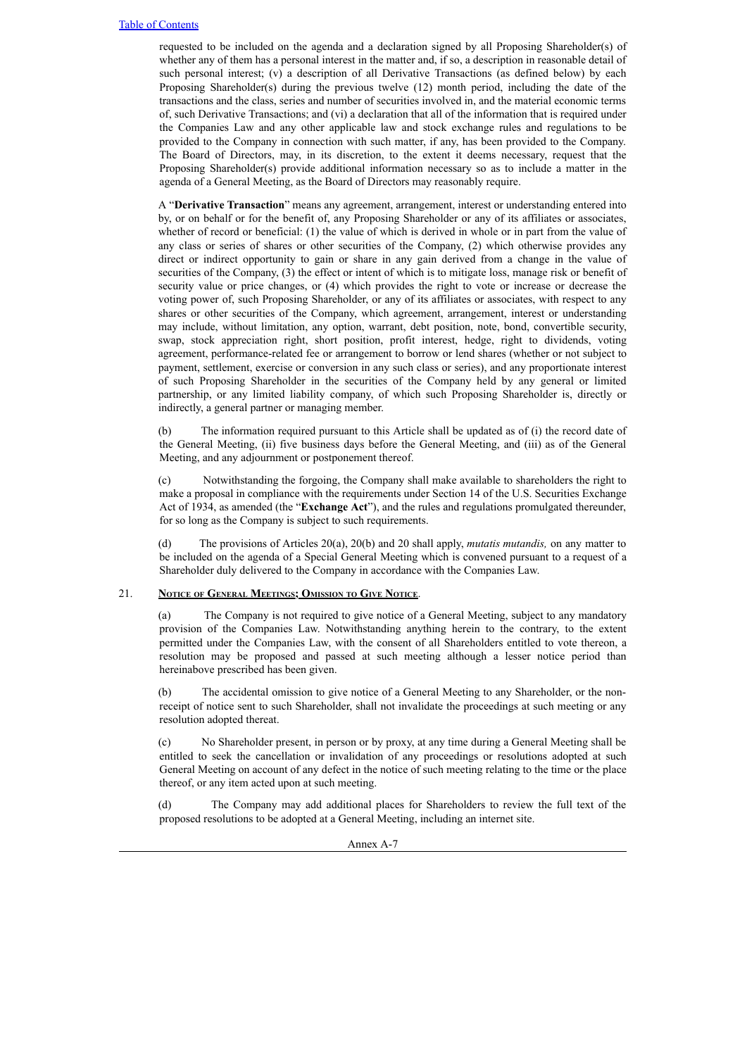requested to be included on the agenda and a declaration signed by all Proposing Shareholder(s) of whether any of them has a personal interest in the matter and, if so, a description in reasonable detail of such personal interest; (v) a description of all Derivative Transactions (as defined below) by each Proposing Shareholder(s) during the previous twelve (12) month period, including the date of the transactions and the class, series and number of securities involved in, and the material economic terms of, such Derivative Transactions; and (vi) a declaration that all of the information that is required under the Companies Law and any other applicable law and stock exchange rules and regulations to be provided to the Company in connection with such matter, if any, has been provided to the Company. The Board of Directors, may, in its discretion, to the extent it deems necessary, request that the Proposing Shareholder(s) provide additional information necessary so as to include a matter in the agenda of a General Meeting, as the Board of Directors may reasonably require.

A "**Derivative Transaction**" means any agreement, arrangement, interest or understanding entered into by, or on behalf or for the benefit of, any Proposing Shareholder or any of its affiliates or associates, whether of record or beneficial: (1) the value of which is derived in whole or in part from the value of any class or series of shares or other securities of the Company, (2) which otherwise provides any direct or indirect opportunity to gain or share in any gain derived from a change in the value of securities of the Company, (3) the effect or intent of which is to mitigate loss, manage risk or benefit of security value or price changes, or (4) which provides the right to vote or increase or decrease the voting power of, such Proposing Shareholder, or any of its affiliates or associates, with respect to any shares or other securities of the Company, which agreement, arrangement, interest or understanding may include, without limitation, any option, warrant, debt position, note, bond, convertible security, swap, stock appreciation right, short position, profit interest, hedge, right to dividends, voting agreement, performance-related fee or arrangement to borrow or lend shares (whether or not subject to payment, settlement, exercise or conversion in any such class or series), and any proportionate interest of such Proposing Shareholder in the securities of the Company held by any general or limited partnership, or any limited liability company, of which such Proposing Shareholder is, directly or indirectly, a general partner or managing member.

(b) The information required pursuant to this Article shall be updated as of (i) the record date of the General Meeting, (ii) five business days before the General Meeting, and (iii) as of the General Meeting, and any adjournment or postponement thereof.

(c) Notwithstanding the forgoing, the Company shall make available to shareholders the right to make a proposal in compliance with the requirements under Section 14 of the U.S. Securities Exchange Act of 1934, as amended (the "**Exchange Act**"), and the rules and regulations promulgated thereunder, for so long as the Company is subject to such requirements.

(d) The provisions of Articles 20(a), 20(b) and 20 shall apply, *mutatis mutandis,* on any matter to be included on the agenda of a Special General Meeting which is convened pursuant to a request of a Shareholder duly delivered to the Company in accordance with the Companies Law.

## 21. **Notice of General Meetings; Omission to Give Notice**.

(a) The Company is not required to give notice of a General Meeting, subject to any mandatory provision of the Companies Law. Notwithstanding anything herein to the contrary, to the extent permitted under the Companies Law, with the consent of all Shareholders entitled to vote thereon, a resolution may be proposed and passed at such meeting although a lesser notice period than hereinabove prescribed has been given.

(b) The accidental omission to give notice of a General Meeting to any Shareholder, or the nonreceipt of notice sent to such Shareholder, shall not invalidate the proceedings at such meeting or any resolution adopted thereat.

(c) No Shareholder present, in person or by proxy, at any time during a General Meeting shall be entitled to seek the cancellation or invalidation of any proceedings or resolutions adopted at such General Meeting on account of any defect in the notice of such meeting relating to the time or the place thereof, or any item acted upon at such meeting.

(d) The Company may add additional places for Shareholders to review the full text of the proposed resolutions to be adopted at a General Meeting, including an internet site.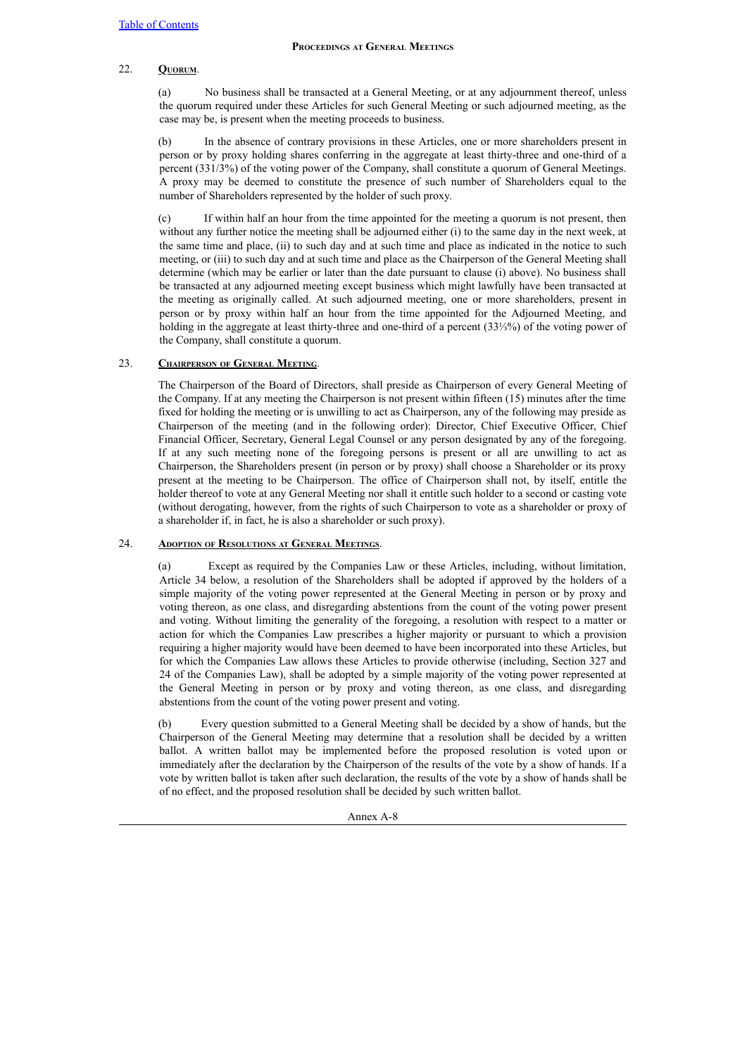## **Proceedings at General Meetings**

# 22. **Quorum**.

(a) No business shall be transacted at a General Meeting, or at any adjournment thereof, unless the quorum required under these Articles for such General Meeting or such adjourned meeting, as the case may be, is present when the meeting proceeds to business.

(b) In the absence of contrary provisions in these Articles, one or more shareholders present in person or by proxy holding shares conferring in the aggregate at least thirty-three and one-third of a percent (331/3%) of the voting power of the Company, shall constitute a quorum of General Meetings. A proxy may be deemed to constitute the presence of such number of Shareholders equal to the number of Shareholders represented by the holder of such proxy.

(c) If within half an hour from the time appointed for the meeting a quorum is not present, then without any further notice the meeting shall be adjourned either (i) to the same day in the next week, at the same time and place, (ii) to such day and at such time and place as indicated in the notice to such meeting, or (iii) to such day and at such time and place as the Chairperson of the General Meeting shall determine (which may be earlier or later than the date pursuant to clause (i) above). No business shall be transacted at any adjourned meeting except business which might lawfully have been transacted at the meeting as originally called. At such adjourned meeting, one or more shareholders, present in person or by proxy within half an hour from the time appointed for the Adjourned Meeting, and holding in the aggregate at least thirty-three and one-third of a percent (33⅓%) of the voting power of the Company, shall constitute a quorum.

# 23. **Chairperson of General Meeting**.

The Chairperson of the Board of Directors, shall preside as Chairperson of every General Meeting of the Company. If at any meeting the Chairperson is not present within fifteen (15) minutes after the time fixed for holding the meeting or is unwilling to act as Chairperson, any of the following may preside as Chairperson of the meeting (and in the following order): Director, Chief Executive Officer, Chief Financial Officer, Secretary, General Legal Counsel or any person designated by any of the foregoing. If at any such meeting none of the foregoing persons is present or all are unwilling to act as Chairperson, the Shareholders present (in person or by proxy) shall choose a Shareholder or its proxy present at the meeting to be Chairperson. The office of Chairperson shall not, by itself, entitle the holder thereof to vote at any General Meeting nor shall it entitle such holder to a second or casting vote (without derogating, however, from the rights of such Chairperson to vote as a shareholder or proxy of a shareholder if, in fact, he is also a shareholder or such proxy).

# 24. **Adoption of Resolutions at General Meetings**.

(a) Except as required by the Companies Law or these Articles, including, without limitation, Article 34 below, a resolution of the Shareholders shall be adopted if approved by the holders of a simple majority of the voting power represented at the General Meeting in person or by proxy and voting thereon, as one class, and disregarding abstentions from the count of the voting power present and voting. Without limiting the generality of the foregoing, a resolution with respect to a matter or action for which the Companies Law prescribes a higher majority or pursuant to which a provision requiring a higher majority would have been deemed to have been incorporated into these Articles, but for which the Companies Law allows these Articles to provide otherwise (including, Section 327 and 24 of the Companies Law), shall be adopted by a simple majority of the voting power represented at the General Meeting in person or by proxy and voting thereon, as one class, and disregarding abstentions from the count of the voting power present and voting.

(b) Every question submitted to a General Meeting shall be decided by a show of hands, but the Chairperson of the General Meeting may determine that a resolution shall be decided by a written ballot. A written ballot may be implemented before the proposed resolution is voted upon or immediately after the declaration by the Chairperson of the results of the vote by a show of hands. If a vote by written ballot is taken after such declaration, the results of the vote by a show of hands shall be of no effect, and the proposed resolution shall be decided by such written ballot.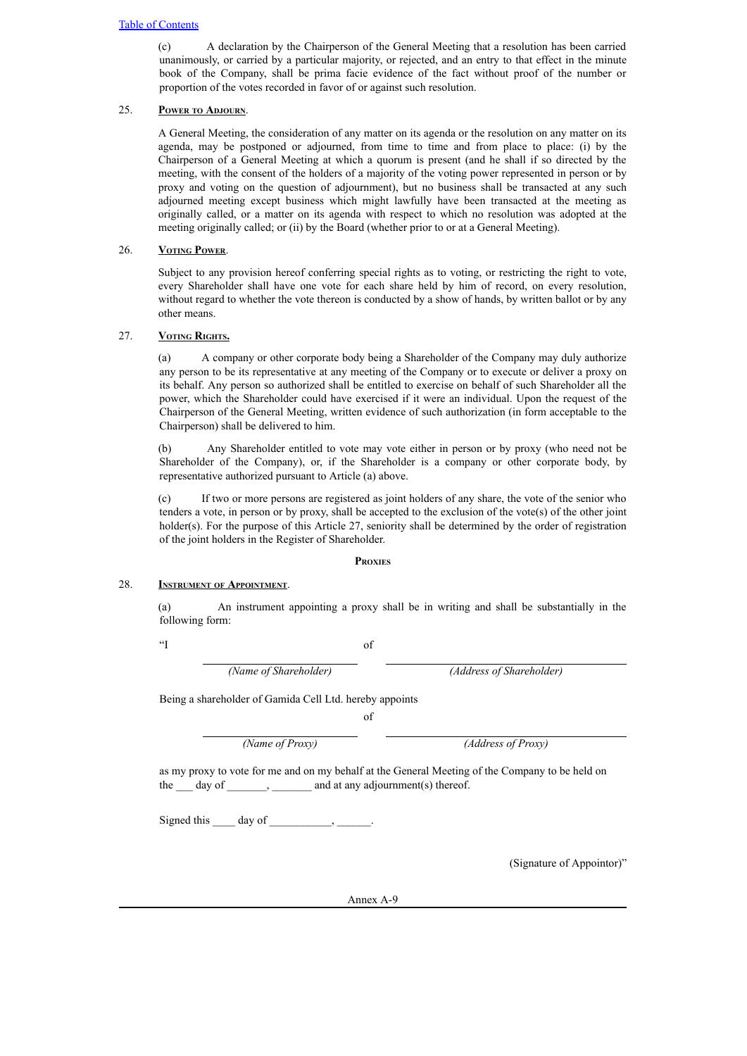(c) A declaration by the Chairperson of the General Meeting that a resolution has been carried unanimously, or carried by a particular majority, or rejected, and an entry to that effect in the minute book of the Company, shall be prima facie evidence of the fact without proof of the number or proportion of the votes recorded in favor of or against such resolution.

# 25. **Power to Adjourn**.

A General Meeting, the consideration of any matter on its agenda or the resolution on any matter on its agenda, may be postponed or adjourned, from time to time and from place to place: (i) by the Chairperson of a General Meeting at which a quorum is present (and he shall if so directed by the meeting, with the consent of the holders of a majority of the voting power represented in person or by proxy and voting on the question of adjournment), but no business shall be transacted at any such adjourned meeting except business which might lawfully have been transacted at the meeting as originally called, or a matter on its agenda with respect to which no resolution was adopted at the meeting originally called; or (ii) by the Board (whether prior to or at a General Meeting).

# 26. **Voting Power**.

Subject to any provision hereof conferring special rights as to voting, or restricting the right to vote, every Shareholder shall have one vote for each share held by him of record, on every resolution, without regard to whether the vote thereon is conducted by a show of hands, by written ballot or by any other means.

# 27. **Voting Rights.**

(a) A company or other corporate body being a Shareholder of the Company may duly authorize any person to be its representative at any meeting of the Company or to execute or deliver a proxy on its behalf. Any person so authorized shall be entitled to exercise on behalf of such Shareholder all the power, which the Shareholder could have exercised if it were an individual. Upon the request of the Chairperson of the General Meeting, written evidence of such authorization (in form acceptable to the Chairperson) shall be delivered to him.

(b) Any Shareholder entitled to vote may vote either in person or by proxy (who need not be Shareholder of the Company), or, if the Shareholder is a company or other corporate body, by representative authorized pursuant to Article (a) above.

(c) If two or more persons are registered as joint holders of any share, the vote of the senior who tenders a vote, in person or by proxy, shall be accepted to the exclusion of the vote(s) of the other joint holder(s). For the purpose of this Article 27, seniority shall be determined by the order of registration of the joint holders in the Register of Shareholder.

# **Proxies**

# 28. **Instrument of Appointment**.

(a) An instrument appointing a proxy shall be in writing and shall be substantially in the following form:

"I of

*(Name of Shareholder) (Address of Shareholder)*

Being a shareholder of Gamida Cell Ltd. hereby appoints

of

*(Name of Proxy) (Address of Proxy)*

as my proxy to vote for me and on my behalf at the General Meeting of the Company to be held on the \_\_\_ day of \_\_\_\_\_\_\_, \_\_\_\_\_\_\_ and at any adjournment(s) thereof.

Signed this  $\qquad \text{day of}$   $\qquad \qquad$ 

(Signature of Appointor)"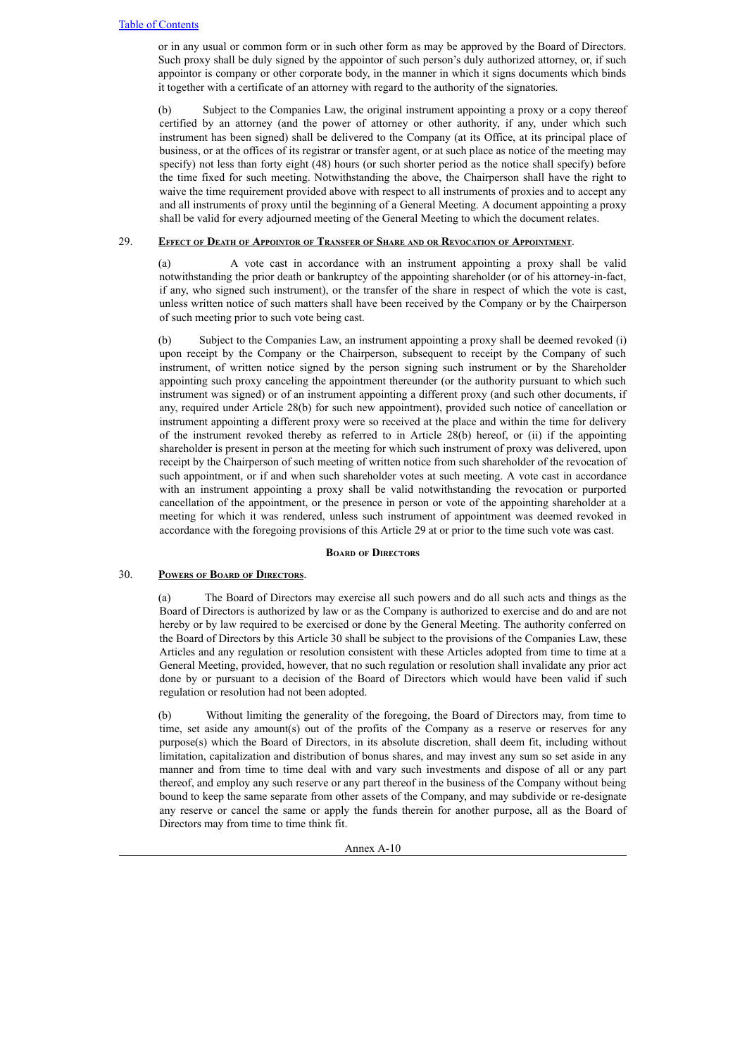or in any usual or common form or in such other form as may be approved by the Board of Directors. Such proxy shall be duly signed by the appointor of such person's duly authorized attorney, or, if such appointor is company or other corporate body, in the manner in which it signs documents which binds it together with a certificate of an attorney with regard to the authority of the signatories.

(b) Subject to the Companies Law, the original instrument appointing a proxy or a copy thereof certified by an attorney (and the power of attorney or other authority, if any, under which such instrument has been signed) shall be delivered to the Company (at its Office, at its principal place of business, or at the offices of its registrar or transfer agent, or at such place as notice of the meeting may specify) not less than forty eight (48) hours (or such shorter period as the notice shall specify) before the time fixed for such meeting. Notwithstanding the above, the Chairperson shall have the right to waive the time requirement provided above with respect to all instruments of proxies and to accept any and all instruments of proxy until the beginning of a General Meeting. A document appointing a proxy shall be valid for every adjourned meeting of the General Meeting to which the document relates.

## 29. EFFECT OF DEATH OF APPOINTOR OF TRANSFER OF SHARE AND OR REVOCATION OF APPOINTMENT.

(a) A vote cast in accordance with an instrument appointing a proxy shall be valid notwithstanding the prior death or bankruptcy of the appointing shareholder (or of his attorney-in-fact, if any, who signed such instrument), or the transfer of the share in respect of which the vote is cast, unless written notice of such matters shall have been received by the Company or by the Chairperson of such meeting prior to such vote being cast.

(b) Subject to the Companies Law, an instrument appointing a proxy shall be deemed revoked (i) upon receipt by the Company or the Chairperson, subsequent to receipt by the Company of such instrument, of written notice signed by the person signing such instrument or by the Shareholder appointing such proxy canceling the appointment thereunder (or the authority pursuant to which such instrument was signed) or of an instrument appointing a different proxy (and such other documents, if any, required under Article 28(b) for such new appointment), provided such notice of cancellation or instrument appointing a different proxy were so received at the place and within the time for delivery of the instrument revoked thereby as referred to in Article 28(b) hereof, or (ii) if the appointing shareholder is present in person at the meeting for which such instrument of proxy was delivered, upon receipt by the Chairperson of such meeting of written notice from such shareholder of the revocation of such appointment, or if and when such shareholder votes at such meeting. A vote cast in accordance with an instrument appointing a proxy shall be valid notwithstanding the revocation or purported cancellation of the appointment, or the presence in person or vote of the appointing shareholder at a meeting for which it was rendered, unless such instrument of appointment was deemed revoked in accordance with the foregoing provisions of this Article 29 at or prior to the time such vote was cast.

## **Board of Directors**

## 30. **Powers of Board of Directors**.

(a) The Board of Directors may exercise all such powers and do all such acts and things as the Board of Directors is authorized by law or as the Company is authorized to exercise and do and are not hereby or by law required to be exercised or done by the General Meeting. The authority conferred on the Board of Directors by this Article 30 shall be subject to the provisions of the Companies Law, these Articles and any regulation or resolution consistent with these Articles adopted from time to time at a General Meeting, provided, however, that no such regulation or resolution shall invalidate any prior act done by or pursuant to a decision of the Board of Directors which would have been valid if such regulation or resolution had not been adopted.

(b) Without limiting the generality of the foregoing, the Board of Directors may, from time to time, set aside any amount(s) out of the profits of the Company as a reserve or reserves for any purpose(s) which the Board of Directors, in its absolute discretion, shall deem fit, including without limitation, capitalization and distribution of bonus shares, and may invest any sum so set aside in any manner and from time to time deal with and vary such investments and dispose of all or any part thereof, and employ any such reserve or any part thereof in the business of the Company without being bound to keep the same separate from other assets of the Company, and may subdivide or re-designate any reserve or cancel the same or apply the funds therein for another purpose, all as the Board of Directors may from time to time think fit.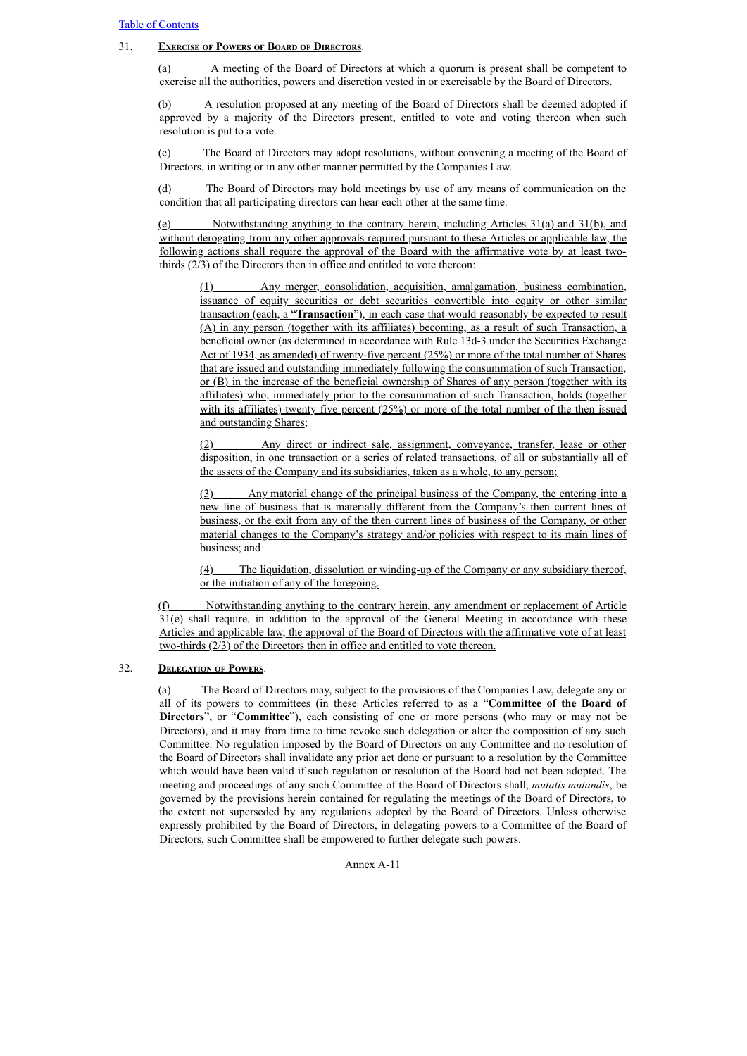# 31. **Exercise of Powers of Board of Directors**.

(a) A meeting of the Board of Directors at which a quorum is present shall be competent to exercise all the authorities, powers and discretion vested in or exercisable by the Board of Directors.

(b) A resolution proposed at any meeting of the Board of Directors shall be deemed adopted if approved by a majority of the Directors present, entitled to vote and voting thereon when such resolution is put to a vote.

(c) The Board of Directors may adopt resolutions, without convening a meeting of the Board of Directors, in writing or in any other manner permitted by the Companies Law.

(d) The Board of Directors may hold meetings by use of any means of communication on the condition that all participating directors can hear each other at the same time.

(e) Notwithstanding anything to the contrary herein, including Articles 31(a) and 31(b), and without derogating from any other approvals required pursuant to these Articles or applicable law, the following actions shall require the approval of the Board with the affirmative vote by at least twothirds (2/3) of the Directors then in office and entitled to vote thereon:

(1) Any merger, consolidation, acquisition, amalgamation, business combination, issuance of equity securities or debt securities convertible into equity or other similar transaction (each, a "**Transaction**"), in each case that would reasonably be expected to result (A) in any person (together with its affiliates) becoming, as a result of such Transaction, a beneficial owner (as determined in accordance with Rule 13d-3 under the Securities Exchange Act of 1934, as amended) of twenty-five percent (25%) or more of the total number of Shares that are issued and outstanding immediately following the consummation of such Transaction, or (B) in the increase of the beneficial ownership of Shares of any person (together with its affiliates) who, immediately prior to the consummation of such Transaction, holds (together with its affiliates) twenty five percent (25%) or more of the total number of the then issued and outstanding Shares;

(2) Any direct or indirect sale, assignment, conveyance, transfer, lease or other disposition, in one transaction or a series of related transactions, of all or substantially all of the assets of the Company and its subsidiaries, taken as a whole, to any person;

(3) Any material change of the principal business of the Company, the entering into a new line of business that is materially different from the Company's then current lines of business, or the exit from any of the then current lines of business of the Company, or other material changes to the Company's strategy and/or policies with respect to its main lines of business; and

(4) The liquidation, dissolution or winding-up of the Company or any subsidiary thereof, or the initiation of any of the foregoing.

(f) Notwithstanding anything to the contrary herein, any amendment or replacement of Article  $31(e)$  shall require, in addition to the approval of the General Meeting in accordance with these Articles and applicable law, the approval of the Board of Directors with the affirmative vote of at least two-thirds (2/3) of the Directors then in office and entitled to vote thereon.

# 32. **Delegation of Powers**.

(a) The Board of Directors may, subject to the provisions of the Companies Law, delegate any or all of its powers to committees (in these Articles referred to as a "**Committee of the Board of Directors**", or "**Committee**"), each consisting of one or more persons (who may or may not be Directors), and it may from time to time revoke such delegation or alter the composition of any such Committee. No regulation imposed by the Board of Directors on any Committee and no resolution of the Board of Directors shall invalidate any prior act done or pursuant to a resolution by the Committee which would have been valid if such regulation or resolution of the Board had not been adopted. The meeting and proceedings of any such Committee of the Board of Directors shall, *mutatis mutandis*, be governed by the provisions herein contained for regulating the meetings of the Board of Directors, to the extent not superseded by any regulations adopted by the Board of Directors. Unless otherwise expressly prohibited by the Board of Directors, in delegating powers to a Committee of the Board of Directors, such Committee shall be empowered to further delegate such powers.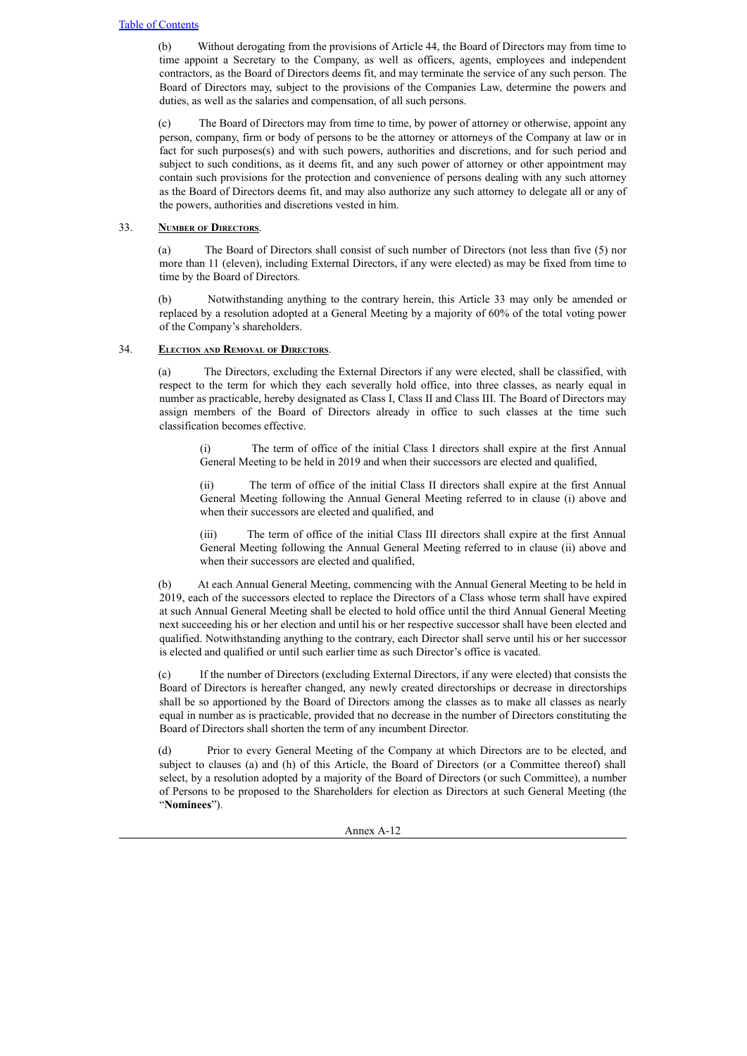(b) Without derogating from the provisions of Article 44, the Board of Directors may from time to time appoint a Secretary to the Company, as well as officers, agents, employees and independent contractors, as the Board of Directors deems fit, and may terminate the service of any such person. The Board of Directors may, subject to the provisions of the Companies Law, determine the powers and duties, as well as the salaries and compensation, of all such persons.

(c) The Board of Directors may from time to time, by power of attorney or otherwise, appoint any person, company, firm or body of persons to be the attorney or attorneys of the Company at law or in fact for such purposes(s) and with such powers, authorities and discretions, and for such period and subject to such conditions, as it deems fit, and any such power of attorney or other appointment may contain such provisions for the protection and convenience of persons dealing with any such attorney as the Board of Directors deems fit, and may also authorize any such attorney to delegate all or any of the powers, authorities and discretions vested in him.

# 33. **Number of Directors**.

(a) The Board of Directors shall consist of such number of Directors (not less than five (5) nor more than 11 (eleven), including External Directors, if any were elected) as may be fixed from time to time by the Board of Directors.

(b) Notwithstanding anything to the contrary herein, this Article 33 may only be amended or replaced by a resolution adopted at a General Meeting by a majority of 60% of the total voting power of the Company's shareholders.

# 34. **Election and Removal of Directors**.

(a) The Directors, excluding the External Directors if any were elected, shall be classified, with respect to the term for which they each severally hold office, into three classes, as nearly equal in number as practicable, hereby designated as Class I, Class II and Class III. The Board of Directors may assign members of the Board of Directors already in office to such classes at the time such classification becomes effective.

(i) The term of office of the initial Class I directors shall expire at the first Annual General Meeting to be held in 2019 and when their successors are elected and qualified,

(ii) The term of office of the initial Class II directors shall expire at the first Annual General Meeting following the Annual General Meeting referred to in clause (i) above and when their successors are elected and qualified, and

(iii) The term of office of the initial Class III directors shall expire at the first Annual General Meeting following the Annual General Meeting referred to in clause (ii) above and when their successors are elected and qualified,

(b) At each Annual General Meeting, commencing with the Annual General Meeting to be held in 2019, each of the successors elected to replace the Directors of a Class whose term shall have expired at such Annual General Meeting shall be elected to hold office until the third Annual General Meeting next succeeding his or her election and until his or her respective successor shall have been elected and qualified. Notwithstanding anything to the contrary, each Director shall serve until his or her successor is elected and qualified or until such earlier time as such Director's office is vacated.

(c) If the number of Directors (excluding External Directors, if any were elected) that consists the Board of Directors is hereafter changed, any newly created directorships or decrease in directorships shall be so apportioned by the Board of Directors among the classes as to make all classes as nearly equal in number as is practicable, provided that no decrease in the number of Directors constituting the Board of Directors shall shorten the term of any incumbent Director.

Prior to every General Meeting of the Company at which Directors are to be elected, and subject to clauses (a) and (h) of this Article, the Board of Directors (or a Committee thereof) shall select, by a resolution adopted by a majority of the Board of Directors (or such Committee), a number of Persons to be proposed to the Shareholders for election as Directors at such General Meeting (the "**Nominees**").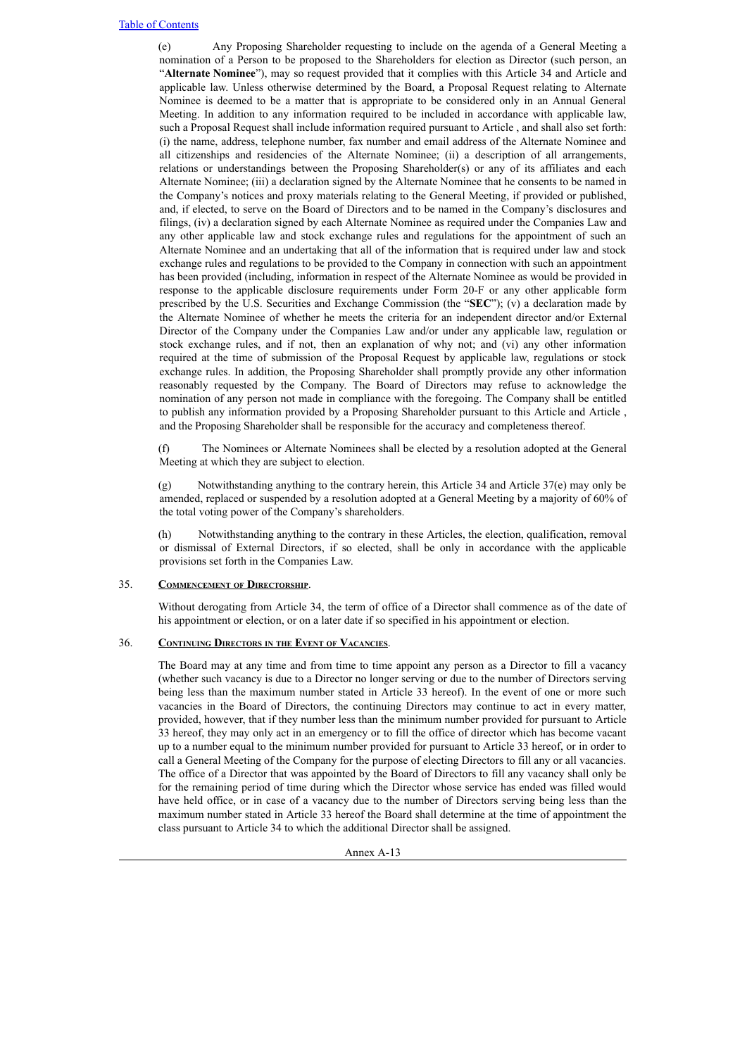(e) Any Proposing Shareholder requesting to include on the agenda of a General Meeting a nomination of a Person to be proposed to the Shareholders for election as Director (such person, an "**Alternate Nominee**"), may so request provided that it complies with this Article 34 and Article and applicable law. Unless otherwise determined by the Board, a Proposal Request relating to Alternate Nominee is deemed to be a matter that is appropriate to be considered only in an Annual General Meeting. In addition to any information required to be included in accordance with applicable law, such a Proposal Request shall include information required pursuant to Article , and shall also set forth: (i) the name, address, telephone number, fax number and email address of the Alternate Nominee and all citizenships and residencies of the Alternate Nominee; (ii) a description of all arrangements, relations or understandings between the Proposing Shareholder(s) or any of its affiliates and each Alternate Nominee; (iii) a declaration signed by the Alternate Nominee that he consents to be named in the Company's notices and proxy materials relating to the General Meeting, if provided or published, and, if elected, to serve on the Board of Directors and to be named in the Company's disclosures and filings, (iv) a declaration signed by each Alternate Nominee as required under the Companies Law and any other applicable law and stock exchange rules and regulations for the appointment of such an Alternate Nominee and an undertaking that all of the information that is required under law and stock exchange rules and regulations to be provided to the Company in connection with such an appointment has been provided (including, information in respect of the Alternate Nominee as would be provided in response to the applicable disclosure requirements under Form 20-F or any other applicable form prescribed by the U.S. Securities and Exchange Commission (the "**SEC**"); (v) a declaration made by the Alternate Nominee of whether he meets the criteria for an independent director and/or External Director of the Company under the Companies Law and/or under any applicable law, regulation or stock exchange rules, and if not, then an explanation of why not; and (vi) any other information required at the time of submission of the Proposal Request by applicable law, regulations or stock exchange rules. In addition, the Proposing Shareholder shall promptly provide any other information reasonably requested by the Company. The Board of Directors may refuse to acknowledge the nomination of any person not made in compliance with the foregoing. The Company shall be entitled to publish any information provided by a Proposing Shareholder pursuant to this Article and Article , and the Proposing Shareholder shall be responsible for the accuracy and completeness thereof.

(f) The Nominees or Alternate Nominees shall be elected by a resolution adopted at the General Meeting at which they are subject to election.

(g) Notwithstanding anything to the contrary herein, this Article 34 and Article 37(e) may only be amended, replaced or suspended by a resolution adopted at a General Meeting by a majority of 60% of the total voting power of the Company's shareholders.

(h) Notwithstanding anything to the contrary in these Articles, the election, qualification, removal or dismissal of External Directors, if so elected, shall be only in accordance with the applicable provisions set forth in the Companies Law.

## 35. **Commencement of Directorship**.

Without derogating from Article 34, the term of office of a Director shall commence as of the date of his appointment or election, or on a later date if so specified in his appointment or election.

# 36. **Continuing Directors in the Event of Vacancies**.

The Board may at any time and from time to time appoint any person as a Director to fill a vacancy (whether such vacancy is due to a Director no longer serving or due to the number of Directors serving being less than the maximum number stated in Article 33 hereof). In the event of one or more such vacancies in the Board of Directors, the continuing Directors may continue to act in every matter, provided, however, that if they number less than the minimum number provided for pursuant to Article 33 hereof, they may only act in an emergency or to fill the office of director which has become vacant up to a number equal to the minimum number provided for pursuant to Article 33 hereof, or in order to call a General Meeting of the Company for the purpose of electing Directors to fill any or all vacancies. The office of a Director that was appointed by the Board of Directors to fill any vacancy shall only be for the remaining period of time during which the Director whose service has ended was filled would have held office, or in case of a vacancy due to the number of Directors serving being less than the maximum number stated in Article 33 hereof the Board shall determine at the time of appointment the class pursuant to Article 34 to which the additional Director shall be assigned.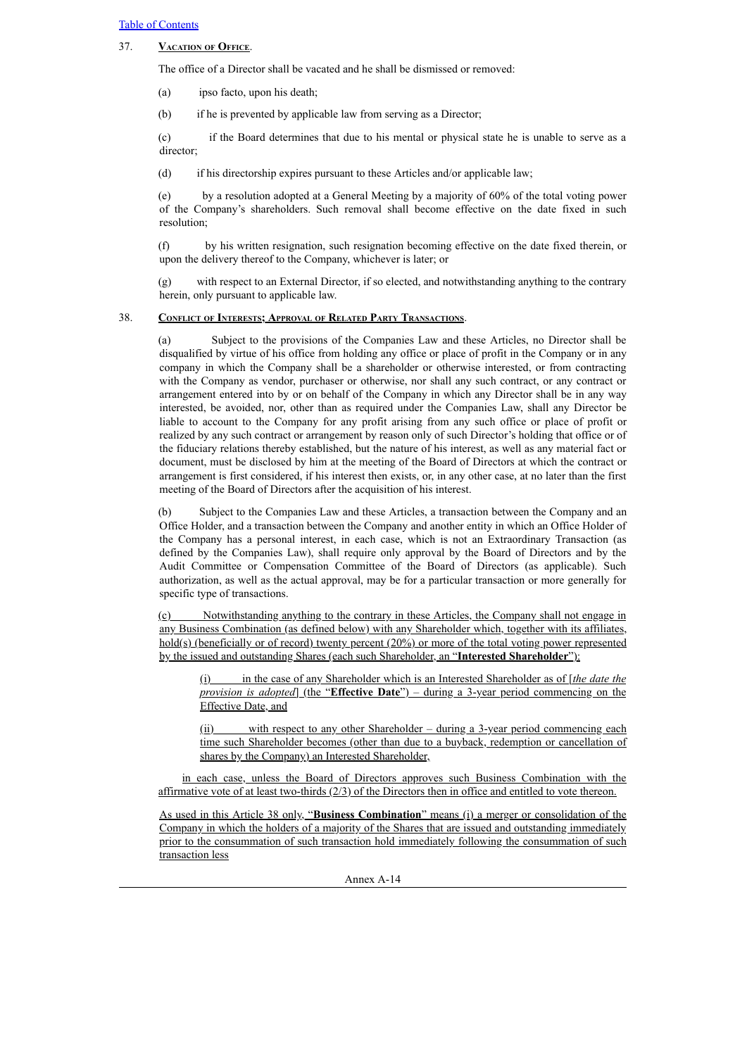# 37. **Vacation of Office**.

The office of a Director shall be vacated and he shall be dismissed or removed:

(a) ipso facto, upon his death;

(b) if he is prevented by applicable law from serving as a Director;

(c) if the Board determines that due to his mental or physical state he is unable to serve as a director;

(d) if his directorship expires pursuant to these Articles and/or applicable law;

(e) by a resolution adopted at a General Meeting by a majority of 60% of the total voting power of the Company's shareholders. Such removal shall become effective on the date fixed in such resolution;

(f) by his written resignation, such resignation becoming effective on the date fixed therein, or upon the delivery thereof to the Company, whichever is later; or

(g) with respect to an External Director, if so elected, and notwithstanding anything to the contrary herein, only pursuant to applicable law.

## 38. **Conflict of Interests; Approval of Related Party Transactions**.

(a) Subject to the provisions of the Companies Law and these Articles, no Director shall be disqualified by virtue of his office from holding any office or place of profit in the Company or in any company in which the Company shall be a shareholder or otherwise interested, or from contracting with the Company as vendor, purchaser or otherwise, nor shall any such contract, or any contract or arrangement entered into by or on behalf of the Company in which any Director shall be in any way interested, be avoided, nor, other than as required under the Companies Law, shall any Director be liable to account to the Company for any profit arising from any such office or place of profit or realized by any such contract or arrangement by reason only of such Director's holding that office or of the fiduciary relations thereby established, but the nature of his interest, as well as any material fact or document, must be disclosed by him at the meeting of the Board of Directors at which the contract or arrangement is first considered, if his interest then exists, or, in any other case, at no later than the first meeting of the Board of Directors after the acquisition of his interest.

(b) Subject to the Companies Law and these Articles, a transaction between the Company and an Office Holder, and a transaction between the Company and another entity in which an Office Holder of the Company has a personal interest, in each case, which is not an Extraordinary Transaction (as defined by the Companies Law), shall require only approval by the Board of Directors and by the Audit Committee or Compensation Committee of the Board of Directors (as applicable). Such authorization, as well as the actual approval, may be for a particular transaction or more generally for specific type of transactions.

Notwithstanding anything to the contrary in these Articles, the Company shall not engage in any Business Combination (as defined below) with any Shareholder which, together with its affiliates, hold(s) (beneficially or of record) twenty percent (20%) or more of the total voting power represented by the issued and outstanding Shares (each such Shareholder, an "**Interested Shareholder**"):

(i) in the case of any Shareholder which is an Interested Shareholder as of [*the date the provision is adopted*] (the "**Effective Date**") – during a 3-year period commencing on the Effective Date, and

(ii) with respect to any other Shareholder – during a 3-year period commencing each time such Shareholder becomes (other than due to a buyback, redemption or cancellation of shares by the Company) an Interested Shareholder,

in each case, unless the Board of Directors approves such Business Combination with the affirmative vote of at least two-thirds (2/3) of the Directors then in office and entitled to vote thereon.

As used in this Article 38 only, "**Business Combination**" means (i) a merger or consolidation of the Company in which the holders of a majority of the Shares that are issued and outstanding immediately prior to the consummation of such transaction hold immediately following the consummation of such transaction less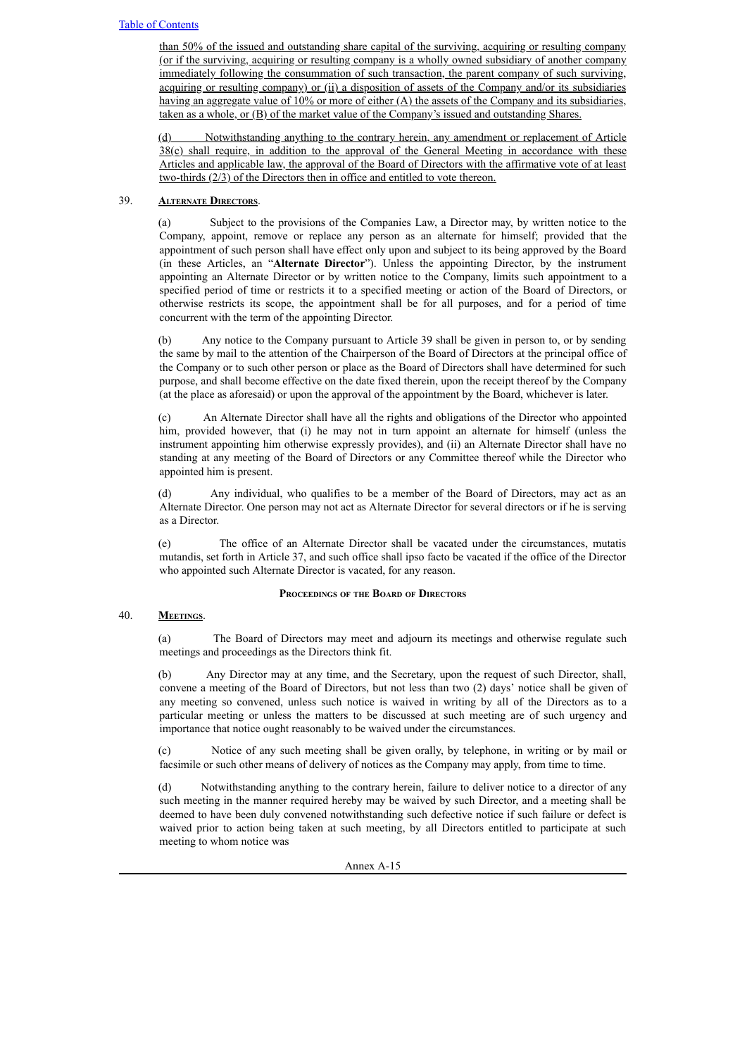than 50% of the issued and outstanding share capital of the surviving, acquiring or resulting company (or if the surviving, acquiring or resulting company is a wholly owned subsidiary of another company immediately following the consummation of such transaction, the parent company of such surviving, acquiring or resulting company) or (ii) a disposition of assets of the Company and/or its subsidiaries having an aggregate value of 10% or more of either (A) the assets of the Company and its subsidiaries, taken as a whole, or (B) of the market value of the Company's issued and outstanding Shares.

(d) Notwithstanding anything to the contrary herein, any amendment or replacement of Article  $38(c)$  shall require, in addition to the approval of the General Meeting in accordance with these Articles and applicable law, the approval of the Board of Directors with the affirmative vote of at least two-thirds (2/3) of the Directors then in office and entitled to vote thereon.

# 39. **Alternate Directors**.

(a) Subject to the provisions of the Companies Law, a Director may, by written notice to the Company, appoint, remove or replace any person as an alternate for himself; provided that the appointment of such person shall have effect only upon and subject to its being approved by the Board (in these Articles, an "**Alternate Director**"). Unless the appointing Director, by the instrument appointing an Alternate Director or by written notice to the Company, limits such appointment to a specified period of time or restricts it to a specified meeting or action of the Board of Directors, or otherwise restricts its scope, the appointment shall be for all purposes, and for a period of time concurrent with the term of the appointing Director.

(b) Any notice to the Company pursuant to Article 39 shall be given in person to, or by sending the same by mail to the attention of the Chairperson of the Board of Directors at the principal office of the Company or to such other person or place as the Board of Directors shall have determined for such purpose, and shall become effective on the date fixed therein, upon the receipt thereof by the Company (at the place as aforesaid) or upon the approval of the appointment by the Board, whichever is later.

(c) An Alternate Director shall have all the rights and obligations of the Director who appointed him, provided however, that (i) he may not in turn appoint an alternate for himself (unless the instrument appointing him otherwise expressly provides), and (ii) an Alternate Director shall have no standing at any meeting of the Board of Directors or any Committee thereof while the Director who appointed him is present.

(d) Any individual, who qualifies to be a member of the Board of Directors, may act as an Alternate Director. One person may not act as Alternate Director for several directors or if he is serving as a Director.

(e) The office of an Alternate Director shall be vacated under the circumstances, mutatis mutandis, set forth in Article 37, and such office shall ipso facto be vacated if the office of the Director who appointed such Alternate Director is vacated, for any reason.

## **Proceedings of the Board of Directors**

# 40. **Meetings**.

(a) The Board of Directors may meet and adjourn its meetings and otherwise regulate such meetings and proceedings as the Directors think fit.

(b) Any Director may at any time, and the Secretary, upon the request of such Director, shall, convene a meeting of the Board of Directors, but not less than two (2) days' notice shall be given of any meeting so convened, unless such notice is waived in writing by all of the Directors as to a particular meeting or unless the matters to be discussed at such meeting are of such urgency and importance that notice ought reasonably to be waived under the circumstances.

(c) Notice of any such meeting shall be given orally, by telephone, in writing or by mail or facsimile or such other means of delivery of notices as the Company may apply, from time to time.

(d) Notwithstanding anything to the contrary herein, failure to deliver notice to a director of any such meeting in the manner required hereby may be waived by such Director, and a meeting shall be deemed to have been duly convened notwithstanding such defective notice if such failure or defect is waived prior to action being taken at such meeting, by all Directors entitled to participate at such meeting to whom notice was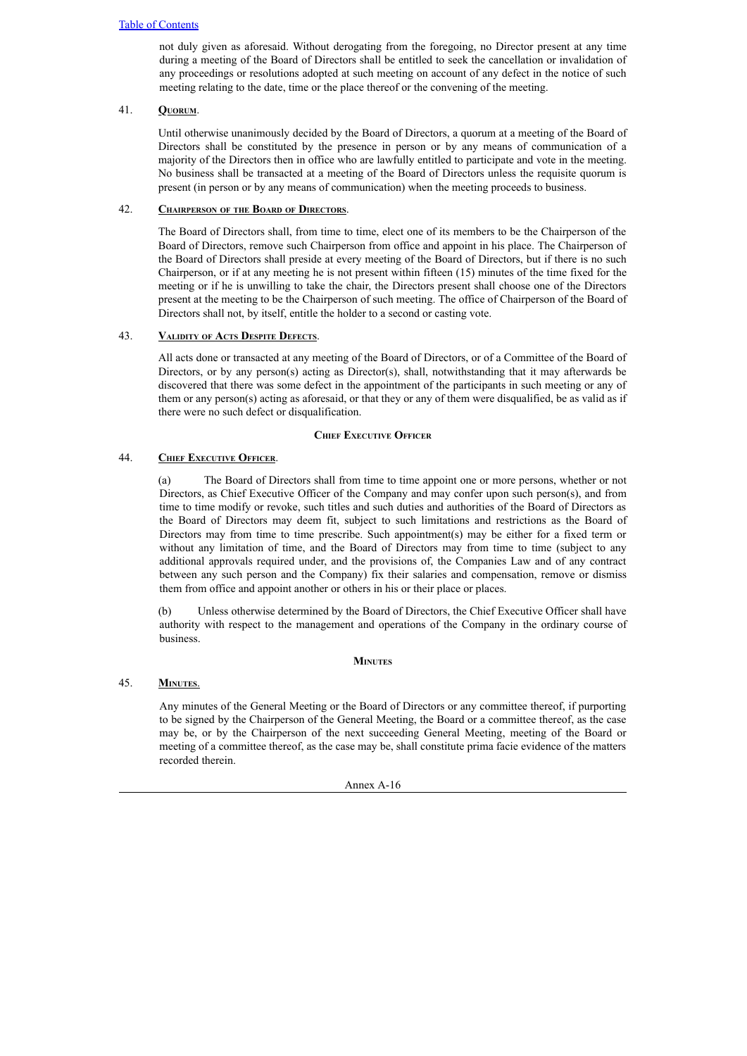not duly given as aforesaid. Without derogating from the foregoing, no Director present at any time during a meeting of the Board of Directors shall be entitled to seek the cancellation or invalidation of any proceedings or resolutions adopted at such meeting on account of any defect in the notice of such meeting relating to the date, time or the place thereof or the convening of the meeting.

# 41. **Quorum**.

Until otherwise unanimously decided by the Board of Directors, a quorum at a meeting of the Board of Directors shall be constituted by the presence in person or by any means of communication of a majority of the Directors then in office who are lawfully entitled to participate and vote in the meeting. No business shall be transacted at a meeting of the Board of Directors unless the requisite quorum is present (in person or by any means of communication) when the meeting proceeds to business.

# 42. **Chairperson of the Board of Directors**.

The Board of Directors shall, from time to time, elect one of its members to be the Chairperson of the Board of Directors, remove such Chairperson from office and appoint in his place. The Chairperson of the Board of Directors shall preside at every meeting of the Board of Directors, but if there is no such Chairperson, or if at any meeting he is not present within fifteen (15) minutes of the time fixed for the meeting or if he is unwilling to take the chair, the Directors present shall choose one of the Directors present at the meeting to be the Chairperson of such meeting. The office of Chairperson of the Board of Directors shall not, by itself, entitle the holder to a second or casting vote.

# 43. **Validity of Acts Despite Defects**.

All acts done or transacted at any meeting of the Board of Directors, or of a Committee of the Board of Directors, or by any person(s) acting as Director(s), shall, notwithstanding that it may afterwards be discovered that there was some defect in the appointment of the participants in such meeting or any of them or any person(s) acting as aforesaid, or that they or any of them were disqualified, be as valid as if there were no such defect or disqualification.

# **Chief Executive Officer**

# 44. **Chief Executive Officer**.

(a) The Board of Directors shall from time to time appoint one or more persons, whether or not Directors, as Chief Executive Officer of the Company and may confer upon such person(s), and from time to time modify or revoke, such titles and such duties and authorities of the Board of Directors as the Board of Directors may deem fit, subject to such limitations and restrictions as the Board of Directors may from time to time prescribe. Such appointment(s) may be either for a fixed term or without any limitation of time, and the Board of Directors may from time to time (subject to any additional approvals required under, and the provisions of, the Companies Law and of any contract between any such person and the Company) fix their salaries and compensation, remove or dismiss them from office and appoint another or others in his or their place or places.

(b) Unless otherwise determined by the Board of Directors, the Chief Executive Officer shall have authority with respect to the management and operations of the Company in the ordinary course of business.

# **Minutes**

# 45. **Minutes**.

Any minutes of the General Meeting or the Board of Directors or any committee thereof, if purporting to be signed by the Chairperson of the General Meeting, the Board or a committee thereof, as the case may be, or by the Chairperson of the next succeeding General Meeting, meeting of the Board or meeting of a committee thereof, as the case may be, shall constitute prima facie evidence of the matters recorded therein.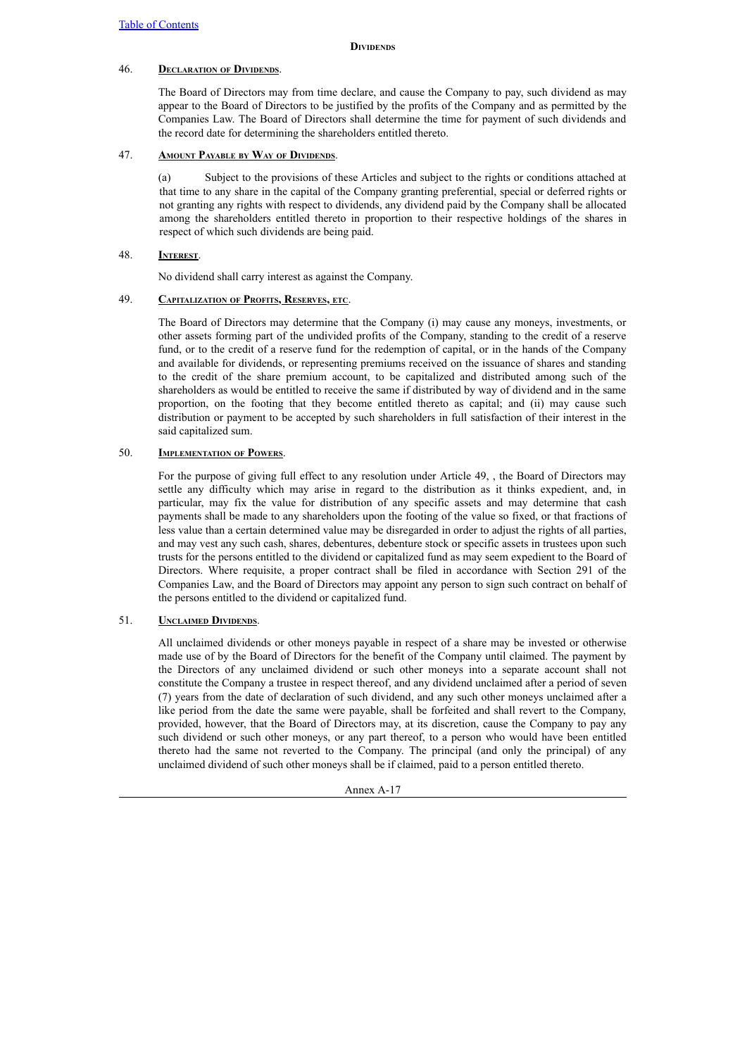## **Dividends**

# 46. **Declaration of Dividends**.

The Board of Directors may from time declare, and cause the Company to pay, such dividend as may appear to the Board of Directors to be justified by the profits of the Company and as permitted by the Companies Law. The Board of Directors shall determine the time for payment of such dividends and the record date for determining the shareholders entitled thereto.

# 47. **Amount Payable by Way of Dividends**.

(a) Subject to the provisions of these Articles and subject to the rights or conditions attached at that time to any share in the capital of the Company granting preferential, special or deferred rights or not granting any rights with respect to dividends, any dividend paid by the Company shall be allocated among the shareholders entitled thereto in proportion to their respective holdings of the shares in respect of which such dividends are being paid.

# 48. **Interest**.

No dividend shall carry interest as against the Company.

# 49. **Capitalization of Profits, Reserves, etc**.

The Board of Directors may determine that the Company (i) may cause any moneys, investments, or other assets forming part of the undivided profits of the Company, standing to the credit of a reserve fund, or to the credit of a reserve fund for the redemption of capital, or in the hands of the Company and available for dividends, or representing premiums received on the issuance of shares and standing to the credit of the share premium account, to be capitalized and distributed among such of the shareholders as would be entitled to receive the same if distributed by way of dividend and in the same proportion, on the footing that they become entitled thereto as capital; and (ii) may cause such distribution or payment to be accepted by such shareholders in full satisfaction of their interest in the said capitalized sum.

# 50. **Implementation of Powers**.

For the purpose of giving full effect to any resolution under Article 49, , the Board of Directors may settle any difficulty which may arise in regard to the distribution as it thinks expedient, and, in particular, may fix the value for distribution of any specific assets and may determine that cash payments shall be made to any shareholders upon the footing of the value so fixed, or that fractions of less value than a certain determined value may be disregarded in order to adjust the rights of all parties, and may vest any such cash, shares, debentures, debenture stock or specific assets in trustees upon such trusts for the persons entitled to the dividend or capitalized fund as may seem expedient to the Board of Directors. Where requisite, a proper contract shall be filed in accordance with Section 291 of the Companies Law, and the Board of Directors may appoint any person to sign such contract on behalf of the persons entitled to the dividend or capitalized fund.

# 51. **Unclaimed Dividends**.

All unclaimed dividends or other moneys payable in respect of a share may be invested or otherwise made use of by the Board of Directors for the benefit of the Company until claimed. The payment by the Directors of any unclaimed dividend or such other moneys into a separate account shall not constitute the Company a trustee in respect thereof, and any dividend unclaimed after a period of seven (7) years from the date of declaration of such dividend, and any such other moneys unclaimed after a like period from the date the same were payable, shall be forfeited and shall revert to the Company, provided, however, that the Board of Directors may, at its discretion, cause the Company to pay any such dividend or such other moneys, or any part thereof, to a person who would have been entitled thereto had the same not reverted to the Company. The principal (and only the principal) of any unclaimed dividend of such other moneys shall be if claimed, paid to a person entitled thereto.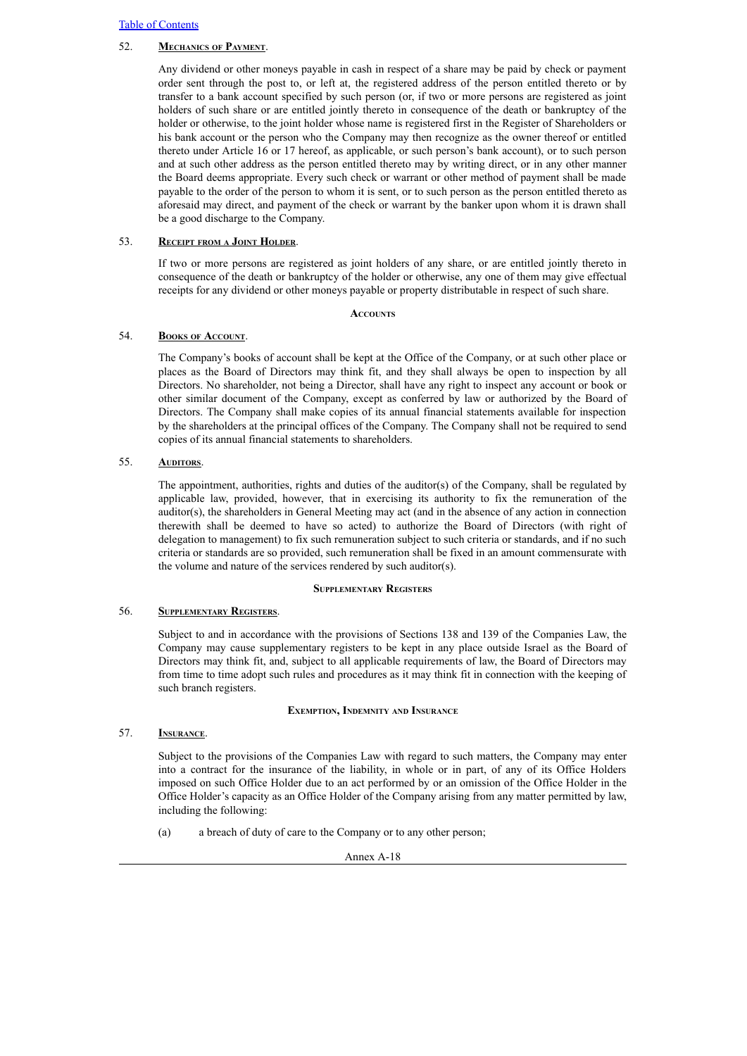## 52. **Mechanics of Payment**.

Any dividend or other moneys payable in cash in respect of a share may be paid by check or payment order sent through the post to, or left at, the registered address of the person entitled thereto or by transfer to a bank account specified by such person (or, if two or more persons are registered as joint holders of such share or are entitled jointly thereto in consequence of the death or bankruptcy of the holder or otherwise, to the joint holder whose name is registered first in the Register of Shareholders or his bank account or the person who the Company may then recognize as the owner thereof or entitled thereto under Article 16 or 17 hereof, as applicable, or such person's bank account), or to such person and at such other address as the person entitled thereto may by writing direct, or in any other manner the Board deems appropriate. Every such check or warrant or other method of payment shall be made payable to the order of the person to whom it is sent, or to such person as the person entitled thereto as aforesaid may direct, and payment of the check or warrant by the banker upon whom it is drawn shall be a good discharge to the Company.

## 53. **Receipt from <sup>a</sup> Joint Holder**.

If two or more persons are registered as joint holders of any share, or are entitled jointly thereto in consequence of the death or bankruptcy of the holder or otherwise, any one of them may give effectual receipts for any dividend or other moneys payable or property distributable in respect of such share.

## **Accounts**

# 54. **Books of Account**.

The Company's books of account shall be kept at the Office of the Company, or at such other place or places as the Board of Directors may think fit, and they shall always be open to inspection by all Directors. No shareholder, not being a Director, shall have any right to inspect any account or book or other similar document of the Company, except as conferred by law or authorized by the Board of Directors. The Company shall make copies of its annual financial statements available for inspection by the shareholders at the principal offices of the Company. The Company shall not be required to send copies of its annual financial statements to shareholders.

# 55. **AUDITORS.**

The appointment, authorities, rights and duties of the auditor(s) of the Company, shall be regulated by applicable law, provided, however, that in exercising its authority to fix the remuneration of the auditor(s), the shareholders in General Meeting may act (and in the absence of any action in connection therewith shall be deemed to have so acted) to authorize the Board of Directors (with right of delegation to management) to fix such remuneration subject to such criteria or standards, and if no such criteria or standards are so provided, such remuneration shall be fixed in an amount commensurate with the volume and nature of the services rendered by such auditor(s).

# **Supplementary Registers**

# 56. **Supplementary Registers**.

Subject to and in accordance with the provisions of Sections 138 and 139 of the Companies Law, the Company may cause supplementary registers to be kept in any place outside Israel as the Board of Directors may think fit, and, subject to all applicable requirements of law, the Board of Directors may from time to time adopt such rules and procedures as it may think fit in connection with the keeping of such branch registers.

## **Exemption, Indemnity and Insurance**

# 57. **Insurance**.

Subject to the provisions of the Companies Law with regard to such matters, the Company may enter into a contract for the insurance of the liability, in whole or in part, of any of its Office Holders imposed on such Office Holder due to an act performed by or an omission of the Office Holder in the Office Holder's capacity as an Office Holder of the Company arising from any matter permitted by law, including the following:

(a) a breach of duty of care to the Company or to any other person;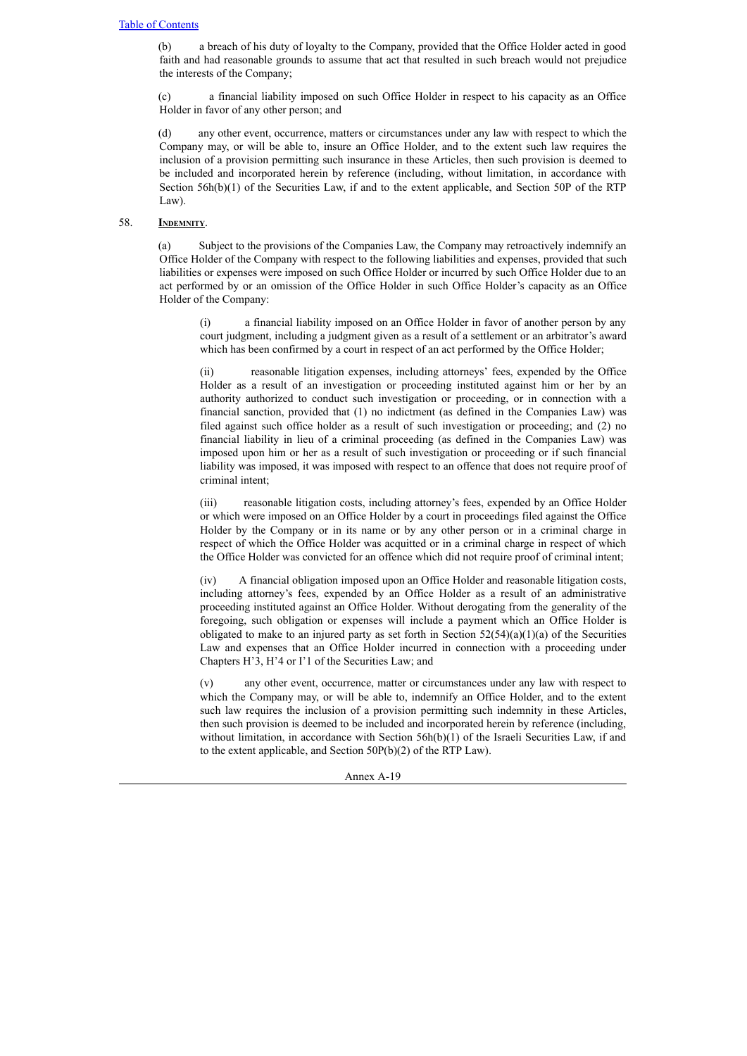(b) a breach of his duty of loyalty to the Company, provided that the Office Holder acted in good faith and had reasonable grounds to assume that act that resulted in such breach would not prejudice the interests of the Company;

(c) a financial liability imposed on such Office Holder in respect to his capacity as an Office Holder in favor of any other person; and

(d) any other event, occurrence, matters or circumstances under any law with respect to which the Company may, or will be able to, insure an Office Holder, and to the extent such law requires the inclusion of a provision permitting such insurance in these Articles, then such provision is deemed to be included and incorporated herein by reference (including, without limitation, in accordance with Section 56h(b)(1) of the Securities Law, if and to the extent applicable, and Section 50P of the RTP Law).

## 58. **INDEMNITY.**

(a) Subject to the provisions of the Companies Law, the Company may retroactively indemnify an Office Holder of the Company with respect to the following liabilities and expenses, provided that such liabilities or expenses were imposed on such Office Holder or incurred by such Office Holder due to an act performed by or an omission of the Office Holder in such Office Holder's capacity as an Office Holder of the Company:

(i) a financial liability imposed on an Office Holder in favor of another person by any court judgment, including a judgment given as a result of a settlement or an arbitrator's award which has been confirmed by a court in respect of an act performed by the Office Holder;

(ii) reasonable litigation expenses, including attorneys' fees, expended by the Office Holder as a result of an investigation or proceeding instituted against him or her by an authority authorized to conduct such investigation or proceeding, or in connection with a financial sanction, provided that (1) no indictment (as defined in the Companies Law) was filed against such office holder as a result of such investigation or proceeding; and (2) no financial liability in lieu of a criminal proceeding (as defined in the Companies Law) was imposed upon him or her as a result of such investigation or proceeding or if such financial liability was imposed, it was imposed with respect to an offence that does not require proof of criminal intent;

(iii) reasonable litigation costs, including attorney's fees, expended by an Office Holder or which were imposed on an Office Holder by a court in proceedings filed against the Office Holder by the Company or in its name or by any other person or in a criminal charge in respect of which the Office Holder was acquitted or in a criminal charge in respect of which the Office Holder was convicted for an offence which did not require proof of criminal intent;

(iv) A financial obligation imposed upon an Office Holder and reasonable litigation costs, including attorney's fees, expended by an Office Holder as a result of an administrative proceeding instituted against an Office Holder. Without derogating from the generality of the foregoing, such obligation or expenses will include a payment which an Office Holder is obligated to make to an injured party as set forth in Section  $52(54)(a)(1)(a)$  of the Securities Law and expenses that an Office Holder incurred in connection with a proceeding under Chapters H'3, H'4 or I'1 of the Securities Law; and

(v) any other event, occurrence, matter or circumstances under any law with respect to which the Company may, or will be able to, indemnify an Office Holder, and to the extent such law requires the inclusion of a provision permitting such indemnity in these Articles, then such provision is deemed to be included and incorporated herein by reference (including, without limitation, in accordance with Section 56h(b)(1) of the Israeli Securities Law, if and to the extent applicable, and Section 50P(b)(2) of the RTP Law).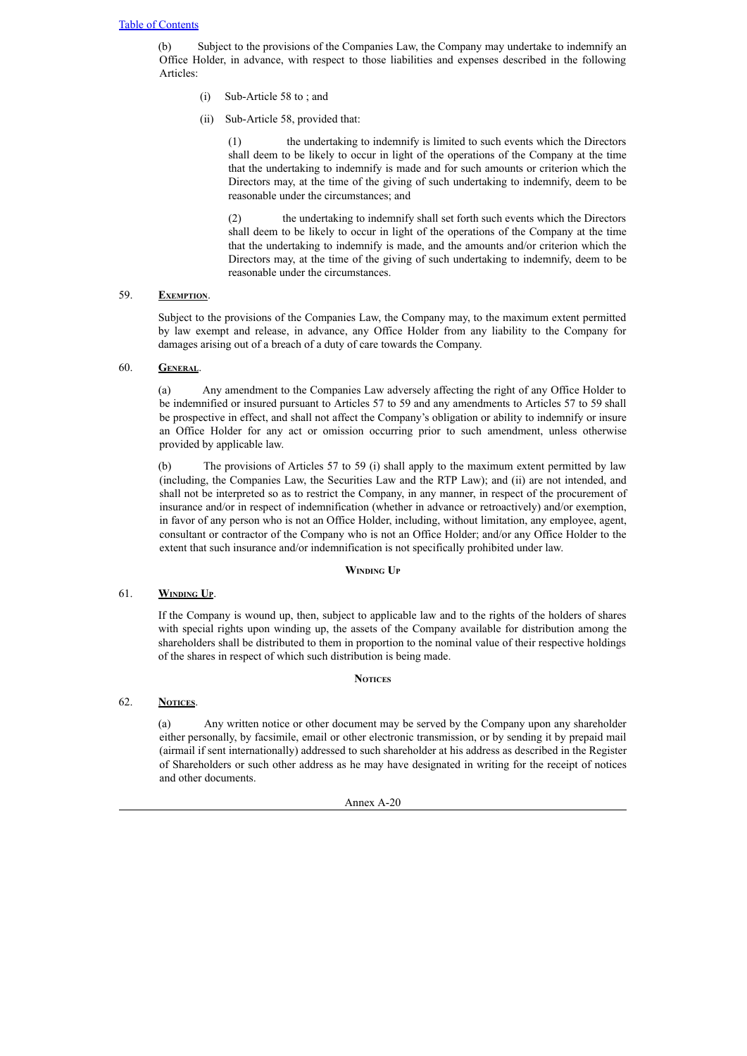(b) Subject to the provisions of the Companies Law, the Company may undertake to indemnify an Office Holder, in advance, with respect to those liabilities and expenses described in the following Articles:

- (i) Sub-Article 58 to ; and
- (ii) Sub-Article 58, provided that:

(1) the undertaking to indemnify is limited to such events which the Directors shall deem to be likely to occur in light of the operations of the Company at the time that the undertaking to indemnify is made and for such amounts or criterion which the Directors may, at the time of the giving of such undertaking to indemnify, deem to be reasonable under the circumstances; and

(2) the undertaking to indemnify shall set forth such events which the Directors shall deem to be likely to occur in light of the operations of the Company at the time that the undertaking to indemnify is made, and the amounts and/or criterion which the Directors may, at the time of the giving of such undertaking to indemnify, deem to be reasonable under the circumstances.

# 59. **Exemption**.

Subject to the provisions of the Companies Law, the Company may, to the maximum extent permitted by law exempt and release, in advance, any Office Holder from any liability to the Company for damages arising out of a breach of a duty of care towards the Company.

# 60. **General**.

(a) Any amendment to the Companies Law adversely affecting the right of any Office Holder to be indemnified or insured pursuant to Articles 57 to 59 and any amendments to Articles 57 to 59 shall be prospective in effect, and shall not affect the Company's obligation or ability to indemnify or insure an Office Holder for any act or omission occurring prior to such amendment, unless otherwise provided by applicable law.

(b) The provisions of Articles 57 to 59 (i) shall apply to the maximum extent permitted by law (including, the Companies Law, the Securities Law and the RTP Law); and (ii) are not intended, and shall not be interpreted so as to restrict the Company, in any manner, in respect of the procurement of insurance and/or in respect of indemnification (whether in advance or retroactively) and/or exemption, in favor of any person who is not an Office Holder, including, without limitation, any employee, agent, consultant or contractor of the Company who is not an Office Holder; and/or any Office Holder to the extent that such insurance and/or indemnification is not specifically prohibited under law.

# **Winding U<sup>p</sup>**

# 61. **Winding Up**.

If the Company is wound up, then, subject to applicable law and to the rights of the holders of shares with special rights upon winding up, the assets of the Company available for distribution among the shareholders shall be distributed to them in proportion to the nominal value of their respective holdings of the shares in respect of which such distribution is being made.

# **Notices**

# 62. **Notices**.

(a) Any written notice or other document may be served by the Company upon any shareholder either personally, by facsimile, email or other electronic transmission, or by sending it by prepaid mail (airmail if sent internationally) addressed to such shareholder at his address as described in the Register of Shareholders or such other address as he may have designated in writing for the receipt of notices and other documents.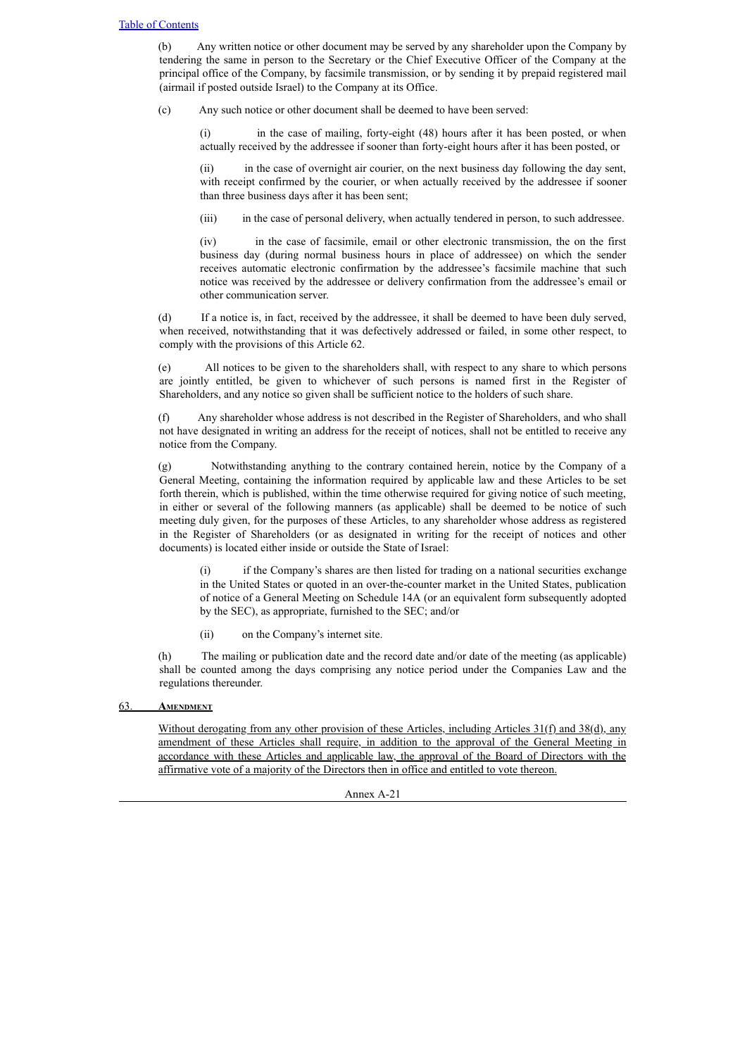(b) Any written notice or other document may be served by any shareholder upon the Company by tendering the same in person to the Secretary or the Chief Executive Officer of the Company at the principal office of the Company, by facsimile transmission, or by sending it by prepaid registered mail (airmail if posted outside Israel) to the Company at its Office.

(c) Any such notice or other document shall be deemed to have been served:

(i) in the case of mailing, forty-eight (48) hours after it has been posted, or when actually received by the addressee if sooner than forty-eight hours after it has been posted, or

(ii) in the case of overnight air courier, on the next business day following the day sent, with receipt confirmed by the courier, or when actually received by the addressee if sooner than three business days after it has been sent;

(iii) in the case of personal delivery, when actually tendered in person, to such addressee.

(iv) in the case of facsimile, email or other electronic transmission, the on the first business day (during normal business hours in place of addressee) on which the sender receives automatic electronic confirmation by the addressee's facsimile machine that such notice was received by the addressee or delivery confirmation from the addressee's email or other communication server.

(d) If a notice is, in fact, received by the addressee, it shall be deemed to have been duly served, when received, notwithstanding that it was defectively addressed or failed, in some other respect, to comply with the provisions of this Article 62.

(e) All notices to be given to the shareholders shall, with respect to any share to which persons are jointly entitled, be given to whichever of such persons is named first in the Register of Shareholders, and any notice so given shall be sufficient notice to the holders of such share.

(f) Any shareholder whose address is not described in the Register of Shareholders, and who shall not have designated in writing an address for the receipt of notices, shall not be entitled to receive any notice from the Company.

(g) Notwithstanding anything to the contrary contained herein, notice by the Company of a General Meeting, containing the information required by applicable law and these Articles to be set forth therein, which is published, within the time otherwise required for giving notice of such meeting, in either or several of the following manners (as applicable) shall be deemed to be notice of such meeting duly given, for the purposes of these Articles, to any shareholder whose address as registered in the Register of Shareholders (or as designated in writing for the receipt of notices and other documents) is located either inside or outside the State of Israel:

(i) if the Company's shares are then listed for trading on a national securities exchange in the United States or quoted in an over-the-counter market in the United States, publication of notice of a General Meeting on Schedule 14A (or an equivalent form subsequently adopted by the SEC), as appropriate, furnished to the SEC; and/or

(ii) on the Company's internet site.

(h) The mailing or publication date and the record date and/or date of the meeting (as applicable) shall be counted among the days comprising any notice period under the Companies Law and the regulations thereunder.

## 63. **Amendment**

Without derogating from any other provision of these Articles, including Articles 31(f) and 38(d), any amendment of these Articles shall require, in addition to the approval of the General Meeting in accordance with these Articles and applicable law, the approval of the Board of Directors with the affirmative vote of a majority of the Directors then in office and entitled to vote thereon.